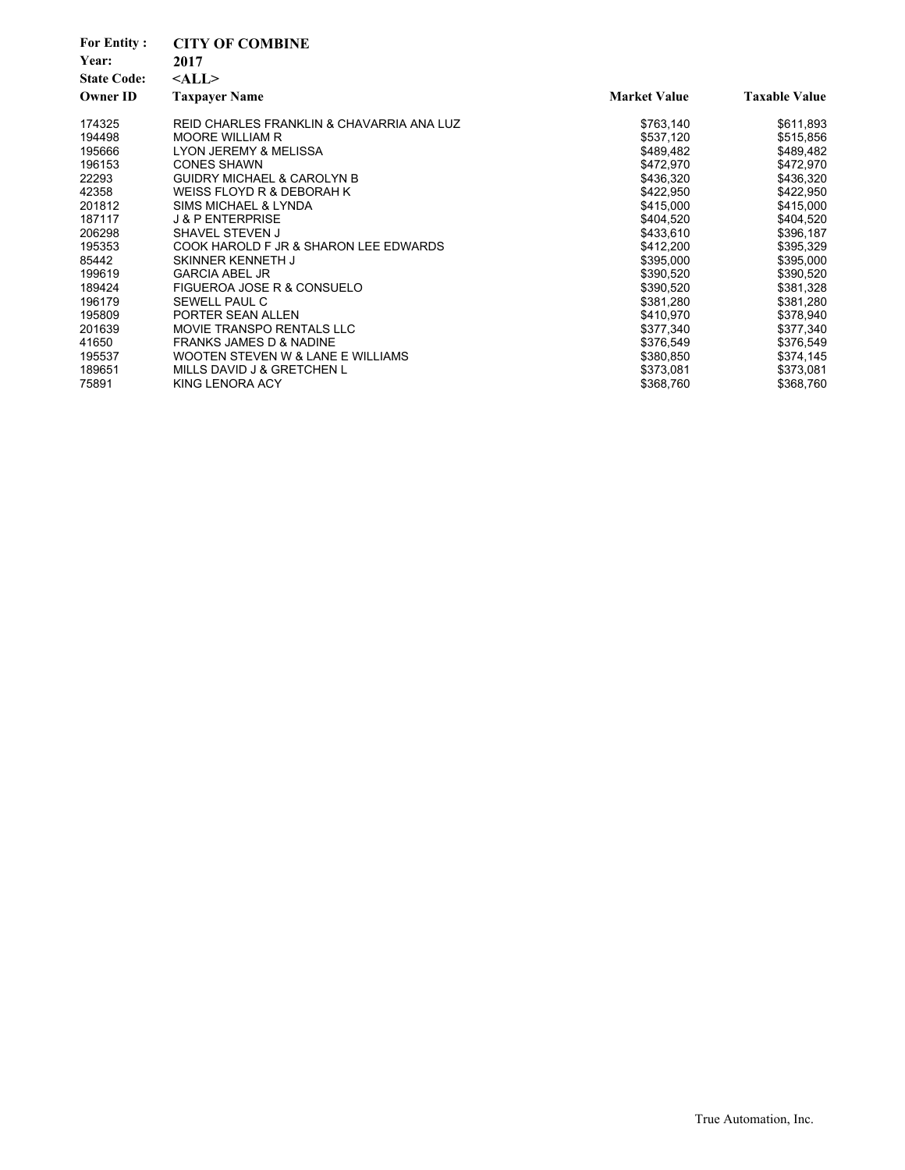| <b>For Entity:</b><br>Year:<br><b>State Code:</b><br><b>Owner ID</b> | <b>CITY OF COMBINE</b><br>2017<br>$<$ ALL $>$<br><b>Taxpayer Name</b> | <b>Market Value</b> | <b>Taxable Value</b> |
|----------------------------------------------------------------------|-----------------------------------------------------------------------|---------------------|----------------------|
| 174325                                                               | REID CHARLES FRANKLIN & CHAVARRIA ANA LUZ                             | \$763,140           | \$611,893            |
| 194498                                                               | <b>MOORE WILLIAM R</b>                                                | \$537,120           | \$515,856            |
| 195666                                                               | <b>LYON JEREMY &amp; MELISSA</b>                                      | \$489,482           | \$489,482            |
| 196153                                                               | <b>CONES SHAWN</b>                                                    | \$472,970           | \$472,970            |
| 22293                                                                | <b>GUIDRY MICHAEL &amp; CAROLYN B</b>                                 | \$436,320           | \$436,320            |
| 42358                                                                | WEISS FLOYD R & DEBORAH K                                             | \$422.950           | \$422,950            |
| 201812                                                               | SIMS MICHAEL & LYNDA                                                  | \$415,000           | \$415,000            |
| 187117                                                               | <b>J &amp; P ENTERPRISE</b>                                           | \$404.520           | \$404,520            |
| 206298                                                               | SHAVEL STEVEN J                                                       | \$433,610           | \$396,187            |
| 195353                                                               | COOK HAROLD F JR & SHARON LEE EDWARDS                                 | \$412,200           | \$395,329            |
| 85442                                                                | SKINNER KENNETH J                                                     | \$395.000           | \$395,000            |
| 199619                                                               | <b>GARCIA ABEL JR</b>                                                 | \$390,520           | \$390,520            |
| 189424                                                               | FIGUEROA JOSE R & CONSUELO                                            | \$390,520           | \$381,328            |
| 196179                                                               | SEWELL PAUL C                                                         | \$381,280           | \$381,280            |
| 195809                                                               | PORTER SEAN ALLEN                                                     | \$410,970           | \$378,940            |
| 201639                                                               | <b>MOVIE TRANSPO RENTALS LLC</b>                                      | \$377,340           | \$377,340            |
| 41650                                                                | <b>FRANKS JAMES D &amp; NADINE</b>                                    | \$376,549           | \$376,549            |
| 195537                                                               | WOOTEN STEVEN W & LANE E WILLIAMS                                     | \$380,850           | \$374,145            |
| 189651                                                               | MILLS DAVID J & GRETCHEN L                                            | \$373,081           | \$373,081            |
| 75891                                                                | KING LENORA ACY                                                       | \$368,760           | \$368,760            |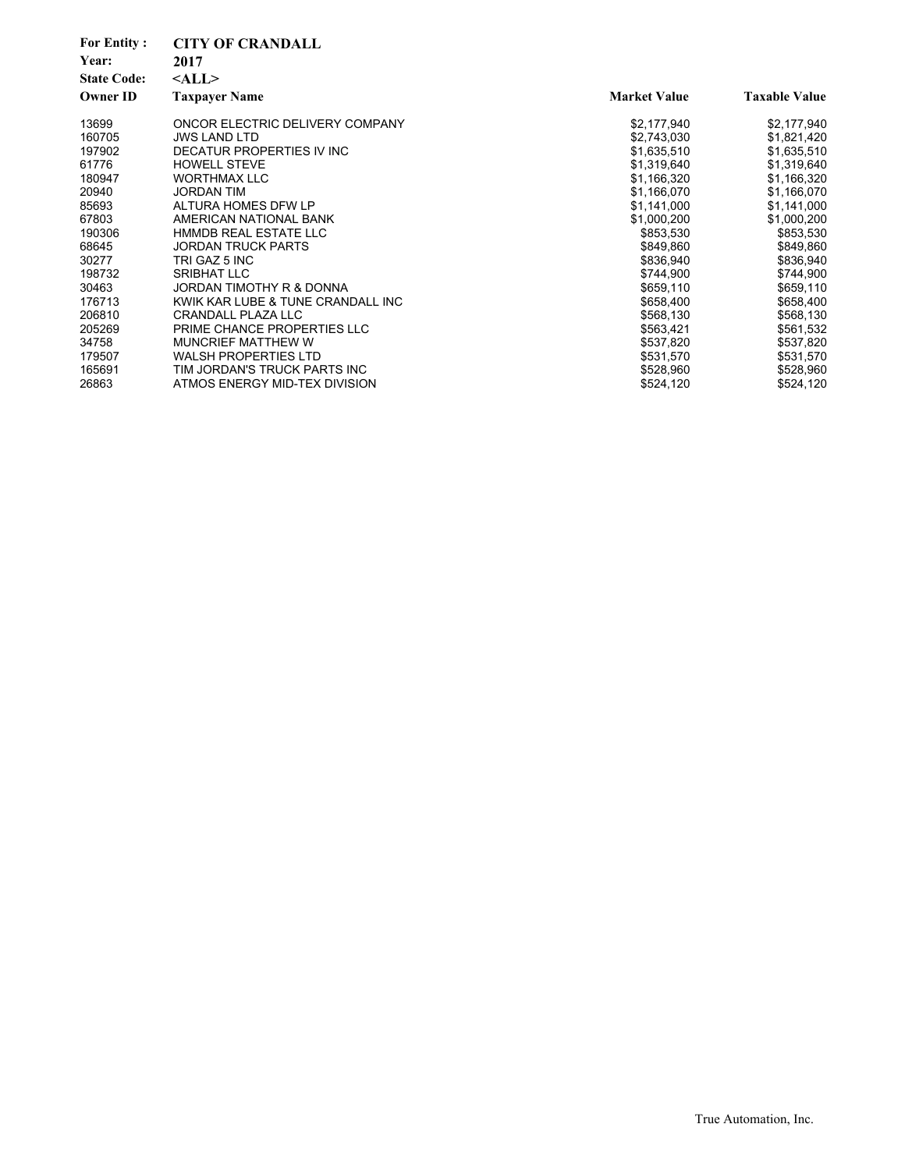| Year:<br>2017<br><b>State Code:</b><br>$<$ ALL $>$<br><b>Owner ID</b><br><b>Market Value</b><br><b>Taxable Value</b><br><b>Taxpayer Name</b><br>13699<br>ONCOR ELECTRIC DELIVERY COMPANY<br>\$2,177,940<br>\$2,177,940<br>160705<br><b>JWS LAND LTD</b><br>\$2,743,030<br>\$1,821,420<br>197902<br>DECATUR PROPERTIES IV INC<br>\$1,635,510<br>\$1,635,510<br>61776<br><b>HOWELL STEVE</b><br>\$1,319,640<br>\$1,319,640<br>180947<br><b>WORTHMAX LLC</b><br>\$1,166,320<br>\$1,166,320 |
|-----------------------------------------------------------------------------------------------------------------------------------------------------------------------------------------------------------------------------------------------------------------------------------------------------------------------------------------------------------------------------------------------------------------------------------------------------------------------------------------|
|                                                                                                                                                                                                                                                                                                                                                                                                                                                                                         |
|                                                                                                                                                                                                                                                                                                                                                                                                                                                                                         |
|                                                                                                                                                                                                                                                                                                                                                                                                                                                                                         |
|                                                                                                                                                                                                                                                                                                                                                                                                                                                                                         |
|                                                                                                                                                                                                                                                                                                                                                                                                                                                                                         |
|                                                                                                                                                                                                                                                                                                                                                                                                                                                                                         |
|                                                                                                                                                                                                                                                                                                                                                                                                                                                                                         |
|                                                                                                                                                                                                                                                                                                                                                                                                                                                                                         |
| 20940<br><b>JORDAN TIM</b><br>\$1,166,070<br>\$1,166,070                                                                                                                                                                                                                                                                                                                                                                                                                                |
| ALTURA HOMES DFW LP<br>85693<br>\$1,141,000<br>\$1,141,000                                                                                                                                                                                                                                                                                                                                                                                                                              |
| AMERICAN NATIONAL BANK<br>67803<br>\$1,000,200<br>\$1,000,200                                                                                                                                                                                                                                                                                                                                                                                                                           |
| HMMDB REAL ESTATE LLC<br>\$853,530<br>\$853,530<br>190306                                                                                                                                                                                                                                                                                                                                                                                                                               |
| 68645<br><b>JORDAN TRUCK PARTS</b><br>\$849,860<br>\$849,860                                                                                                                                                                                                                                                                                                                                                                                                                            |
| 30277<br>TRI GAZ 5 INC<br>\$836,940<br>\$836,940                                                                                                                                                                                                                                                                                                                                                                                                                                        |
| 198732<br><b>SRIBHAT LLC</b><br>\$744,900<br>\$744,900                                                                                                                                                                                                                                                                                                                                                                                                                                  |
| 30463<br>JORDAN TIMOTHY R & DONNA<br>\$659,110<br>\$659,110                                                                                                                                                                                                                                                                                                                                                                                                                             |
| KWIK KAR LUBE & TUNE CRANDALL INC<br>176713<br>\$658,400<br>\$658,400                                                                                                                                                                                                                                                                                                                                                                                                                   |
| CRANDALL PLAZA LLC<br>206810<br>\$568,130<br>\$568,130                                                                                                                                                                                                                                                                                                                                                                                                                                  |
| 205269<br>PRIME CHANCE PROPERTIES LLC<br>\$563,421<br>\$561,532                                                                                                                                                                                                                                                                                                                                                                                                                         |
| 34758<br><b>MUNCRIEF MATTHEW W</b><br>\$537,820<br>\$537,820                                                                                                                                                                                                                                                                                                                                                                                                                            |
| <b>WALSH PROPERTIES LTD</b><br>179507<br>\$531,570<br>\$531,570                                                                                                                                                                                                                                                                                                                                                                                                                         |
| 165691<br>TIM JORDAN'S TRUCK PARTS INC<br>\$528,960<br>\$528,960                                                                                                                                                                                                                                                                                                                                                                                                                        |
| 26863<br>ATMOS ENERGY MID-TEX DIVISION<br>\$524,120<br>\$524,120                                                                                                                                                                                                                                                                                                                                                                                                                        |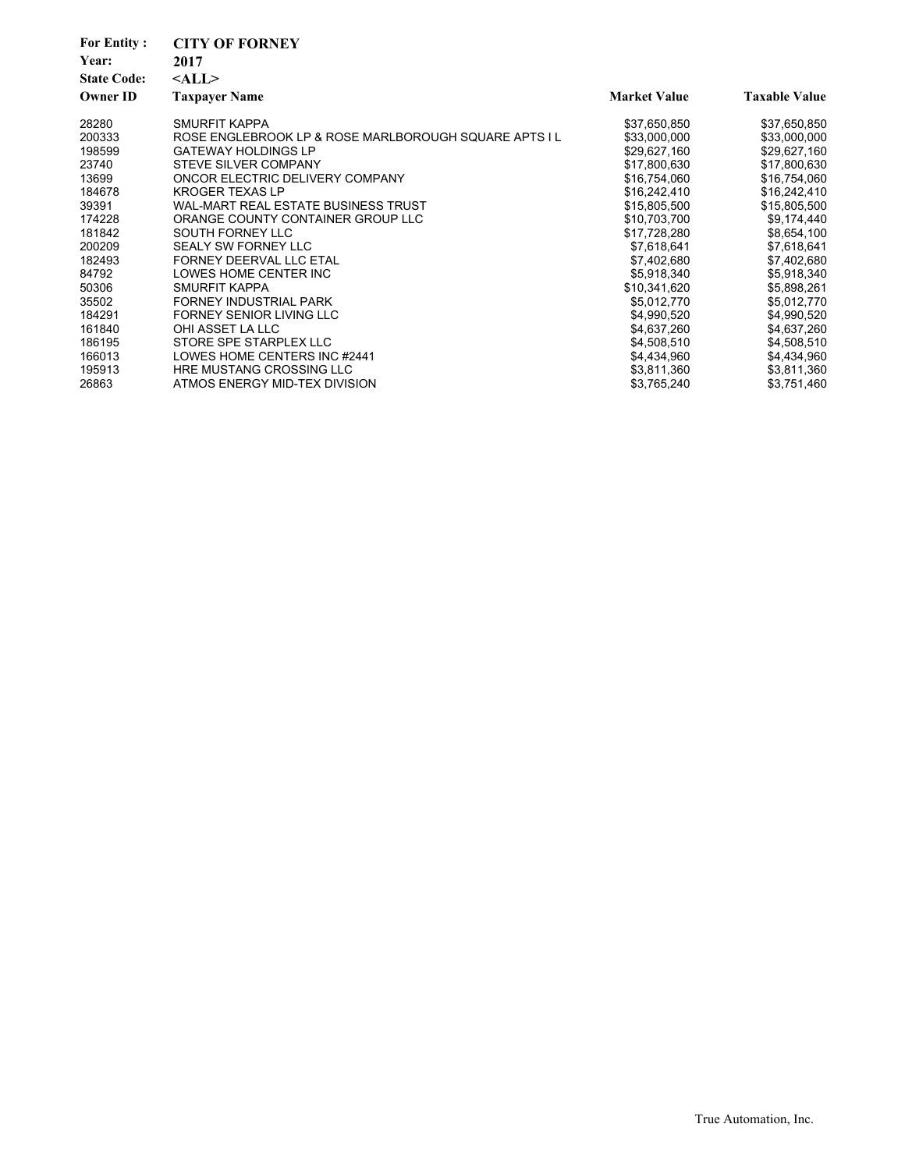| <b>For Entity:</b><br>Year:<br><b>State Code:</b><br><b>Owner ID</b> | <b>CITY OF FORNEY</b><br>2017<br>$<$ ALL $>$<br><b>Taxpayer Name</b> | <b>Market Value</b> | <b>Taxable Value</b> |
|----------------------------------------------------------------------|----------------------------------------------------------------------|---------------------|----------------------|
| 28280                                                                | SMURFIT KAPPA                                                        | \$37,650,850        | \$37,650,850         |
| 200333                                                               | ROSE ENGLEBROOK LP & ROSE MARLBOROUGH SQUARE APTS I L                | \$33,000,000        | \$33,000,000         |
| 198599                                                               | <b>GATEWAY HOLDINGS LP</b>                                           | \$29,627,160        | \$29,627,160         |
| 23740                                                                | <b>STEVE SILVER COMPANY</b>                                          | \$17,800,630        | \$17,800,630         |
| 13699                                                                | ONCOR ELECTRIC DELIVERY COMPANY                                      | \$16,754,060        | \$16,754,060         |
| 184678                                                               | <b>KROGER TEXAS LP</b>                                               | \$16,242,410        | \$16,242,410         |
| 39391                                                                | WAL-MART REAL ESTATE BUSINESS TRUST                                  | \$15,805,500        | \$15,805,500         |
| 174228                                                               | ORANGE COUNTY CONTAINER GROUP LLC                                    | \$10,703,700        | \$9,174,440          |
| 181842                                                               | SOUTH FORNEY LLC                                                     | \$17,728,280        | \$8,654,100          |
| 200209                                                               | <b>SEALY SW FORNEY LLC</b>                                           | \$7,618,641         | \$7,618,641          |
| 182493                                                               | FORNEY DEERVAL LLC ETAL                                              | \$7,402,680         | \$7,402,680          |
| 84792                                                                | LOWES HOME CENTER INC                                                | \$5,918,340         | \$5,918,340          |
| 50306                                                                | SMURFIT KAPPA                                                        | \$10,341,620        | \$5,898,261          |
| 35502                                                                | FORNEY INDUSTRIAL PARK                                               | \$5,012,770         | \$5,012,770          |
| 184291                                                               | <b>FORNEY SENIOR LIVING LLC</b>                                      | \$4,990,520         | \$4,990,520          |
| 161840                                                               | OHI ASSET LA LLC                                                     | \$4,637,260         | \$4,637,260          |
| 186195                                                               | STORE SPE STARPLEX LLC                                               | \$4,508,510         | \$4,508,510          |
| 166013                                                               | LOWES HOME CENTERS INC #2441                                         | \$4,434,960         | \$4,434,960          |
| 195913                                                               | <b>HRE MUSTANG CROSSING LLC</b>                                      | \$3,811,360         | \$3,811,360          |
| 26863                                                                | ATMOS ENERGY MID-TEX DIVISION                                        | \$3,765,240         | \$3,751,460          |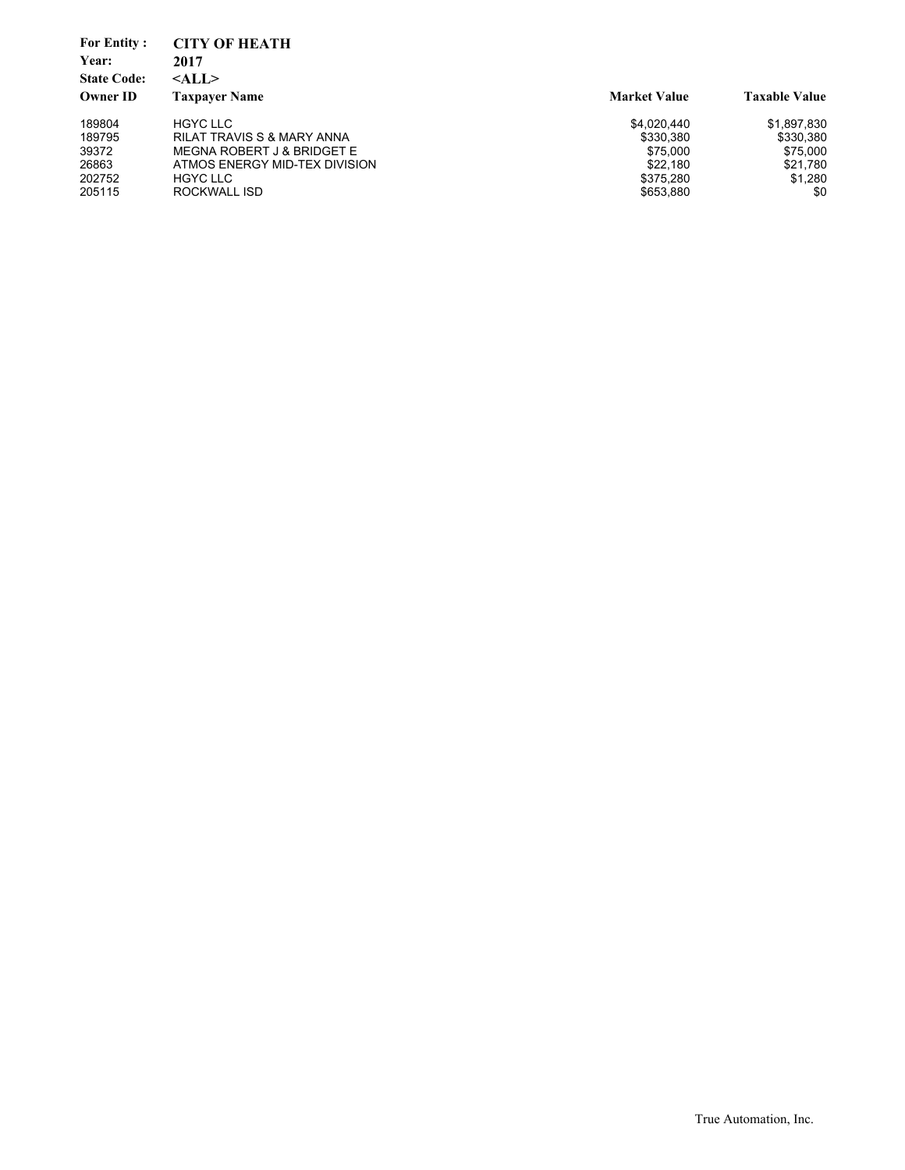| <b>For Entity:</b><br>Year:<br><b>State Code:</b><br><b>Owner ID</b> | <b>CITY OF HEATH</b><br>2017<br>$<$ ALL $>$<br><b>Taxpaver Name</b> | <b>Market Value</b> | <b>Taxable Value</b> |
|----------------------------------------------------------------------|---------------------------------------------------------------------|---------------------|----------------------|
| 189804                                                               | <b>HGYC LLC</b>                                                     | \$4.020.440         | \$1,897,830          |
| 189795                                                               | RILAT TRAVIS S & MARY ANNA                                          | \$330.380           | \$330,380            |
| 39372                                                                | <b>MEGNA ROBERT J &amp; BRIDGET E</b>                               | \$75,000            | \$75,000             |
| 26863                                                                | ATMOS ENERGY MID-TEX DIVISION                                       | \$22,180            | \$21,780             |
| 202752                                                               | <b>HGYC LLC</b>                                                     | \$375.280           | \$1.280              |
| 205115                                                               | ROCKWALL ISD                                                        | \$653,880           | \$0                  |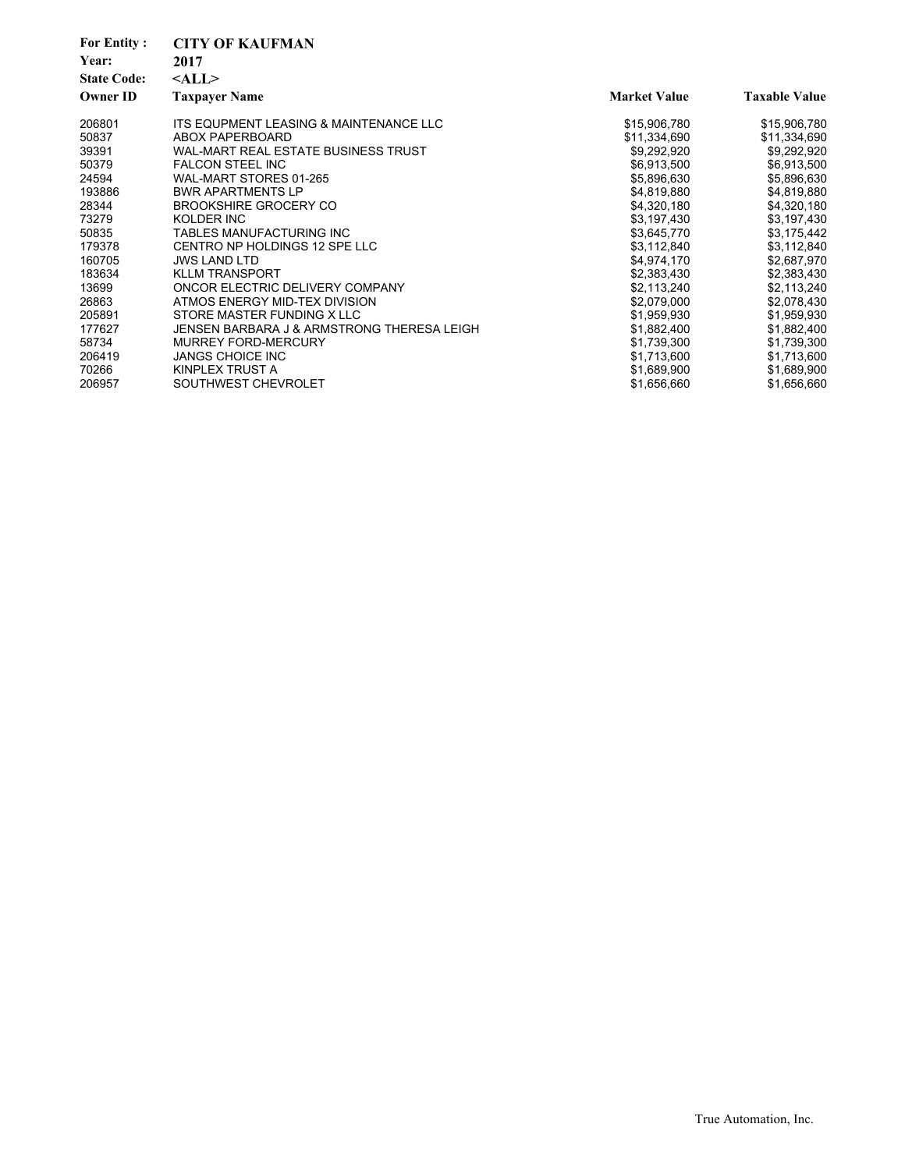| <b>For Entity:</b> | <b>CITY OF KAUFMAN</b>                     |                     |                      |
|--------------------|--------------------------------------------|---------------------|----------------------|
| Year:              | 2017                                       |                     |                      |
| <b>State Code:</b> | $<$ ALL $>$                                |                     |                      |
| <b>Owner ID</b>    | <b>Taxpayer Name</b>                       | <b>Market Value</b> | <b>Taxable Value</b> |
| 206801             | ITS EQUPMENT LEASING & MAINTENANCE LLC     | \$15,906,780        | \$15,906,780         |
| 50837              | ABOX PAPERBOARD                            | \$11,334,690        | \$11,334,690         |
| 39391              | WAL-MART REAL ESTATE BUSINESS TRUST        | \$9,292,920         | \$9,292,920          |
| 50379              | <b>FALCON STEEL INC</b>                    | \$6,913,500         | \$6,913,500          |
| 24594              | WAL-MART STORES 01-265                     | \$5,896,630         | \$5,896,630          |
| 193886             | <b>BWR APARTMENTS LP</b>                   | \$4,819,880         | \$4,819,880          |
| 28344              | <b>BROOKSHIRE GROCERY CO</b>               | \$4,320,180         | \$4,320,180          |
| 73279              | KOLDER INC                                 | \$3,197,430         | \$3,197,430          |
| 50835              | TABLES MANUFACTURING INC                   | \$3,645,770         | \$3,175,442          |
| 179378             | CENTRO NP HOLDINGS 12 SPE LLC              | \$3,112,840         | \$3,112,840          |
| 160705             | <b>JWS LAND LTD</b>                        | \$4,974,170         | \$2,687,970          |
| 183634             | <b>KLLM TRANSPORT</b>                      | \$2,383,430         | \$2,383,430          |
| 13699              | ONCOR ELECTRIC DELIVERY COMPANY            | \$2,113,240         | \$2,113,240          |
| 26863              | ATMOS ENERGY MID-TEX DIVISION              | \$2,079,000         | \$2,078,430          |
| 205891             | STORE MASTER FUNDING X LLC                 | \$1,959,930         | \$1,959,930          |
| 177627             | JENSEN BARBARA J & ARMSTRONG THERESA LEIGH | \$1,882,400         | \$1,882,400          |
| 58734              | <b>MURREY FORD-MERCURY</b>                 | \$1,739,300         | \$1,739,300          |
| 206419             | <b>JANGS CHOICE INC</b>                    | \$1,713,600         | \$1,713,600          |
| 70266              | KINPLEX TRUST A                            | \$1,689,900         | \$1,689,900          |
| 206957             | SOUTHWEST CHEVROLET                        | \$1,656,660         | \$1,656,660          |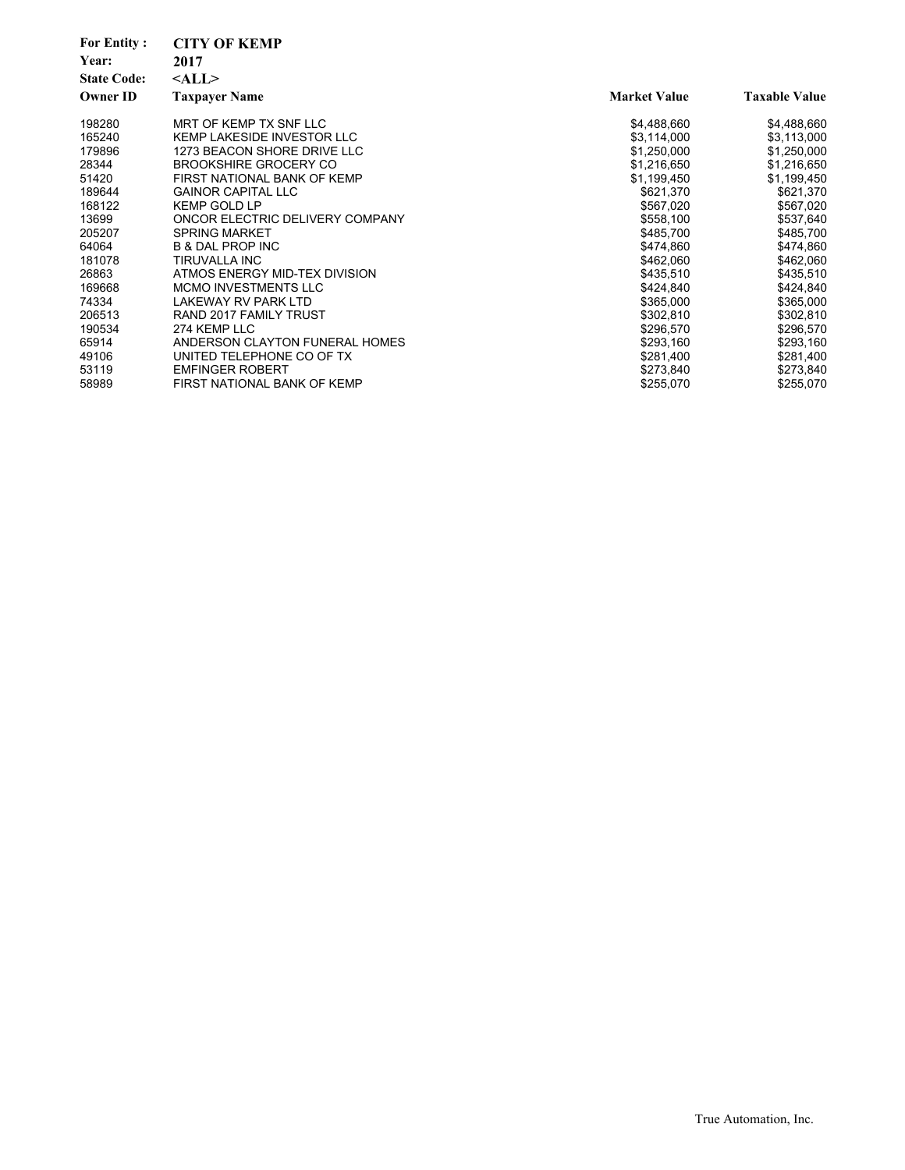| <b>For Entity:</b>          | <b>CITY OF KEMP</b>               |                     |                      |
|-----------------------------|-----------------------------------|---------------------|----------------------|
| Year:<br><b>State Code:</b> | 2017                              |                     |                      |
|                             | $<$ ALL $>$                       |                     |                      |
| <b>Owner ID</b>             | <b>Taxpayer Name</b>              | <b>Market Value</b> | <b>Taxable Value</b> |
| 198280                      | MRT OF KEMP TX SNF LLC            | \$4,488,660         | \$4,488,660          |
| 165240                      | <b>KEMP LAKESIDE INVESTOR LLC</b> | \$3,114,000         | \$3,113,000          |
| 179896                      | 1273 BEACON SHORE DRIVE LLC       | \$1,250,000         | \$1,250,000          |
| 28344                       | <b>BROOKSHIRE GROCERY CO</b>      | \$1,216,650         | \$1,216,650          |
| 51420                       | FIRST NATIONAL BANK OF KEMP       | \$1,199,450         | \$1,199,450          |
| 189644                      | <b>GAINOR CAPITAL LLC</b>         | \$621,370           | \$621,370            |
| 168122                      | <b>KEMP GOLD LP</b>               | \$567,020           | \$567,020            |
| 13699                       | ONCOR ELECTRIC DELIVERY COMPANY   | \$558,100           | \$537,640            |
| 205207                      | <b>SPRING MARKET</b>              | \$485,700           | \$485,700            |
| 64064                       | <b>B &amp; DAL PROP INC</b>       | \$474,860           | \$474,860            |
| 181078                      | <b>TIRUVALLA INC</b>              | \$462,060           | \$462,060            |
| 26863                       | ATMOS ENERGY MID-TEX DIVISION     | \$435,510           | \$435,510            |
| 169668                      | <b>MCMO INVESTMENTS LLC</b>       | \$424,840           | \$424,840            |
| 74334                       | LAKEWAY RV PARK LTD               | \$365,000           | \$365,000            |
| 206513                      | RAND 2017 FAMILY TRUST            | \$302,810           | \$302,810            |
| 190534                      | 274 KEMP LLC                      | \$296,570           | \$296,570            |
| 65914                       | ANDERSON CLAYTON FUNERAL HOMES    | \$293,160           | \$293,160            |
| 49106                       | UNITED TELEPHONE CO OF TX         | \$281,400           | \$281,400            |
| 53119                       | <b>EMFINGER ROBERT</b>            | \$273,840           | \$273,840            |
| 58989                       | FIRST NATIONAL BANK OF KEMP       | \$255,070           | \$255,070            |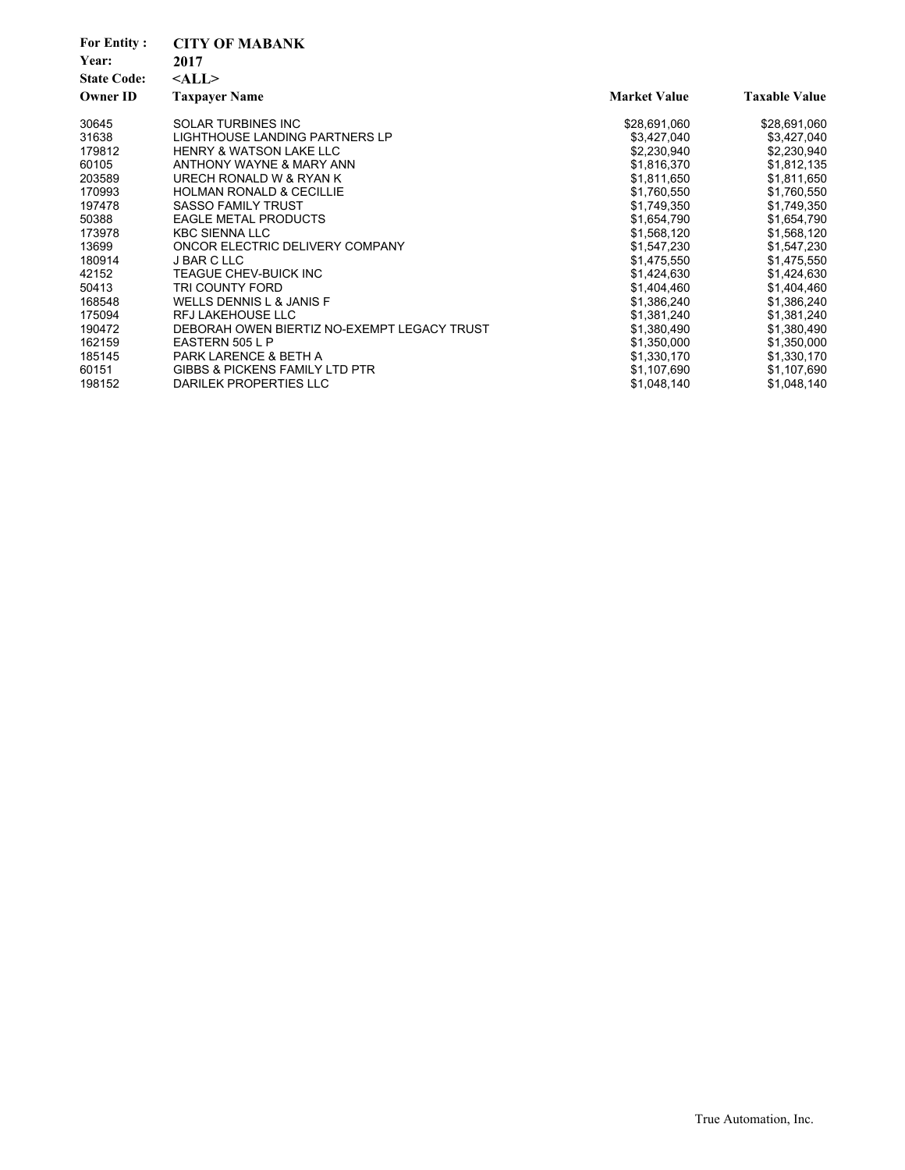| <b>For Entity:</b> | <b>CITY OF MABANK</b>                       |                     |                      |
|--------------------|---------------------------------------------|---------------------|----------------------|
| Year:              | 2017                                        |                     |                      |
| <b>State Code:</b> | $<$ ALL $>$                                 |                     |                      |
| <b>Owner ID</b>    | <b>Taxpayer Name</b>                        | <b>Market Value</b> | <b>Taxable Value</b> |
| 30645              | <b>SOLAR TURBINES INC</b>                   | \$28,691,060        | \$28,691,060         |
| 31638              | LIGHTHOUSE LANDING PARTNERS LP              | \$3,427,040         | \$3,427,040          |
| 179812             | <b>HENRY &amp; WATSON LAKE LLC</b>          | \$2,230,940         | \$2,230,940          |
| 60105              | ANTHONY WAYNE & MARY ANN                    | \$1,816,370         | \$1,812,135          |
| 203589             | URECH RONALD W & RYAN K                     | \$1,811,650         | \$1,811,650          |
| 170993             | <b>HOLMAN RONALD &amp; CECILLIE</b>         | \$1,760,550         | \$1,760,550          |
| 197478             | <b>SASSO FAMILY TRUST</b>                   | \$1,749,350         | \$1,749,350          |
| 50388              | <b>EAGLE METAL PRODUCTS</b>                 | \$1,654,790         | \$1,654,790          |
| 173978             | <b>KBC SIENNA LLC</b>                       | \$1,568,120         | \$1,568,120          |
| 13699              | ONCOR ELECTRIC DELIVERY COMPANY             | \$1,547,230         | \$1,547,230          |
| 180914             | <b>J BAR C LLC</b>                          | \$1,475,550         | \$1,475,550          |
| 42152              | TEAGUE CHEV-BUICK INC                       | \$1,424,630         | \$1,424,630          |
| 50413              | TRI COUNTY FORD                             | \$1,404,460         | \$1,404,460          |
| 168548             | <b>WELLS DENNIS L &amp; JANIS F</b>         | \$1,386,240         | \$1,386,240          |
| 175094             | <b>RFJ LAKEHOUSE LLC</b>                    | \$1,381,240         | \$1,381,240          |
| 190472             | DEBORAH OWEN BIERTIZ NO-EXEMPT LEGACY TRUST | \$1,380,490         | \$1,380,490          |
| 162159             | EASTERN 505 L P                             | \$1,350,000         | \$1,350,000          |
| 185145             | PARK LARENCE & BETH A                       | \$1,330,170         | \$1,330,170          |
| 60151              | <b>GIBBS &amp; PICKENS FAMILY LTD PTR</b>   | \$1,107,690         | \$1,107,690          |
| 198152             | DARILEK PROPERTIES LLC                      | \$1,048,140         | \$1,048,140          |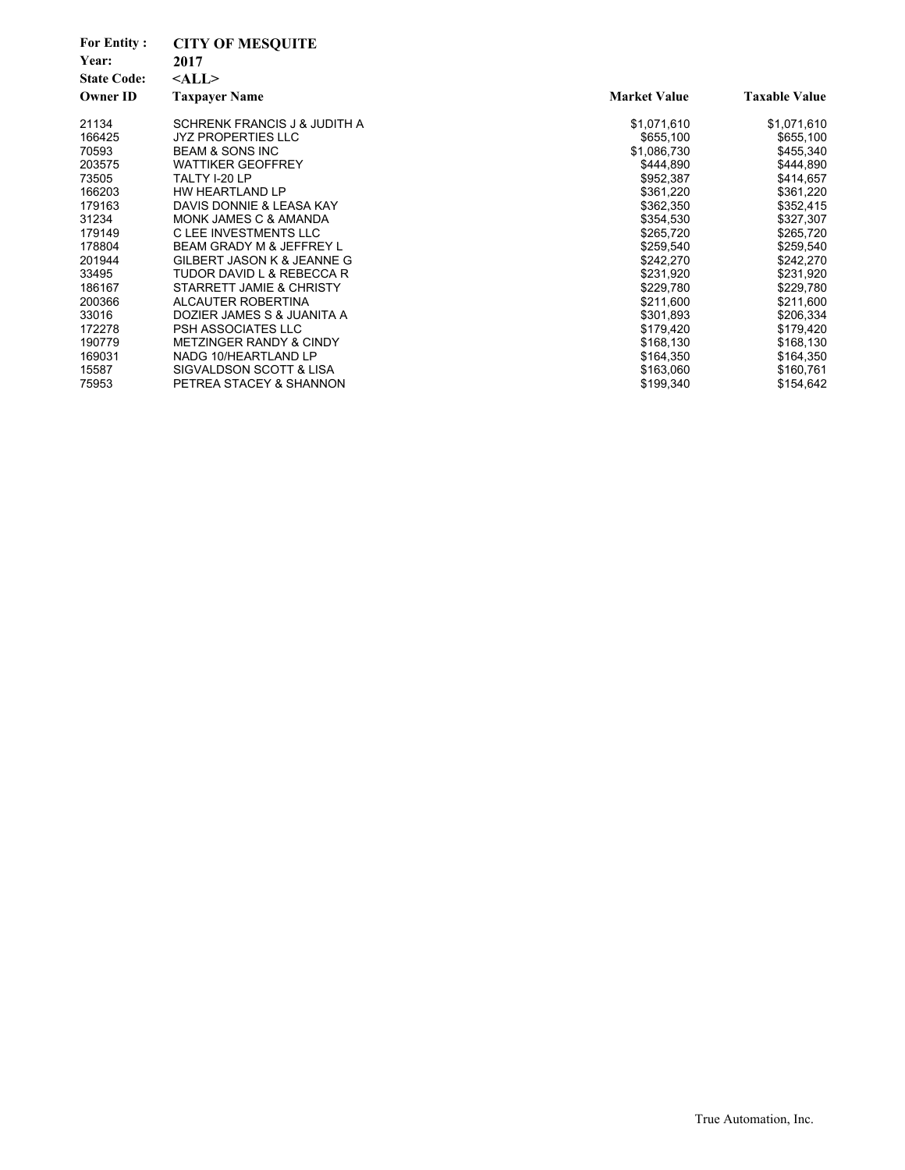| <b>For Entity:</b><br>Year:<br><b>State Code:</b><br><b>Owner ID</b> | <b>CITY OF MESQUITE</b><br>2017<br>$<$ ALL $>$<br><b>Taxpayer Name</b> | <b>Market Value</b> | <b>Taxable Value</b> |
|----------------------------------------------------------------------|------------------------------------------------------------------------|---------------------|----------------------|
| 21134                                                                | SCHRENK FRANCIS J & JUDITH A                                           | \$1,071,610         | \$1,071,610          |
| 166425                                                               | <b>JYZ PROPERTIES LLC</b>                                              | \$655,100           | \$655,100            |
| 70593                                                                | <b>BEAM &amp; SONS INC</b>                                             | \$1,086,730         | \$455,340            |
| 203575                                                               | <b>WATTIKER GEOFFREY</b>                                               | \$444,890           | \$444,890            |
| 73505                                                                | TALTY I-20 LP                                                          | \$952,387           | \$414,657            |
| 166203                                                               | HW HEARTLAND LP                                                        | \$361,220           | \$361,220            |
| 179163                                                               | DAVIS DONNIE & LEASA KAY                                               | \$362,350           | \$352,415            |
| 31234                                                                | MONK JAMES C & AMANDA                                                  | \$354,530           | \$327,307            |
| 179149                                                               | C LEE INVESTMENTS LLC                                                  | \$265,720           | \$265,720            |
| 178804                                                               | BEAM GRADY M & JEFFREY L                                               | \$259,540           | \$259,540            |
| 201944                                                               | GILBERT JASON K & JEANNE G                                             | \$242,270           | \$242,270            |
| 33495                                                                | TUDOR DAVID L & REBECCA R                                              | \$231,920           | \$231,920            |
| 186167                                                               | STARRETT JAMIE & CHRISTY                                               | \$229,780           | \$229,780            |
| 200366                                                               | ALCAUTER ROBERTINA                                                     | \$211,600           | \$211,600            |
| 33016                                                                | DOZIER JAMES S & JUANITA A                                             | \$301,893           | \$206,334            |
| 172278                                                               | PSH ASSOCIATES LLC                                                     | \$179,420           | \$179,420            |
| 190779                                                               | <b>METZINGER RANDY &amp; CINDY</b>                                     | \$168,130           | \$168,130            |
| 169031                                                               | NADG 10/HEARTLAND LP                                                   | \$164,350           | \$164,350            |
| 15587                                                                | SIGVALDSON SCOTT & LISA                                                | \$163,060           | \$160,761            |
| 75953                                                                | PETREA STACEY & SHANNON                                                | \$199,340           | \$154,642            |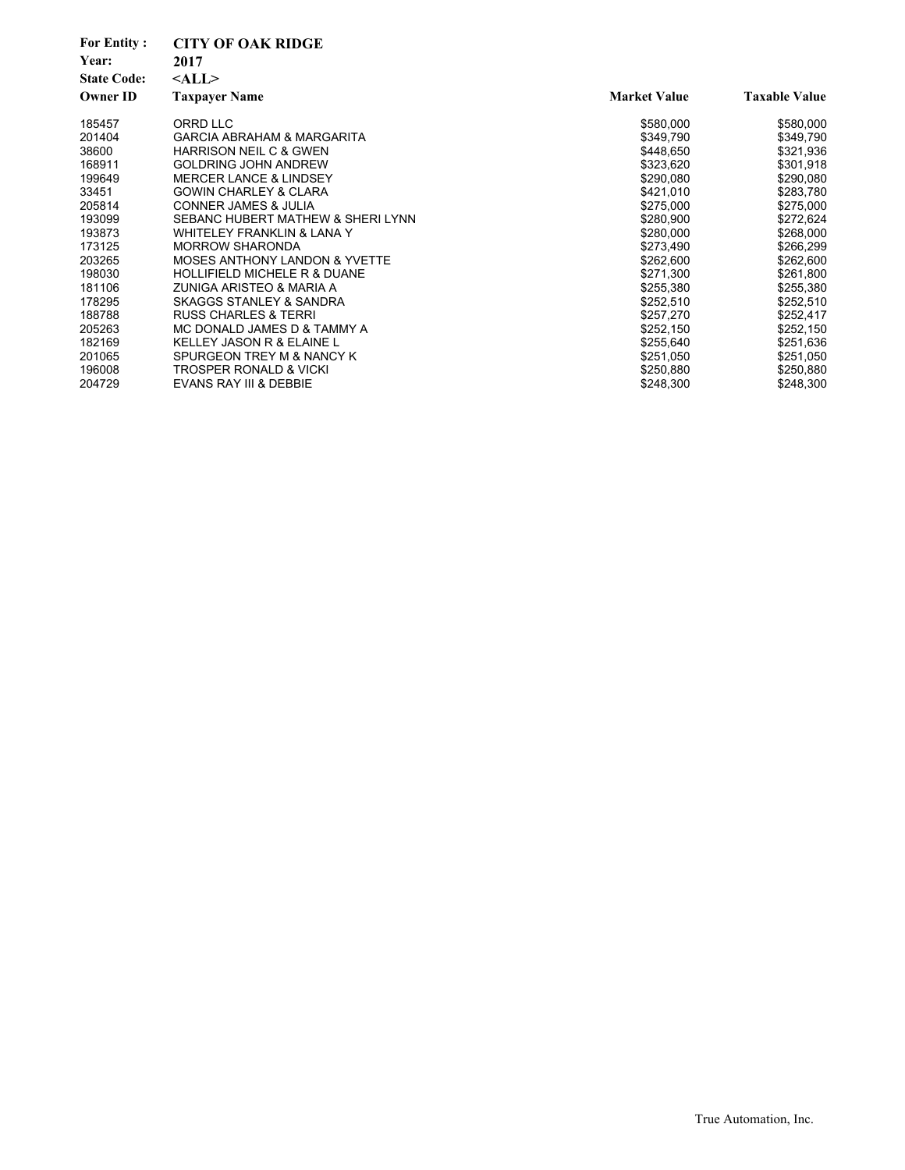| <b>For Entity:</b> | <b>CITY OF OAK RIDGE</b>                 |                     |                      |
|--------------------|------------------------------------------|---------------------|----------------------|
| Year:              | 2017                                     |                     |                      |
| <b>State Code:</b> | $<$ ALL $>$                              |                     |                      |
| <b>Owner ID</b>    | <b>Taxpayer Name</b>                     | <b>Market Value</b> | <b>Taxable Value</b> |
| 185457             | ORRD LLC                                 | \$580,000           | \$580,000            |
| 201404             | <b>GARCIA ABRAHAM &amp; MARGARITA</b>    | \$349,790           | \$349,790            |
| 38600              | <b>HARRISON NEIL C &amp; GWEN</b>        | \$448,650           | \$321,936            |
| 168911             | <b>GOLDRING JOHN ANDREW</b>              | \$323,620           | \$301,918            |
| 199649             | <b>MERCER LANCE &amp; LINDSEY</b>        | \$290,080           | \$290,080            |
| 33451              | <b>GOWIN CHARLEY &amp; CLARA</b>         | \$421,010           | \$283,780            |
| 205814             | <b>CONNER JAMES &amp; JULIA</b>          | \$275,000           | \$275,000            |
| 193099             | SEBANC HUBERT MATHEW & SHERI LYNN        | \$280,900           | \$272,624            |
| 193873             | <b>WHITELEY FRANKLIN &amp; LANA Y</b>    | \$280,000           | \$268,000            |
| 173125             | <b>MORROW SHARONDA</b>                   | \$273,490           | \$266,299            |
| 203265             | <b>MOSES ANTHONY LANDON &amp; YVETTE</b> | \$262,600           | \$262,600            |
| 198030             | <b>HOLLIFIELD MICHELE R &amp; DUANE</b>  | \$271,300           | \$261,800            |
| 181106             | ZUNIGA ARISTEO & MARIA A                 | \$255,380           | \$255,380            |
| 178295             | SKAGGS STANLEY & SANDRA                  | \$252,510           | \$252,510            |
| 188788             | <b>RUSS CHARLES &amp; TERRI</b>          | \$257,270           | \$252,417            |
| 205263             | MC DONALD JAMES D & TAMMY A              | \$252,150           | \$252,150            |
| 182169             | KELLEY JASON R & ELAINE L                | \$255,640           | \$251,636            |
| 201065             | SPURGEON TREY M & NANCY K                | \$251,050           | \$251,050            |
| 196008             | <b>TROSPER RONALD &amp; VICKI</b>        | \$250,880           | \$250,880            |
| 204729             | EVANS RAY III & DEBBIE                   | \$248,300           | \$248,300            |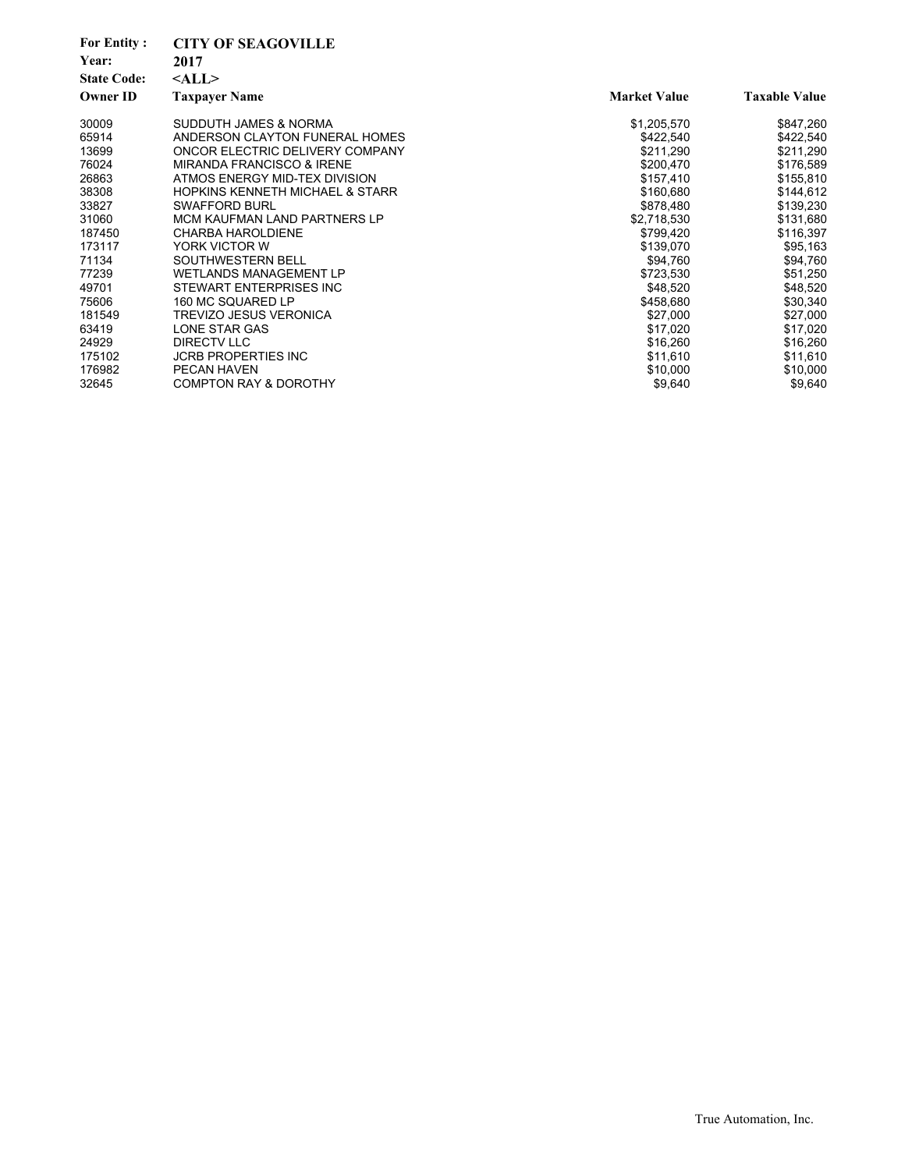| <b>For Entity:</b><br>Year:<br><b>State Code:</b><br><b>Owner ID</b> | <b>CITY OF SEAGOVILLE</b><br>2017<br>$<$ ALL $>$<br><b>Taxpayer Name</b> | <b>Market Value</b>    | <b>Taxable Value</b>   |
|----------------------------------------------------------------------|--------------------------------------------------------------------------|------------------------|------------------------|
| 30009                                                                | SUDDUTH JAMES & NORMA                                                    | \$1,205,570            | \$847,260              |
| 65914                                                                | ANDERSON CLAYTON FUNERAL HOMES                                           | \$422,540              | \$422,540              |
| 13699<br>76024                                                       | ONCOR ELECTRIC DELIVERY COMPANY<br><b>MIRANDA FRANCISCO &amp; IRENE</b>  | \$211,290<br>\$200,470 | \$211,290<br>\$176,589 |
| 26863                                                                | ATMOS ENERGY MID-TEX DIVISION                                            | \$157,410              | \$155,810              |
| 38308                                                                | HOPKINS KENNETH MICHAEL & STARR                                          | \$160,680              | \$144,612              |
| 33827                                                                | <b>SWAFFORD BURL</b>                                                     | \$878,480              | \$139,230              |
| 31060                                                                | MCM KAUFMAN LAND PARTNERS LP                                             | \$2,718,530            | \$131,680              |
| 187450                                                               | <b>CHARBA HAROLDIENE</b>                                                 | \$799,420              | \$116,397              |
| 173117                                                               | YORK VICTOR W                                                            | \$139,070              | \$95,163               |
| 71134                                                                | SOUTHWESTERN BELL                                                        | \$94,760               | \$94,760               |
| 77239                                                                | <b>WETLANDS MANAGEMENT LP</b>                                            | \$723,530              | \$51,250               |
| 49701                                                                | STEWART ENTERPRISES INC                                                  | \$48,520               | \$48,520               |
| 75606                                                                | 160 MC SQUARED LP                                                        | \$458,680              | \$30,340               |
| 181549                                                               | <b>TREVIZO JESUS VERONICA</b>                                            | \$27,000               | \$27,000               |
| 63419                                                                | LONE STAR GAS                                                            | \$17,020               | \$17,020               |
| 24929                                                                | <b>DIRECTV LLC</b>                                                       | \$16,260               | \$16,260               |
| 175102                                                               | <b>JCRB PROPERTIES INC</b>                                               | \$11,610               | \$11,610               |
| 176982                                                               | PECAN HAVEN                                                              | \$10,000               | \$10,000               |
| 32645                                                                | <b>COMPTON RAY &amp; DOROTHY</b>                                         | \$9,640                | \$9,640                |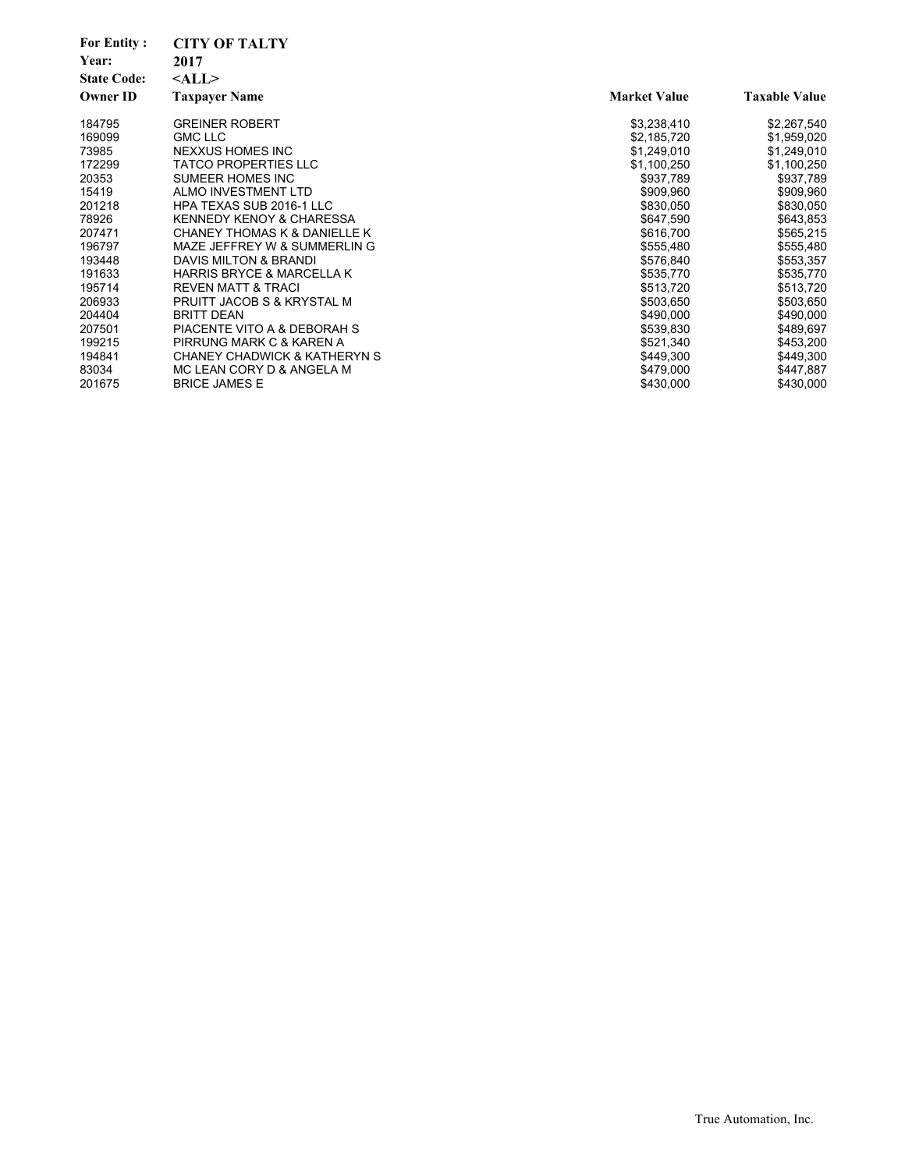| <b>For Entity:</b> | <b>CITY OF TALTY</b>                    |                     |                      |
|--------------------|-----------------------------------------|---------------------|----------------------|
| Year:              | 2017                                    |                     |                      |
| <b>State Code:</b> | $<$ ALL $>$                             |                     |                      |
| <b>Owner ID</b>    | <b>Taxpayer Name</b>                    | <b>Market Value</b> | <b>Taxable Value</b> |
| 184795             | <b>GREINER ROBERT</b>                   | \$3,238,410         | \$2,267,540          |
| 169099             | <b>GMC LLC</b>                          | \$2,185,720         | \$1,959,020          |
| 73985              | NEXXUS HOMES INC                        | \$1,249,010         | \$1,249,010          |
| 172299             | <b>TATCO PROPERTIES LLC</b>             | \$1,100,250         | \$1,100,250          |
| 20353              | SUMEER HOMES INC                        | \$937,789           | \$937,789            |
| 15419              | ALMO INVESTMENT LTD                     | \$909,960           | \$909,960            |
| 201218             | <b>HPA TEXAS SUB 2016-1 LLC</b>         | \$830,050           | \$830,050            |
| 78926              | <b>KENNEDY KENOY &amp; CHARESSA</b>     | \$647,590           | \$643,853            |
| 207471             | <b>CHANEY THOMAS K &amp; DANIELLE K</b> | \$616,700           | \$565,215            |
| 196797             | MAZE JEFFREY W & SUMMERLIN G            | \$555,480           | \$555,480            |
| 193448             | DAVIS MILTON & BRANDI                   | \$576,840           | \$553,357            |
| 191633             | <b>HARRIS BRYCE &amp; MARCELLA K</b>    | \$535,770           | \$535,770            |
| 195714             | REVEN MATT & TRACI                      | \$513,720           | \$513,720            |
| 206933             | PRUITT JACOB S & KRYSTAL M              | \$503,650           | \$503,650            |
| 204404             | <b>BRITT DEAN</b>                       | \$490,000           | \$490,000            |
| 207501             | PIACENTE VITO A & DEBORAH S             | \$539,830           | \$489,697            |
| 199215             | PIRRUNG MARK C & KAREN A                | \$521,340           | \$453,200            |
| 194841             | CHANEY CHADWICK & KATHERYN S            | \$449,300           | \$449,300            |
| 83034              | MC LEAN CORY D & ANGELA M               | \$479,000           | \$447,887            |
| 201675             | <b>BRICE JAMES E</b>                    | \$430,000           | \$430,000            |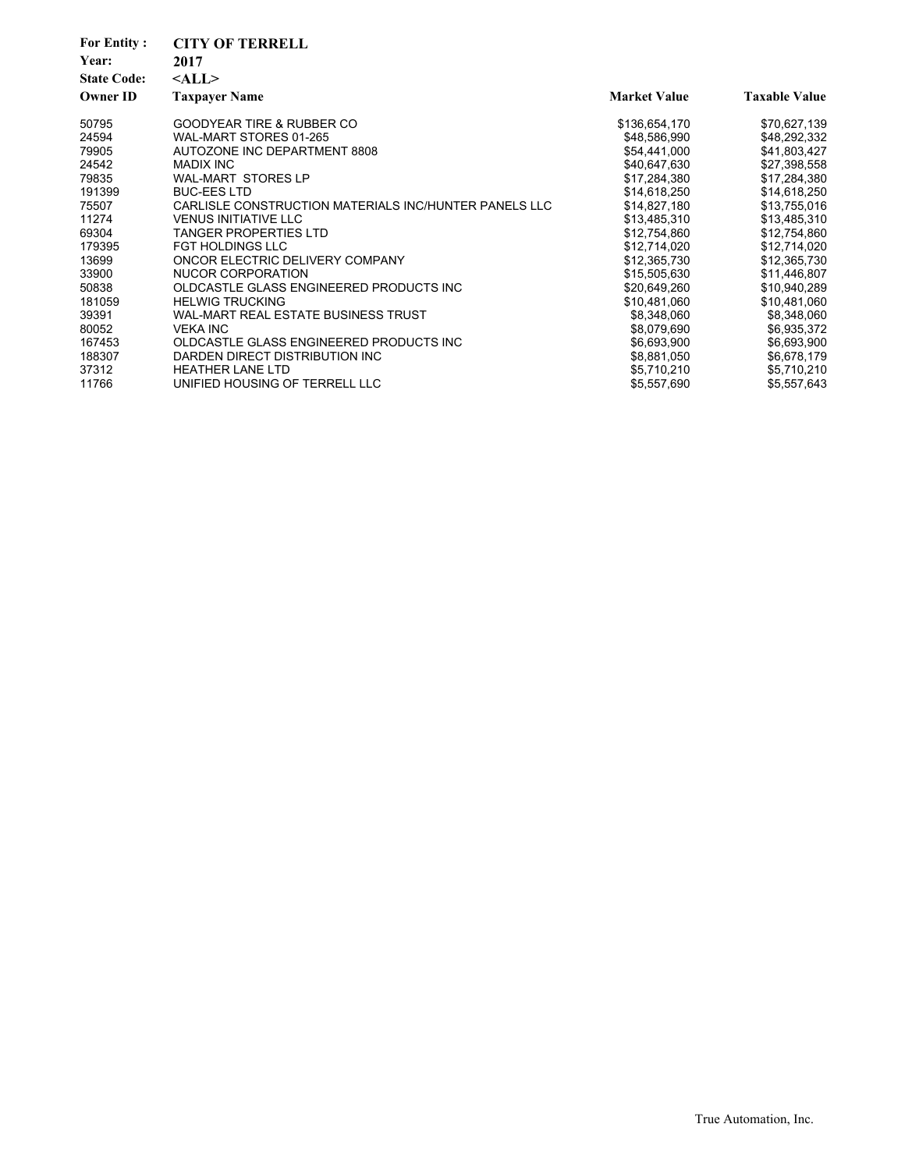| <b>For Entity:</b> | <b>CITY OF TERRELL</b>                                |                     |                      |
|--------------------|-------------------------------------------------------|---------------------|----------------------|
| Year:              | 2017                                                  |                     |                      |
| <b>State Code:</b> | $<$ ALL $>$                                           |                     |                      |
| <b>Owner ID</b>    | <b>Taxpayer Name</b>                                  | <b>Market Value</b> | <b>Taxable Value</b> |
| 50795              | <b>GOODYEAR TIRE &amp; RUBBER CO</b>                  | \$136,654,170       | \$70,627,139         |
| 24594              | WAL-MART STORES 01-265                                | \$48,586,990        | \$48,292,332         |
| 79905              | AUTOZONE INC DEPARTMENT 8808                          | \$54,441,000        | \$41,803,427         |
| 24542              | <b>MADIX INC</b>                                      | \$40,647,630        | \$27,398,558         |
| 79835              | <b>WAL-MART STORES LP</b>                             | \$17,284,380        | \$17,284,380         |
| 191399             | <b>BUC-EES LTD</b>                                    | \$14,618,250        | \$14,618,250         |
| 75507              | CARLISLE CONSTRUCTION MATERIALS INC/HUNTER PANELS LLC | \$14,827,180        | \$13,755,016         |
| 11274              | <b>VENUS INITIATIVE LLC</b>                           | \$13,485,310        | \$13,485,310         |
| 69304              | <b>TANGER PROPERTIES LTD</b>                          | \$12,754,860        | \$12,754,860         |
| 179395             | <b>FGT HOLDINGS LLC</b>                               | \$12,714,020        | \$12,714,020         |
| 13699              | ONCOR ELECTRIC DELIVERY COMPANY                       | \$12,365,730        | \$12,365,730         |
| 33900              | NUCOR CORPORATION                                     | \$15,505,630        | \$11,446,807         |
| 50838              | OLDCASTLE GLASS ENGINEERED PRODUCTS INC               | \$20,649,260        | \$10,940,289         |
| 181059             | <b>HELWIG TRUCKING</b>                                | \$10,481,060        | \$10,481,060         |
| 39391              | WAL-MART REAL ESTATE BUSINESS TRUST                   | \$8,348,060         | \$8,348,060          |
| 80052              | <b>VEKA INC</b>                                       | \$8,079,690         | \$6,935,372          |
| 167453             | OLDCASTLE GLASS ENGINEERED PRODUCTS INC               | \$6,693,900         | \$6,693,900          |
| 188307             | DARDEN DIRECT DISTRIBUTION INC                        | \$8,881,050         | \$6,678,179          |
| 37312              | <b>HEATHER LANE LTD</b>                               | \$5,710,210         | \$5,710,210          |
| 11766              | UNIFIED HOUSING OF TERRELL LLC                        | \$5,557,690         | \$5,557,643          |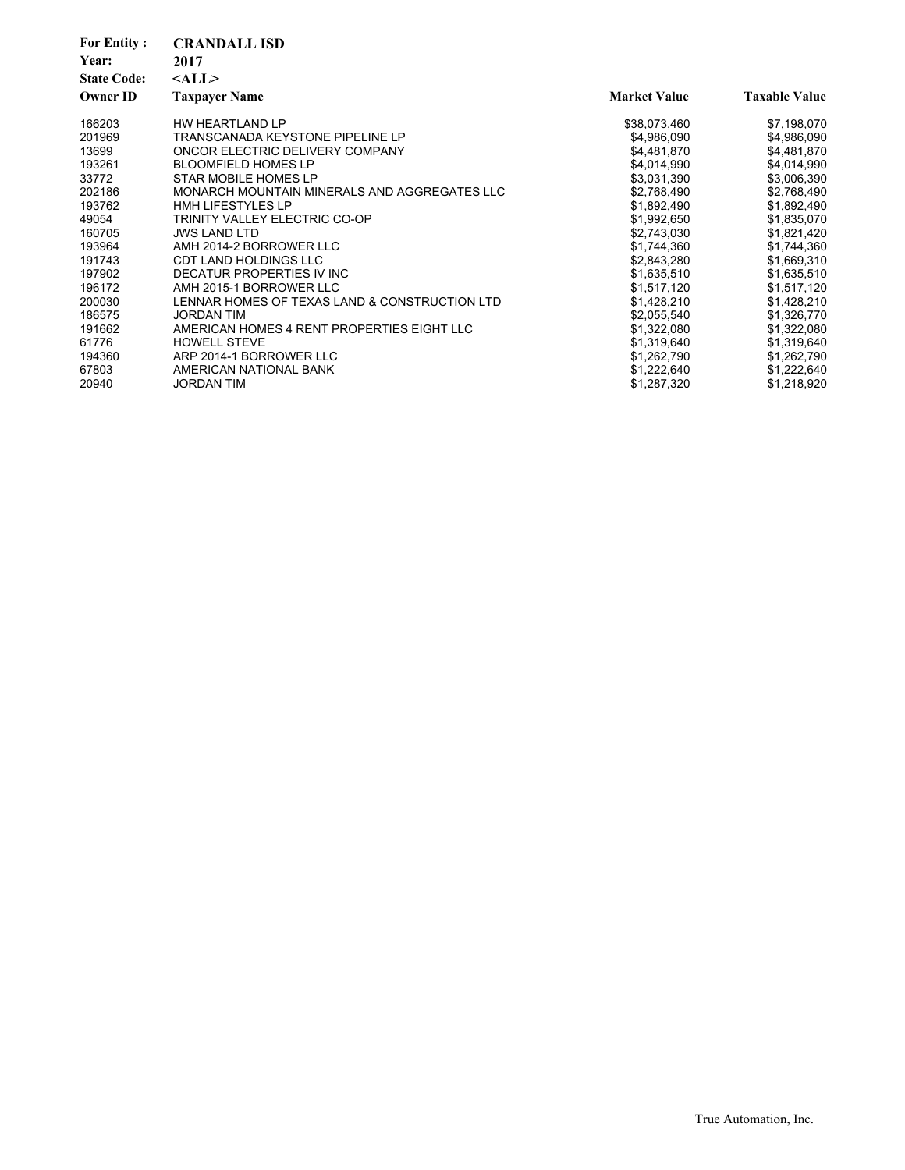| <b>For Entity:</b><br>Year:<br><b>State Code:</b><br><b>Owner ID</b> | <b>CRANDALL ISD</b><br>2017<br>$<$ ALL $>$<br><b>Taxpayer Name</b> | <b>Market Value</b> | <b>Taxable Value</b> |
|----------------------------------------------------------------------|--------------------------------------------------------------------|---------------------|----------------------|
| 166203                                                               | HW HEARTLAND LP                                                    | \$38,073,460        | \$7,198,070          |
| 201969                                                               | <b>TRANSCANADA KEYSTONE PIPELINE LP</b>                            | \$4,986,090         | \$4,986,090          |
| 13699                                                                | ONCOR ELECTRIC DELIVERY COMPANY                                    | \$4,481,870         | \$4,481,870          |
| 193261                                                               | <b>BLOOMFIELD HOMES LP</b>                                         | \$4,014,990         | \$4,014,990          |
| 33772                                                                | STAR MOBILE HOMES LP                                               | \$3,031,390         | \$3,006,390          |
| 202186                                                               | MONARCH MOUNTAIN MINERALS AND AGGREGATES LLC                       | \$2,768,490         | \$2,768,490          |
| 193762                                                               | <b>HMH LIFESTYLES LP</b>                                           | \$1,892,490         | \$1,892,490          |
| 49054                                                                | TRINITY VALLEY ELECTRIC CO-OP                                      | \$1,992,650         | \$1,835,070          |
| 160705                                                               | <b>JWS LAND LTD</b>                                                | \$2,743,030         | \$1,821,420          |
| 193964                                                               | AMH 2014-2 BORROWER LLC                                            | \$1,744,360         | \$1,744,360          |
| 191743                                                               | <b>CDT LAND HOLDINGS LLC</b>                                       | \$2,843,280         | \$1,669,310          |
| 197902                                                               | DECATUR PROPERTIES IV INC                                          | \$1,635,510         | \$1,635,510          |
| 196172                                                               | AMH 2015-1 BORROWER LLC                                            | \$1,517,120         | \$1,517,120          |
| 200030                                                               | LENNAR HOMES OF TEXAS LAND & CONSTRUCTION LTD                      | \$1,428,210         | \$1,428,210          |
| 186575                                                               | <b>JORDAN TIM</b>                                                  | \$2,055,540         | \$1,326,770          |
| 191662                                                               | AMERICAN HOMES 4 RENT PROPERTIES EIGHT LLC                         | \$1,322,080         | \$1,322,080          |
| 61776                                                                | <b>HOWELL STEVE</b>                                                | \$1,319,640         | \$1,319,640          |
| 194360                                                               | ARP 2014-1 BORROWER LLC                                            | \$1,262,790         | \$1,262,790          |
| 67803                                                                | AMERICAN NATIONAL BANK                                             | \$1,222,640         | \$1,222,640          |
| 20940                                                                | <b>JORDAN TIM</b>                                                  | \$1,287,320         | \$1,218,920          |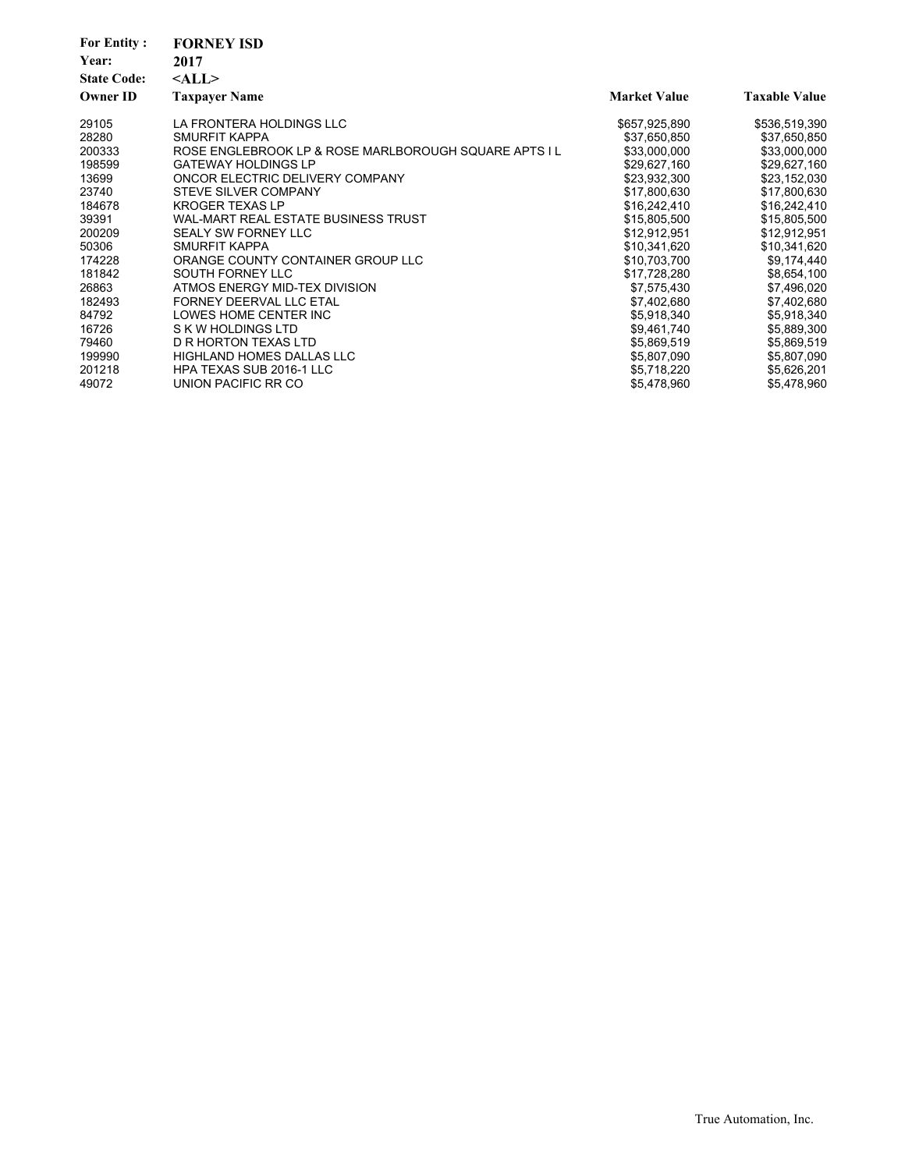| <b>For Entity:</b><br>Year:<br><b>State Code:</b><br><b>Owner ID</b> | <b>FORNEY ISD</b><br>2017<br>$<$ ALL $>$<br><b>Taxpayer Name</b> | <b>Market Value</b> | <b>Taxable Value</b> |
|----------------------------------------------------------------------|------------------------------------------------------------------|---------------------|----------------------|
|                                                                      |                                                                  |                     |                      |
| 29105                                                                | LA FRONTERA HOLDINGS LLC                                         | \$657,925,890       | \$536,519,390        |
| 28280                                                                | SMURFIT KAPPA                                                    | \$37,650,850        | \$37,650,850         |
| 200333                                                               | ROSE ENGLEBROOK LP & ROSE MARLBOROUGH SQUARE APTS I L            | \$33,000,000        | \$33,000,000         |
| 198599                                                               | <b>GATEWAY HOLDINGS LP</b>                                       | \$29,627,160        | \$29,627,160         |
| 13699                                                                | ONCOR ELECTRIC DELIVERY COMPANY                                  | \$23,932,300        | \$23,152,030         |
| 23740                                                                | STEVE SILVER COMPANY                                             | \$17,800,630        | \$17,800,630         |
| 184678                                                               | <b>KROGER TEXAS LP</b>                                           | \$16,242,410        | \$16,242,410         |
| 39391                                                                | WAL-MART REAL ESTATE BUSINESS TRUST                              | \$15,805,500        | \$15,805,500         |
| 200209                                                               | <b>SEALY SW FORNEY LLC</b>                                       | \$12,912,951        | \$12,912,951         |
| 50306                                                                | SMURFIT KAPPA                                                    | \$10,341,620        | \$10,341,620         |
| 174228                                                               | ORANGE COUNTY CONTAINER GROUP LLC                                | \$10.703.700        | \$9,174,440          |
| 181842                                                               | SOUTH FORNEY LLC                                                 | \$17,728,280        | \$8,654,100          |
| 26863                                                                | ATMOS ENERGY MID-TEX DIVISION                                    | \$7,575,430         | \$7,496,020          |
| 182493                                                               | FORNEY DEERVAL LLC ETAL                                          | \$7,402,680         | \$7,402,680          |
| 84792                                                                | LOWES HOME CENTER INC                                            | \$5,918,340         | \$5,918,340          |
| 16726                                                                | S K W HOLDINGS LTD                                               | \$9,461,740         | \$5,889,300          |
| 79460                                                                | D R HORTON TEXAS LTD                                             | \$5,869,519         | \$5,869,519          |
| 199990                                                               | <b>HIGHLAND HOMES DALLAS LLC</b>                                 | \$5,807,090         | \$5,807,090          |
| 201218                                                               | HPA TEXAS SUB 2016-1 LLC                                         | \$5,718,220         | \$5,626,201          |
| 49072                                                                | UNION PACIFIC RR CO                                              | \$5,478,960         | \$5,478,960          |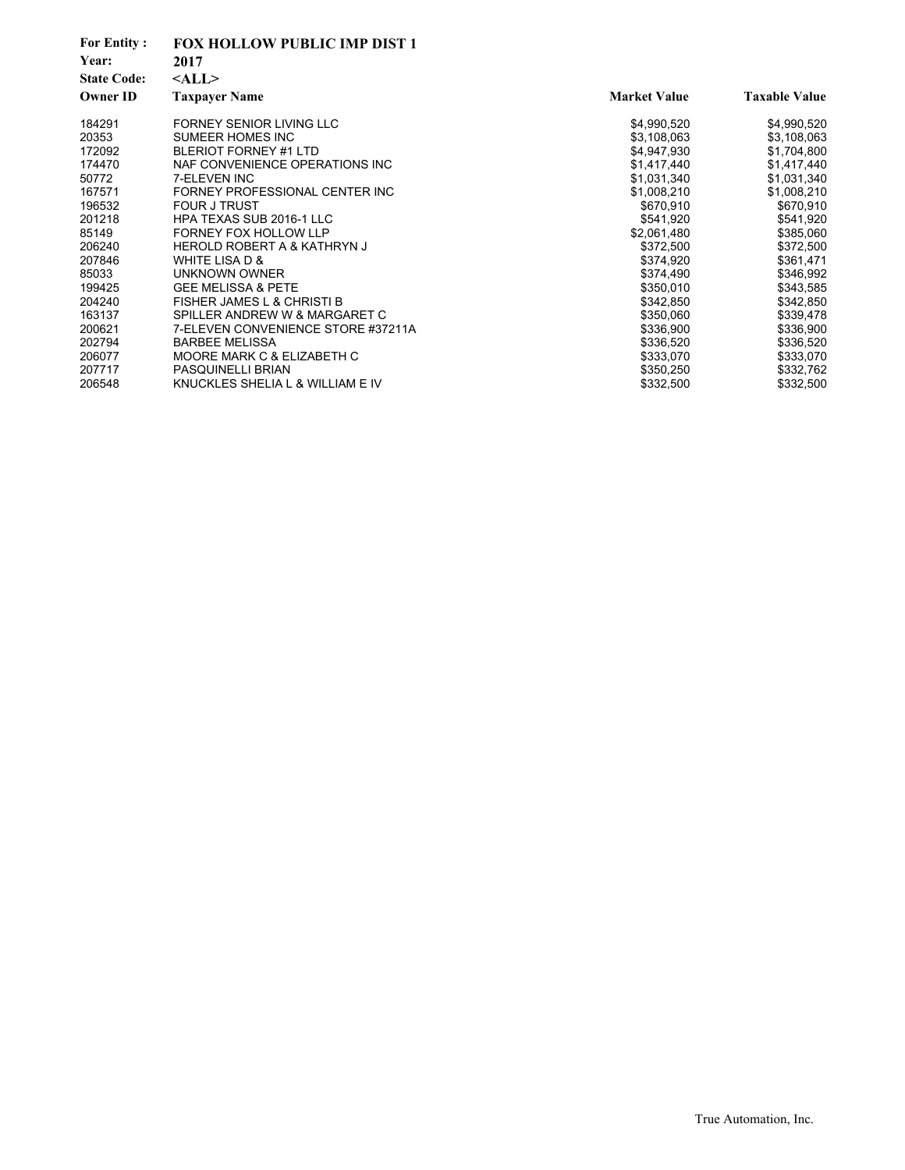| <b>For Entity:</b><br>Year:<br><b>State Code:</b> | <b>FOX HOLLOW PUBLIC IMP DIST 1</b><br>2017<br>$<$ ALL $>$ |                     |                      |
|---------------------------------------------------|------------------------------------------------------------|---------------------|----------------------|
| <b>Owner ID</b>                                   | <b>Taxpayer Name</b>                                       | <b>Market Value</b> | <b>Taxable Value</b> |
| 184291                                            | FORNEY SENIOR LIVING LLC                                   | \$4,990,520         | \$4,990,520          |
| 20353                                             | SUMEER HOMES INC                                           | \$3,108,063         | \$3,108,063          |
| 172092                                            | <b>BLERIOT FORNEY #1 LTD</b>                               | \$4,947,930         | \$1,704,800          |
| 174470                                            | NAF CONVENIENCE OPERATIONS INC                             | \$1,417,440         | \$1,417,440          |
| 50772                                             | 7-ELEVEN INC                                               | \$1,031,340         | \$1,031,340          |
| 167571                                            | FORNEY PROFESSIONAL CENTER INC                             | \$1,008,210         | \$1,008,210          |
| 196532                                            | <b>FOUR J TRUST</b>                                        | \$670,910           | \$670,910            |
| 201218                                            | HPA TEXAS SUB 2016-1 LLC                                   | \$541,920           | \$541,920            |
| 85149                                             | <b>FORNEY FOX HOLLOW LLP</b>                               | \$2,061,480         | \$385,060            |
| 206240                                            | <b>HEROLD ROBERT A &amp; KATHRYN J</b>                     | \$372,500           | \$372,500            |
| 207846                                            | WHITE LISA D &                                             | \$374,920           | \$361,471            |
| 85033                                             | UNKNOWN OWNER                                              | \$374,490           | \$346,992            |
| 199425                                            | <b>GEE MELISSA &amp; PETE</b>                              | \$350,010           | \$343,585            |
| 204240                                            | <b>FISHER JAMES L &amp; CHRISTI B</b>                      | \$342,850           | \$342,850            |
| 163137                                            | SPILLER ANDREW W & MARGARET C                              | \$350,060           | \$339,478            |
| 200621                                            | 7-ELEVEN CONVENIENCE STORE #37211A                         | \$336,900           | \$336,900            |
| 202794                                            | <b>BARBEE MELISSA</b>                                      | \$336,520           | \$336,520            |
| 206077                                            | MOORE MARK C & ELIZABETH C                                 | \$333,070           | \$333,070            |
| 207717                                            | <b>PASQUINELLI BRIAN</b>                                   | \$350,250           | \$332,762            |
| 206548                                            | KNUCKLES SHELIA L & WILLIAM E IV                           | \$332,500           | \$332,500            |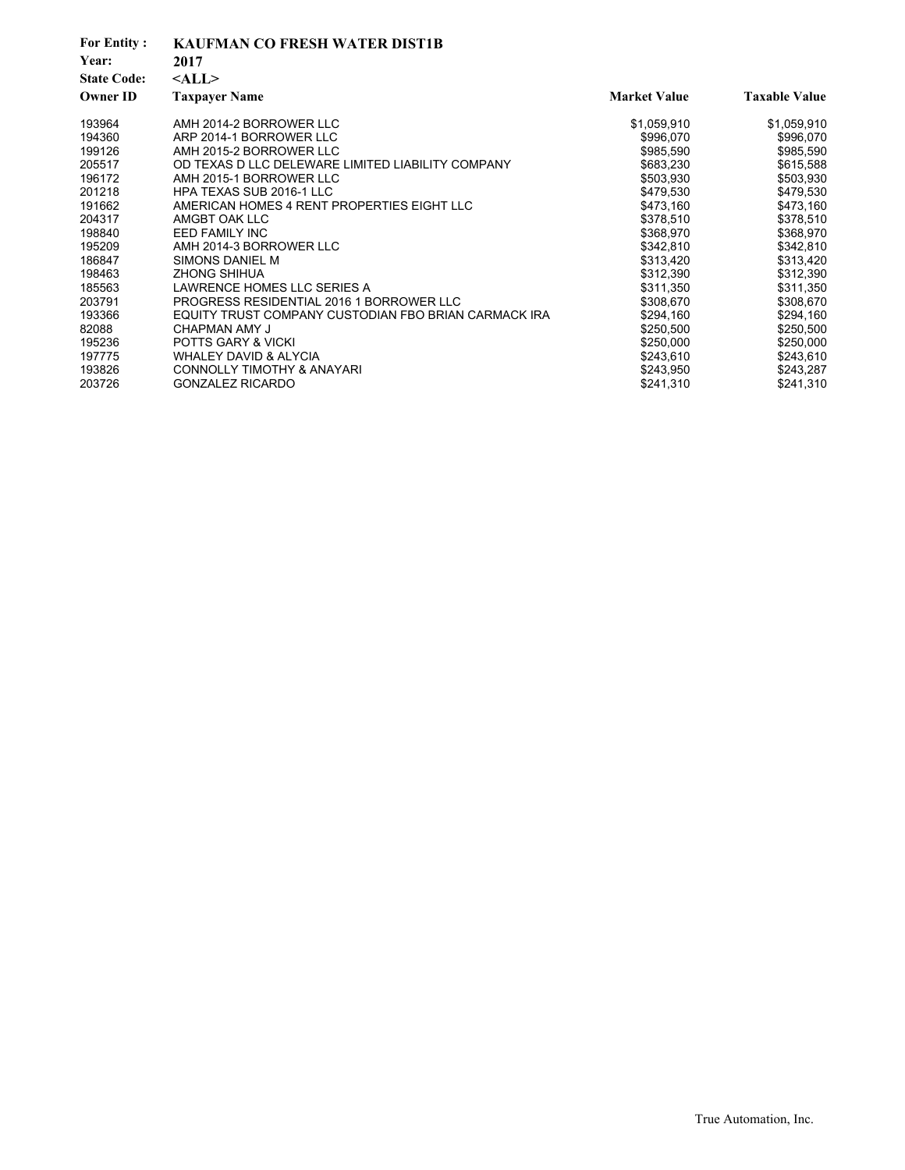| <b>For Entity:</b><br>Year:<br><b>State Code:</b> | <b>KAUFMAN CO FRESH WATER DIST1B</b><br>2017<br>$<$ ALL $>$ |                     |                      |
|---------------------------------------------------|-------------------------------------------------------------|---------------------|----------------------|
| <b>Owner ID</b>                                   | <b>Taxpayer Name</b>                                        | <b>Market Value</b> | <b>Taxable Value</b> |
| 193964                                            | AMH 2014-2 BORROWER LLC                                     | \$1,059,910         | \$1,059,910          |
| 194360                                            | ARP 2014-1 BORROWER LLC                                     | \$996,070           | \$996,070            |
| 199126                                            | AMH 2015-2 BORROWER LLC                                     | \$985.590           | \$985,590            |
| 205517                                            | OD TEXAS D LLC DELEWARE LIMITED LIABILITY COMPANY           | \$683,230           | \$615,588            |
| 196172                                            | AMH 2015-1 BORROWER LLC                                     | \$503,930           | \$503,930            |
| 201218                                            | HPA TEXAS SUB 2016-1 LLC                                    | \$479,530           | \$479,530            |
| 191662                                            | AMERICAN HOMES 4 RENT PROPERTIES EIGHT LLC                  | \$473,160           | \$473,160            |
| 204317                                            | AMGBT OAK LLC                                               | \$378,510           | \$378,510            |
| 198840                                            | <b>EED FAMILY INC</b>                                       | \$368,970           | \$368,970            |
| 195209                                            | AMH 2014-3 BORROWER LLC                                     | \$342,810           | \$342,810            |
| 186847                                            | SIMONS DANIEL M                                             | \$313,420           | \$313,420            |
| 198463                                            | <b>ZHONG SHIHUA</b>                                         | \$312,390           | \$312,390            |
| 185563                                            | LAWRENCE HOMES LLC SERIES A                                 | \$311,350           | \$311,350            |
| 203791                                            | PROGRESS RESIDENTIAL 2016 1 BORROWER LLC                    | \$308,670           | \$308,670            |
| 193366                                            | EQUITY TRUST COMPANY CUSTODIAN FBO BRIAN CARMACK IRA        | \$294,160           | \$294,160            |
| 82088                                             | CHAPMAN AMY J                                               | \$250,500           | \$250,500            |
| 195236                                            | <b>POTTS GARY &amp; VICKI</b>                               | \$250,000           | \$250,000            |
| 197775                                            | <b>WHALEY DAVID &amp; ALYCIA</b>                            | \$243,610           | \$243,610            |
| 193826                                            | <b>CONNOLLY TIMOTHY &amp; ANAYARI</b>                       | \$243,950           | \$243,287            |
| 203726                                            | <b>GONZALEZ RICARDO</b>                                     | \$241,310           | \$241,310            |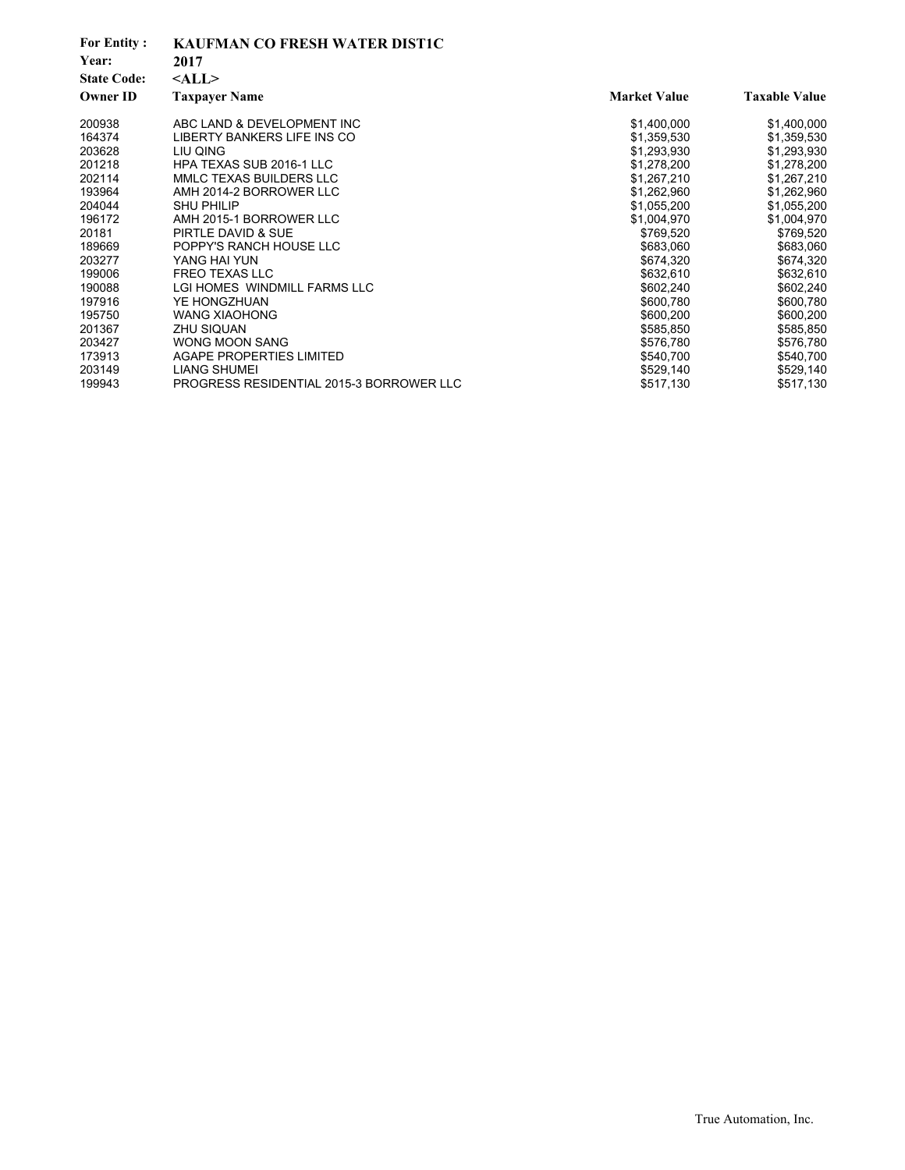| <b>For Entity:</b><br>Year:<br><b>State Code:</b> | <b>KAUFMAN CO FRESH WATER DISTIC</b><br>2017<br>$<$ ALL $>$ |                     |                      |
|---------------------------------------------------|-------------------------------------------------------------|---------------------|----------------------|
| <b>Owner ID</b>                                   | <b>Taxpayer Name</b>                                        | <b>Market Value</b> | <b>Taxable Value</b> |
| 200938                                            | ABC LAND & DEVELOPMENT INC                                  | \$1,400,000         | \$1,400,000          |
| 164374                                            | LIBERTY BANKERS LIFE INS CO                                 | \$1,359,530         | \$1,359,530          |
| 203628                                            | LIU QING                                                    | \$1,293,930         | \$1,293,930          |
| 201218                                            | HPA TEXAS SUB 2016-1 LLC                                    | \$1,278,200         | \$1,278,200          |
| 202114                                            | MMLC TEXAS BUILDERS LLC                                     | \$1,267,210         | \$1,267,210          |
| 193964                                            | AMH 2014-2 BORROWER LLC                                     | \$1,262,960         | \$1,262,960          |
| 204044                                            | <b>SHU PHILIP</b>                                           | \$1,055,200         | \$1,055,200          |
| 196172                                            | AMH 2015-1 BORROWER LLC                                     | \$1,004,970         | \$1,004,970          |
| 20181                                             | PIRTLE DAVID & SUE                                          | \$769,520           | \$769,520            |
| 189669                                            | POPPY'S RANCH HOUSE LLC                                     | \$683,060           | \$683,060            |
| 203277                                            | YANG HAI YUN                                                | \$674,320           | \$674,320            |
| 199006                                            | <b>FREO TEXAS LLC</b>                                       | \$632,610           | \$632,610            |
| 190088                                            | LGI HOMES WINDMILL FARMS LLC                                | \$602,240           | \$602,240            |
| 197916                                            | YE HONGZHUAN                                                | \$600,780           | \$600,780            |
| 195750                                            | <b>WANG XIAOHONG</b>                                        | \$600,200           | \$600,200            |
| 201367                                            | <b>ZHU SIQUAN</b>                                           | \$585,850           | \$585,850            |
| 203427                                            | <b>WONG MOON SANG</b>                                       | \$576,780           | \$576,780            |
| 173913                                            | <b>AGAPE PROPERTIES LIMITED</b>                             | \$540,700           | \$540,700            |
| 203149                                            | <b>LIANG SHUMEI</b>                                         | \$529,140           | \$529,140            |
| 199943                                            | PROGRESS RESIDENTIAL 2015-3 BORROWER LLC                    | \$517,130           | \$517,130            |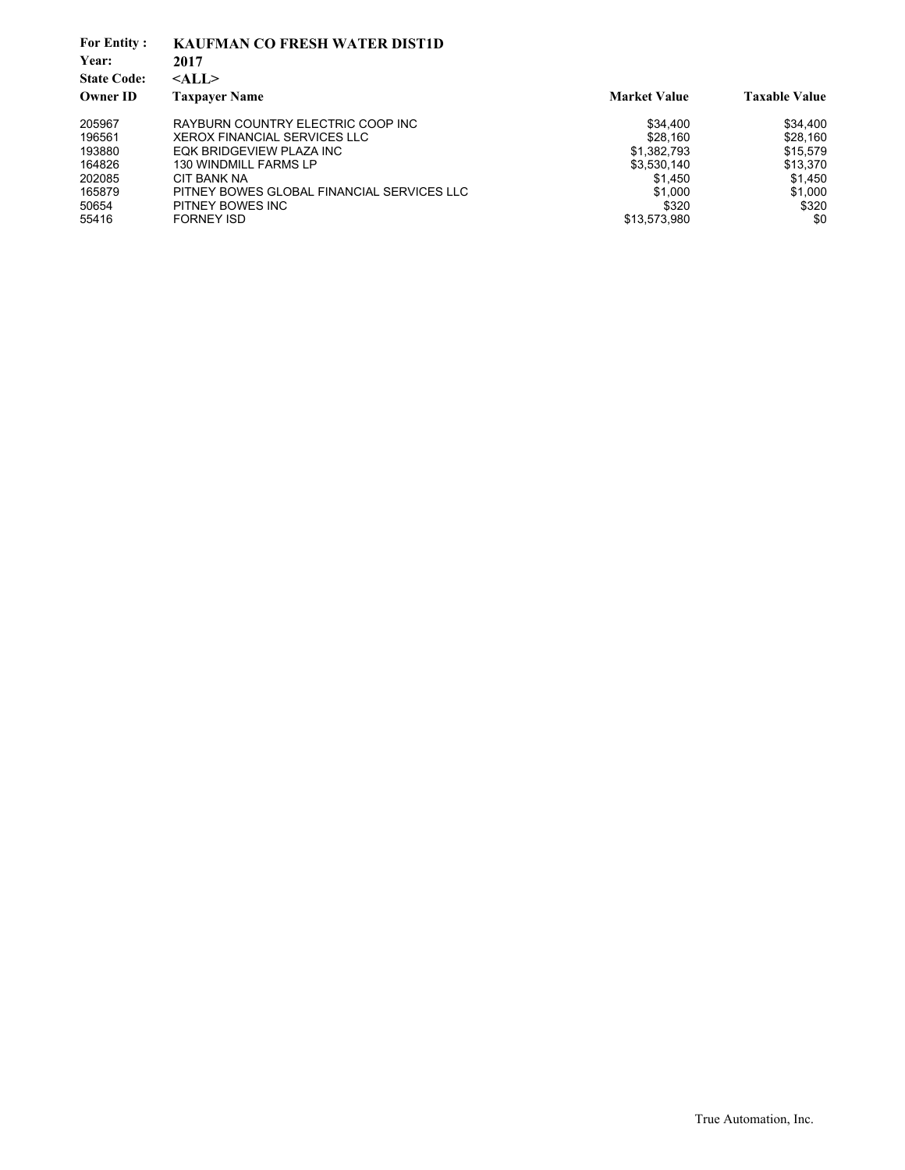| <b>For Entity:</b> | <b>KAUFMAN CO FRESH WATER DIST1D</b>       |                     |                      |
|--------------------|--------------------------------------------|---------------------|----------------------|
| Year:              | 2017                                       |                     |                      |
| <b>State Code:</b> | $<$ ALL $>$                                |                     |                      |
| <b>Owner ID</b>    | <b>Taxpayer Name</b>                       | <b>Market Value</b> | <b>Taxable Value</b> |
| 205967             | RAYBURN COUNTRY ELECTRIC COOP INC          | \$34,400            | \$34,400             |
| 196561             | <b>XEROX FINANCIAL SERVICES LLC</b>        | \$28,160            | \$28,160             |
| 193880             | EQK BRIDGEVIEW PLAZA INC                   | \$1,382,793         | \$15,579             |
| 164826             | 130 WINDMILL FARMS LP                      | \$3,530,140         | \$13,370             |
| 202085             | CIT BANK NA                                | \$1.450             | \$1,450              |
| 165879             | PITNEY BOWES GLOBAL FINANCIAL SERVICES LLC | \$1,000             | \$1,000              |
| 50654              | PITNEY BOWES INC                           | \$320               | \$320                |
| 55416              | <b>FORNEY ISD</b>                          | \$13,573,980        | \$0                  |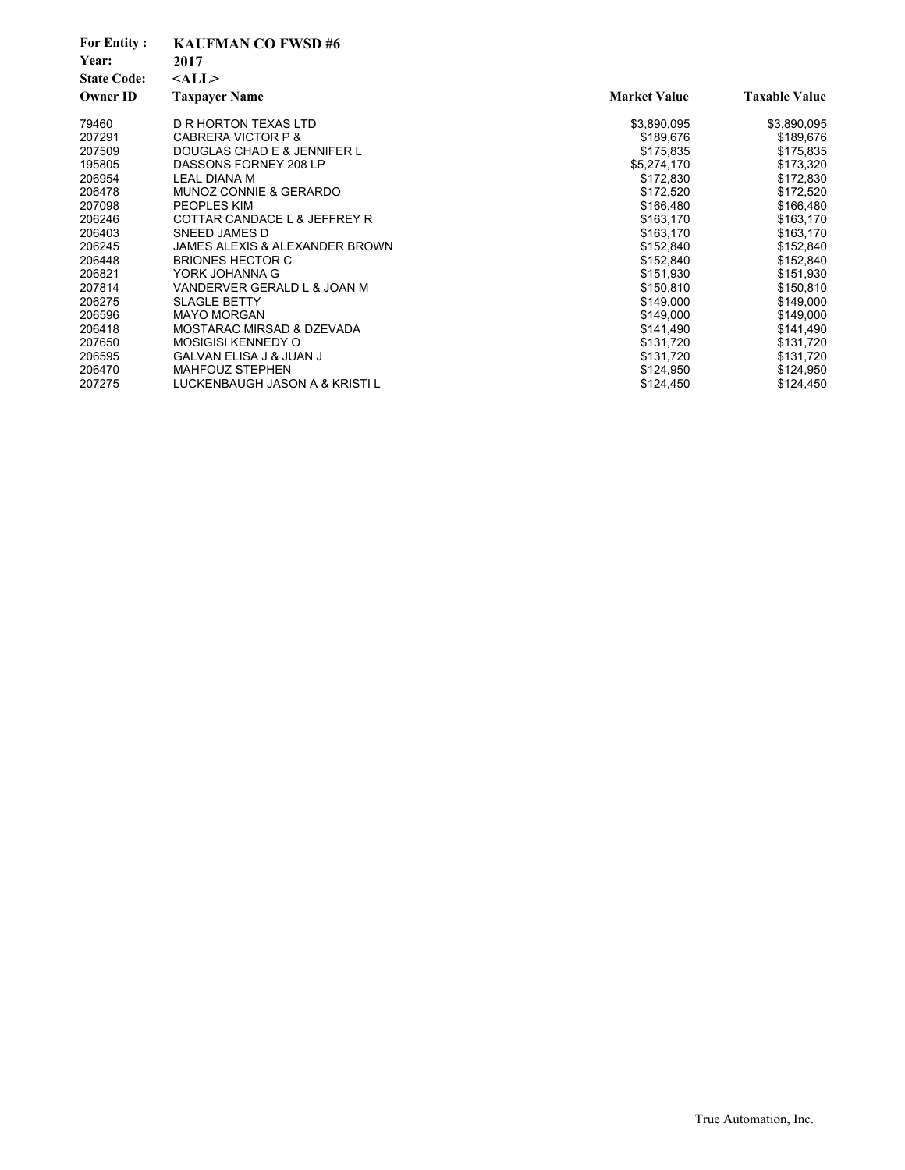| <b>For Entity:</b><br>Year: | <b>KAUFMAN CO FWSD #6</b><br>2017    |                     |                      |
|-----------------------------|--------------------------------------|---------------------|----------------------|
| <b>State Code:</b>          | $<$ ALL $>$                          |                     |                      |
| <b>Owner ID</b>             | <b>Taxpayer Name</b>                 | <b>Market Value</b> | <b>Taxable Value</b> |
| 79460                       | D R HORTON TEXAS LTD                 | \$3,890,095         | \$3,890,095          |
| 207291                      | CABRERA VICTOR P &                   | \$189,676           | \$189,676            |
| 207509                      | DOUGLAS CHAD E & JENNIFER L          | \$175,835           | \$175,835            |
| 195805                      | DASSONS FORNEY 208 LP                | \$5,274,170         | \$173,320            |
| 206954                      | <b>LEAL DIANA M</b>                  | \$172,830           | \$172,830            |
| 206478                      | MUNOZ CONNIE & GERARDO               | \$172,520           | \$172,520            |
| 207098                      | <b>PEOPLES KIM</b>                   | \$166,480           | \$166,480            |
| 206246                      | COTTAR CANDACE L & JEFFREY R         | \$163,170           | \$163,170            |
| 206403                      | SNEED JAMES D                        | \$163,170           | \$163,170            |
| 206245                      | JAMES ALEXIS & ALEXANDER BROWN       | \$152,840           | \$152,840            |
| 206448                      | <b>BRIONES HECTOR C</b>              | \$152,840           | \$152,840            |
| 206821                      | YORK JOHANNA G                       | \$151,930           | \$151,930            |
| 207814                      | VANDERVER GERALD L & JOAN M          | \$150,810           | \$150,810            |
| 206275                      | <b>SLAGLE BETTY</b>                  | \$149,000           | \$149,000            |
| 206596                      | <b>MAYO MORGAN</b>                   | \$149,000           | \$149,000            |
| 206418                      | <b>MOSTARAC MIRSAD &amp; DZEVADA</b> | \$141,490           | \$141,490            |
| 207650                      | <b>MOSIGISI KENNEDY O</b>            | \$131,720           | \$131,720            |
| 206595                      | <b>GALVAN ELISA J &amp; JUAN J</b>   | \$131,720           | \$131,720            |
| 206470                      | <b>MAHFOUZ STEPHEN</b>               | \$124,950           | \$124,950            |
| 207275                      | LUCKENBAUGH JASON A & KRISTI L       | \$124,450           | \$124,450            |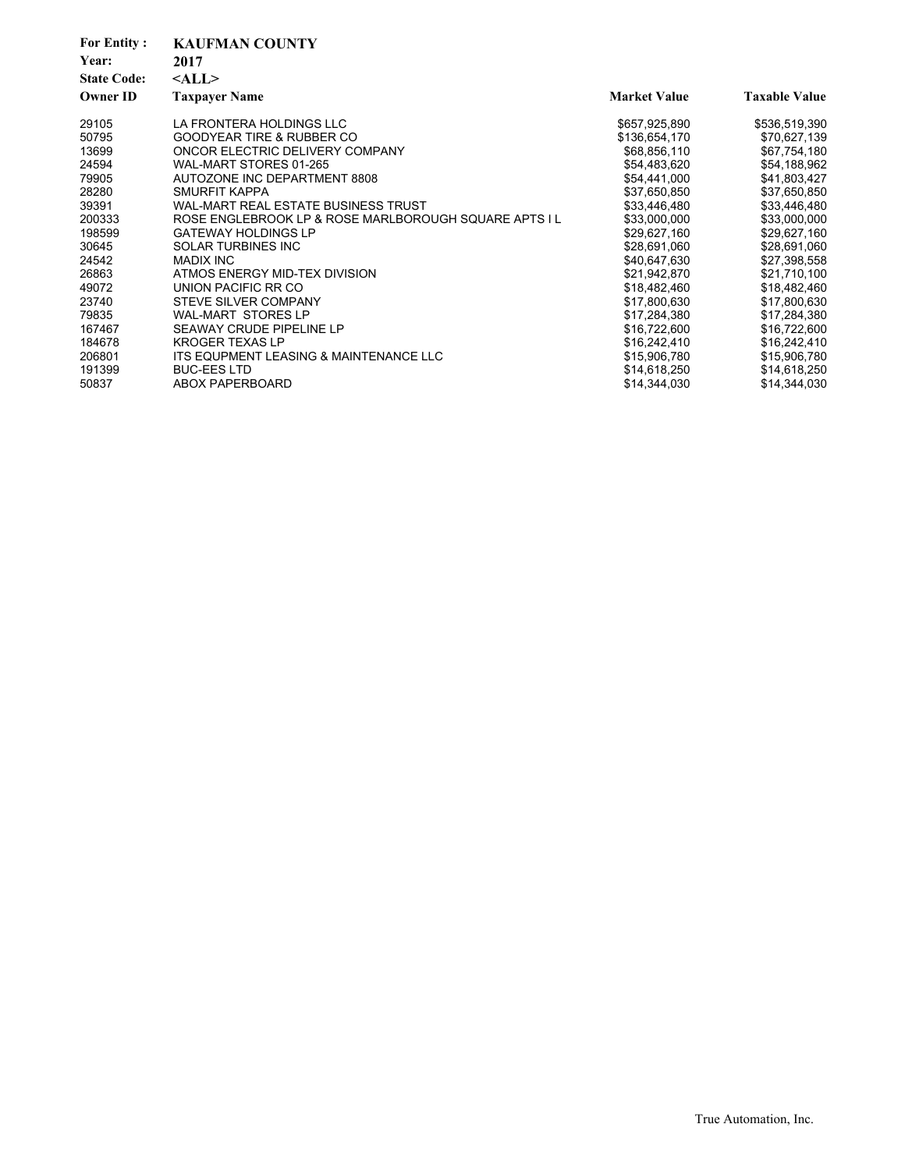| <b>For Entity:</b><br>Year:<br><b>State Code:</b><br><b>Owner ID</b> | <b>KAUFMAN COUNTY</b><br>2017<br>$<$ ALL $>$<br><b>Taxpayer Name</b> | <b>Market Value</b> | <b>Taxable Value</b> |
|----------------------------------------------------------------------|----------------------------------------------------------------------|---------------------|----------------------|
| 29105                                                                | LA FRONTERA HOLDINGS LLC                                             | \$657,925,890       | \$536,519,390        |
| 50795                                                                | <b>GOODYEAR TIRE &amp; RUBBER CO</b>                                 | \$136,654,170       | \$70,627,139         |
| 13699                                                                | ONCOR ELECTRIC DELIVERY COMPANY                                      | \$68,856,110        | \$67,754,180         |
| 24594                                                                | WAL-MART STORES 01-265                                               | \$54,483,620        | \$54,188,962         |
| 79905                                                                | AUTOZONE INC DEPARTMENT 8808                                         | \$54,441,000        | \$41,803,427         |
| 28280                                                                | SMURFIT KAPPA                                                        | \$37,650,850        | \$37,650,850         |
| 39391                                                                | WAL-MART REAL ESTATE BUSINESS TRUST                                  | \$33,446,480        | \$33,446,480         |
| 200333                                                               | ROSE ENGLEBROOK LP & ROSE MARLBOROUGH SQUARE APTS I L                | \$33,000,000        | \$33,000,000         |
| 198599                                                               | <b>GATEWAY HOLDINGS LP</b>                                           | \$29,627,160        | \$29,627,160         |
| 30645                                                                | <b>SOLAR TURBINES INC</b>                                            | \$28,691,060        | \$28,691,060         |
| 24542                                                                | <b>MADIX INC</b>                                                     | \$40,647,630        | \$27,398,558         |
| 26863                                                                | ATMOS ENERGY MID-TEX DIVISION                                        | \$21,942,870        | \$21,710,100         |
| 49072                                                                | UNION PACIFIC RR CO                                                  | \$18,482,460        | \$18,482,460         |
| 23740                                                                | STEVE SILVER COMPANY                                                 | \$17,800,630        | \$17,800,630         |
| 79835                                                                | <b>WAL-MART STORES LP</b>                                            | \$17,284,380        | \$17,284,380         |
| 167467                                                               | SEAWAY CRUDE PIPELINE LP                                             | \$16,722,600        | \$16,722,600         |
| 184678                                                               | <b>KROGER TEXAS LP</b>                                               | \$16,242,410        | \$16,242,410         |
| 206801                                                               | ITS EQUPMENT LEASING & MAINTENANCE LLC                               | \$15,906,780        | \$15,906,780         |
| 191399                                                               | <b>BUC-EES LTD</b>                                                   | \$14,618,250        | \$14,618,250         |
| 50837                                                                | ABOX PAPERBOARD                                                      | \$14,344,030        | \$14,344,030         |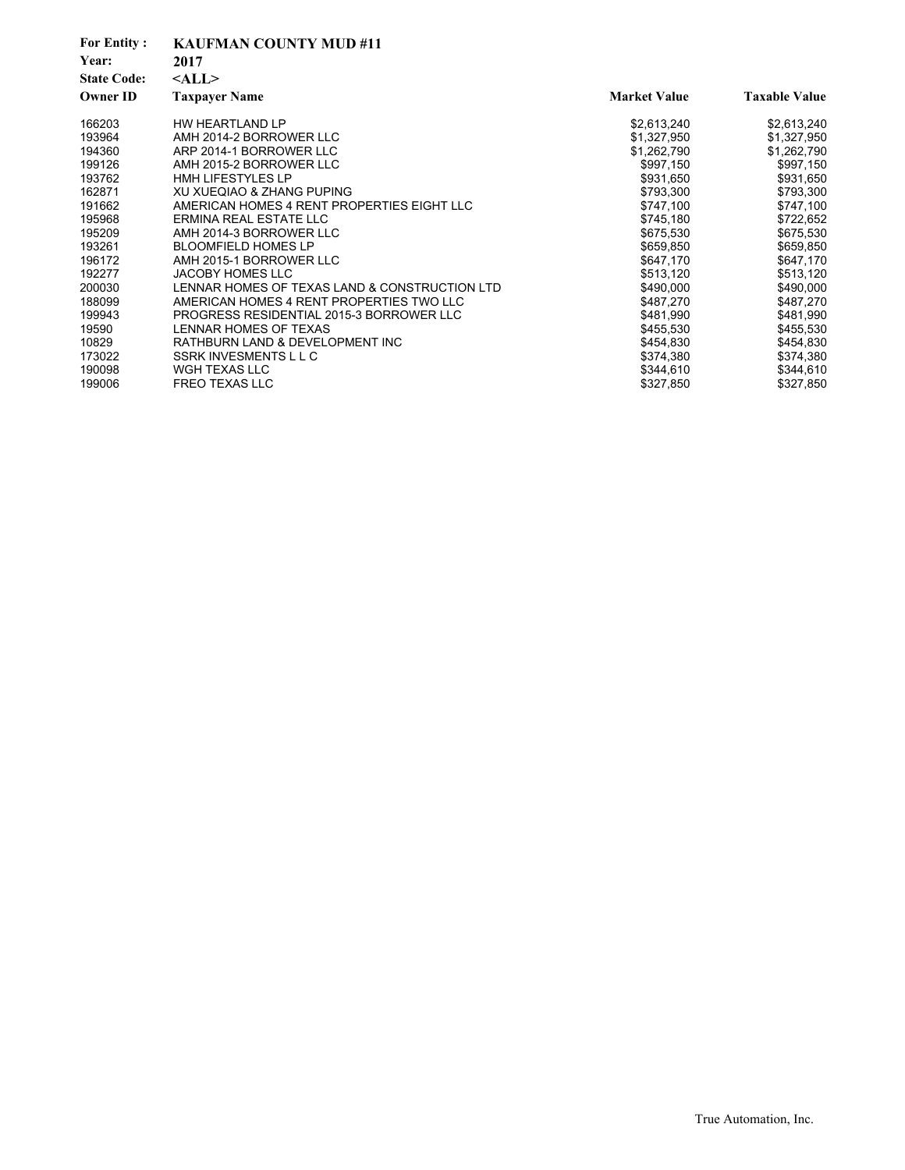| <b>For Entity:</b> | <b>KAUFMAN COUNTY MUD #11</b>                 |                     |                      |
|--------------------|-----------------------------------------------|---------------------|----------------------|
| Year:              | 2017                                          |                     |                      |
| <b>State Code:</b> | $<$ ALL $>$                                   |                     |                      |
| <b>Owner ID</b>    | <b>Taxpayer Name</b>                          | <b>Market Value</b> | <b>Taxable Value</b> |
| 166203             | HW HEARTLAND LP                               | \$2,613,240         | \$2,613,240          |
| 193964             | AMH 2014-2 BORROWER LLC                       | \$1,327,950         | \$1,327,950          |
| 194360             | ARP 2014-1 BORROWER LLC                       | \$1,262,790         | \$1,262,790          |
| 199126             | AMH 2015-2 BORROWER LLC                       | \$997,150           | \$997,150            |
| 193762             | <b>HMH LIFESTYLES LP</b>                      | \$931,650           | \$931,650            |
| 162871             | XU XUEQIAO & ZHANG PUPING                     | \$793,300           | \$793,300            |
| 191662             | AMERICAN HOMES 4 RENT PROPERTIES EIGHT LLC    | \$747,100           | \$747,100            |
| 195968             | ERMINA REAL ESTATE LLC                        | \$745,180           | \$722,652            |
| 195209             | AMH 2014-3 BORROWER LLC                       | \$675,530           | \$675,530            |
| 193261             | <b>BLOOMFIELD HOMES LP</b>                    | \$659,850           | \$659,850            |
| 196172             | AMH 2015-1 BORROWER LLC                       | \$647,170           | \$647,170            |
| 192277             | <b>JACOBY HOMES LLC</b>                       | \$513,120           | \$513,120            |
| 200030             | LENNAR HOMES OF TEXAS LAND & CONSTRUCTION LTD | \$490,000           | \$490,000            |
| 188099             | AMERICAN HOMES 4 RENT PROPERTIES TWO LLC      | \$487,270           | \$487,270            |
| 199943             | PROGRESS RESIDENTIAL 2015-3 BORROWER LLC      | \$481.990           | \$481,990            |
| 19590              | LENNAR HOMES OF TEXAS                         | \$455,530           | \$455,530            |
| 10829              | RATHBURN LAND & DEVELOPMENT INC               | \$454,830           | \$454,830            |
| 173022             | SSRK INVESMENTS L L C                         | \$374,380           | \$374,380            |
| 190098             | WGH TEXAS LLC                                 | \$344,610           | \$344,610            |
| 199006             | <b>FREO TEXAS LLC</b>                         | \$327,850           | \$327,850            |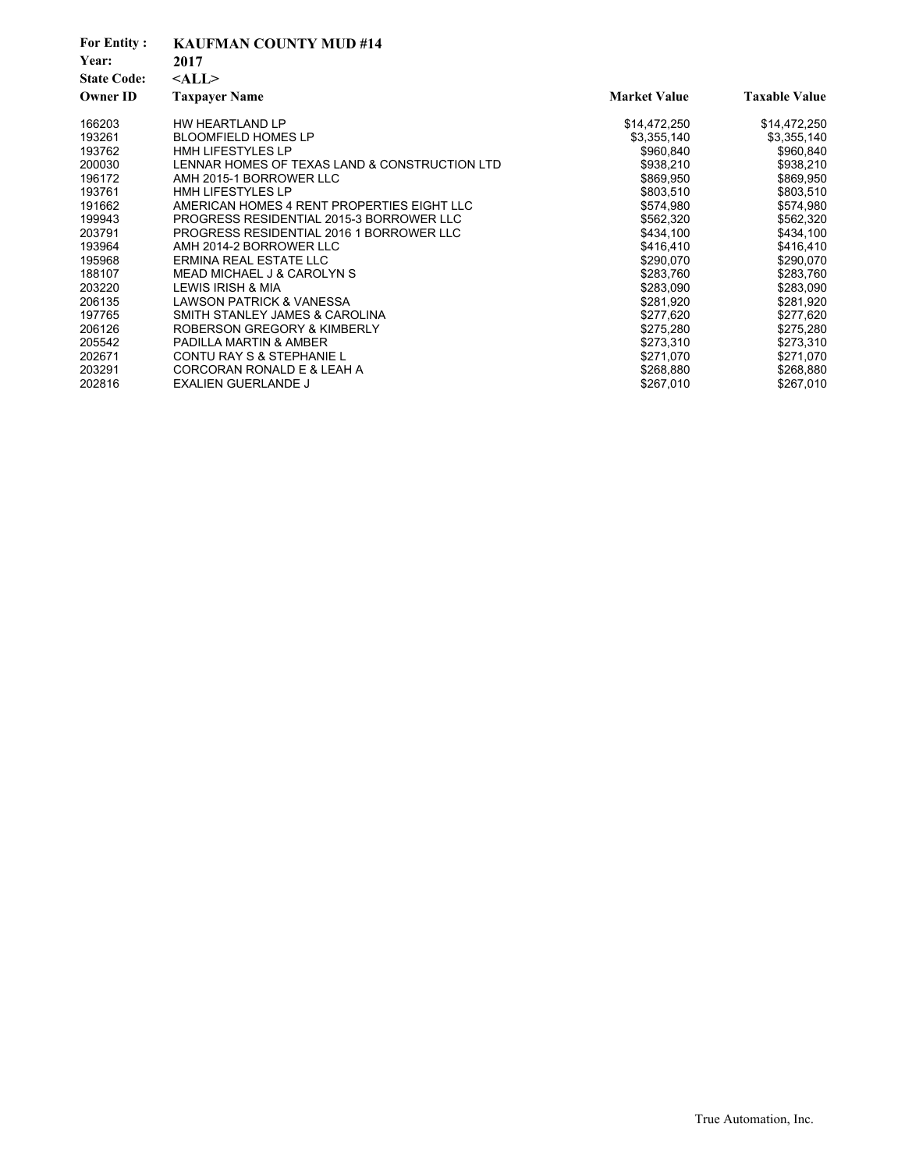| <b>For Entity:</b> | <b>KAUFMAN COUNTY MUD #14</b>                 |                     |                      |
|--------------------|-----------------------------------------------|---------------------|----------------------|
| Year:              | 2017                                          |                     |                      |
| <b>State Code:</b> | $<$ ALL $>$                                   |                     |                      |
| <b>Owner ID</b>    | <b>Taxpayer Name</b>                          | <b>Market Value</b> | <b>Taxable Value</b> |
| 166203             | HW HEARTLAND LP                               | \$14,472,250        | \$14,472,250         |
| 193261             | <b>BLOOMFIELD HOMES LP</b>                    | \$3,355,140         | \$3,355,140          |
| 193762             | <b>HMH LIFESTYLES LP</b>                      | \$960,840           | \$960,840            |
| 200030             | LENNAR HOMES OF TEXAS LAND & CONSTRUCTION LTD | \$938,210           | \$938,210            |
| 196172             | AMH 2015-1 BORROWER LLC                       | \$869,950           | \$869,950            |
| 193761             | <b>HMH LIFESTYLES LP</b>                      | \$803,510           | \$803,510            |
| 191662             | AMERICAN HOMES 4 RENT PROPERTIES EIGHT LLC    | \$574,980           | \$574,980            |
| 199943             | PROGRESS RESIDENTIAL 2015-3 BORROWER LLC      | \$562,320           | \$562,320            |
| 203791             | PROGRESS RESIDENTIAL 2016 1 BORROWER LLC      | \$434,100           | \$434,100            |
| 193964             | AMH 2014-2 BORROWER LLC                       | \$416,410           | \$416,410            |
| 195968             | ERMINA REAL ESTATE LLC                        | \$290,070           | \$290,070            |
| 188107             | MEAD MICHAEL J & CAROLYN S                    | \$283,760           | \$283,760            |
| 203220             | LEWIS IRISH & MIA                             | \$283,090           | \$283,090            |
| 206135             | <b>LAWSON PATRICK &amp; VANESSA</b>           | \$281,920           | \$281,920            |
| 197765             | SMITH STANLEY JAMES & CAROLINA                | \$277,620           | \$277,620            |
| 206126             | ROBERSON GREGORY & KIMBERLY                   | \$275,280           | \$275,280            |
| 205542             | <b>PADILLA MARTIN &amp; AMBER</b>             | \$273,310           | \$273,310            |
| 202671             | CONTU RAY S & STEPHANIE L                     | \$271,070           | \$271,070            |
| 203291             | CORCORAN RONALD E & LEAH A                    | \$268,880           | \$268,880            |
| 202816             | <b>EXALIEN GUERLANDE J</b>                    | \$267,010           | \$267,010            |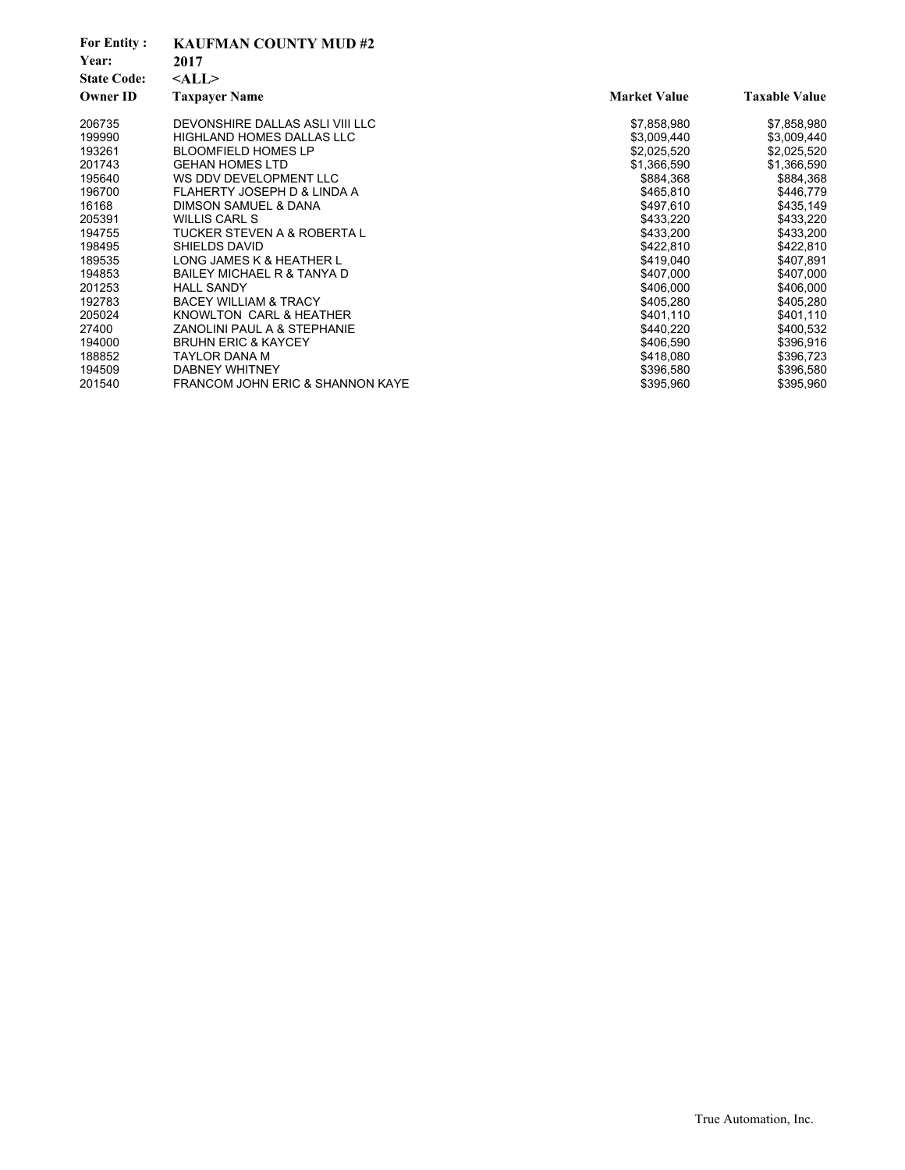| <b>For Entity:</b><br>Year:<br><b>State Code:</b> | <b>KAUFMAN COUNTY MUD#2</b><br>2017<br>$<$ ALL $>$ |                     |                      |
|---------------------------------------------------|----------------------------------------------------|---------------------|----------------------|
| <b>Owner ID</b>                                   | <b>Taxpayer Name</b>                               | <b>Market Value</b> | <b>Taxable Value</b> |
| 206735                                            | DEVONSHIRE DALLAS ASLI VIII LLC                    | \$7,858,980         | \$7,858,980          |
| 199990                                            | <b>HIGHLAND HOMES DALLAS LLC</b>                   | \$3,009,440         | \$3,009,440          |
| 193261                                            | <b>BLOOMFIELD HOMES LP</b>                         | \$2,025,520         | \$2,025,520          |
| 201743                                            | <b>GEHAN HOMES LTD</b>                             | \$1,366,590         | \$1,366,590          |
| 195640                                            | WS DDV DEVELOPMENT LLC                             | \$884,368           | \$884,368            |
| 196700                                            | FLAHERTY JOSEPH D & LINDA A                        | \$465,810           | \$446,779            |
| 16168                                             | DIMSON SAMUEL & DANA                               | \$497,610           | \$435,149            |
| 205391                                            | <b>WILLIS CARL S</b>                               | \$433,220           | \$433,220            |
| 194755                                            | TUCKER STEVEN A & ROBERTA L                        | \$433,200           | \$433,200            |
| 198495                                            | SHIELDS DAVID                                      | \$422,810           | \$422,810            |
| 189535                                            | LONG JAMES K & HEATHER L                           | \$419,040           | \$407,891            |
| 194853                                            | BAILEY MICHAEL R & TANYA D                         | \$407,000           | \$407,000            |
| 201253                                            | <b>HALL SANDY</b>                                  | \$406,000           | \$406,000            |
| 192783                                            | <b>BACEY WILLIAM &amp; TRACY</b>                   | \$405,280           | \$405,280            |
| 205024                                            | KNOWLTON CARL & HEATHER                            | \$401,110           | \$401,110            |
| 27400                                             | ZANOLINI PAUL A & STEPHANIE                        | \$440,220           | \$400,532            |
| 194000                                            | <b>BRUHN ERIC &amp; KAYCEY</b>                     | \$406,590           | \$396,916            |
| 188852                                            | TAYLOR DANA M                                      | \$418,080           | \$396,723            |
| 194509                                            | <b>DABNEY WHITNEY</b>                              | \$396,580           | \$396,580            |
| 201540                                            | <b>FRANCOM JOHN ERIC &amp; SHANNON KAYE</b>        | \$395,960           | \$395,960            |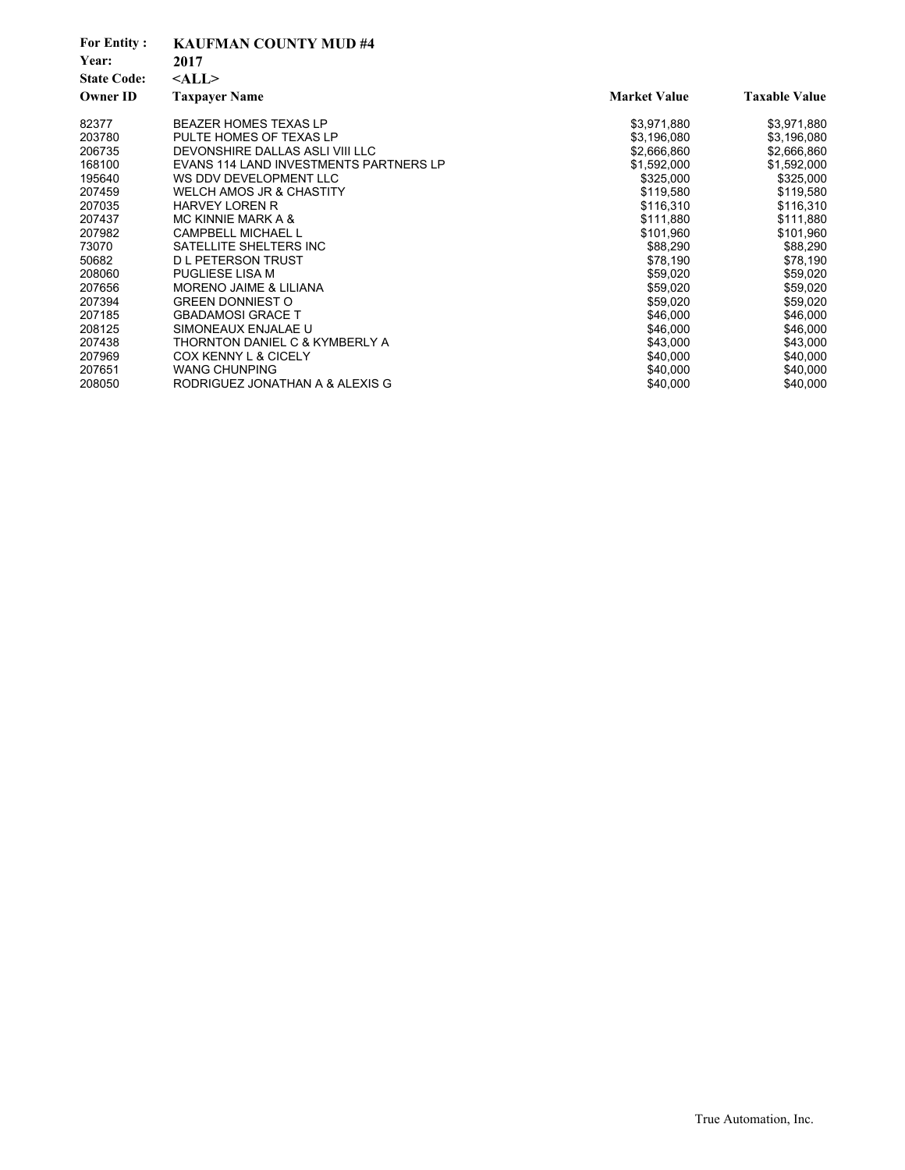| <b>For Entity:</b><br>Year:<br><b>State Code:</b> | <b>KAUFMAN COUNTY MUD#4</b><br>2017<br>$<$ ALL $>$ |                     |                      |
|---------------------------------------------------|----------------------------------------------------|---------------------|----------------------|
| Owner ID                                          | <b>Taxpayer Name</b>                               | <b>Market Value</b> | <b>Taxable Value</b> |
| 82377                                             | <b>BEAZER HOMES TEXAS LP</b>                       | \$3,971,880         | \$3,971,880          |
| 203780                                            | PULTE HOMES OF TEXAS LP                            | \$3,196,080         | \$3,196,080          |
| 206735                                            | DEVONSHIRE DALLAS ASLI VIII LLC                    | \$2,666,860         | \$2,666,860          |
| 168100                                            | EVANS 114 LAND INVESTMENTS PARTNERS LP             | \$1,592,000         | \$1,592,000          |
| 195640                                            | WS DDV DEVELOPMENT LLC                             | \$325,000           | \$325,000            |
| 207459                                            | <b>WELCH AMOS JR &amp; CHASTITY</b>                | \$119,580           | \$119,580            |
| 207035                                            | <b>HARVEY LOREN R</b>                              | \$116,310           | \$116,310            |
| 207437                                            | MC KINNIE MARK A &                                 | \$111,880           | \$111,880            |
| 207982                                            | <b>CAMPBELL MICHAEL L</b>                          | \$101,960           | \$101,960            |
| 73070                                             | SATELLITE SHELTERS INC                             | \$88,290            | \$88,290             |
| 50682                                             | <b>D L PETERSON TRUST</b>                          | \$78,190            | \$78,190             |
| 208060                                            | <b>PUGLIESE LISA M</b>                             | \$59,020            | \$59,020             |
| 207656                                            | MORENO JAIME & LILIANA                             | \$59,020            | \$59,020             |
| 207394                                            | <b>GREEN DONNIEST O</b>                            | \$59,020            | \$59,020             |
| 207185                                            | <b>GBADAMOSI GRACE T</b>                           | \$46,000            | \$46,000             |
| 208125                                            | SIMONEAUX ENJALAE U                                | \$46,000            | \$46,000             |
| 207438                                            | THORNTON DANIEL C & KYMBERLY A                     | \$43,000            | \$43,000             |
| 207969                                            | <b>COX KENNY L &amp; CICELY</b>                    | \$40,000            | \$40,000             |
| 207651                                            | <b>WANG CHUNPING</b>                               | \$40,000            | \$40,000             |
| 208050                                            | RODRIGUEZ JONATHAN A & ALEXIS G                    | \$40,000            | \$40,000             |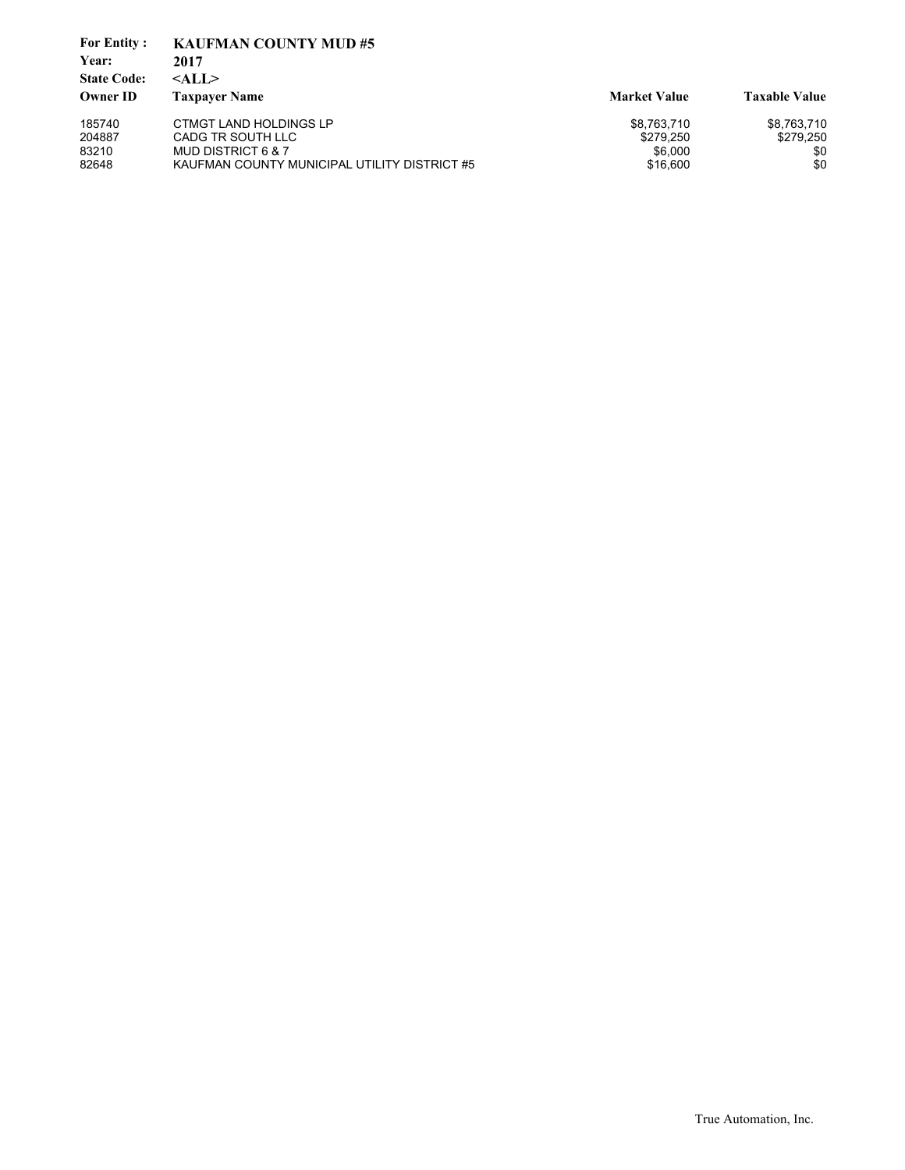| <b>For Entity:</b><br>Year:           | <b>KAUFMAN COUNTY MUD#5</b><br>2017          |                     |                      |
|---------------------------------------|----------------------------------------------|---------------------|----------------------|
| <b>State Code:</b><br><b>Owner ID</b> | $<$ ALL $>$<br><b>Taxpaver Name</b>          | <b>Market Value</b> | <b>Taxable Value</b> |
| 185740                                | <b>CTMGT LAND HOLDINGS LP</b>                | \$8,763,710         | \$8,763,710          |
| 204887                                | CADG TR SOUTH LLC                            | \$279.250           | \$279.250            |
| 83210                                 | MUD DISTRICT 6 & 7                           | \$6,000             | \$0                  |
| 82648                                 | KAUFMAN COUNTY MUNICIPAL UTILITY DISTRICT #5 | \$16,600            | \$0                  |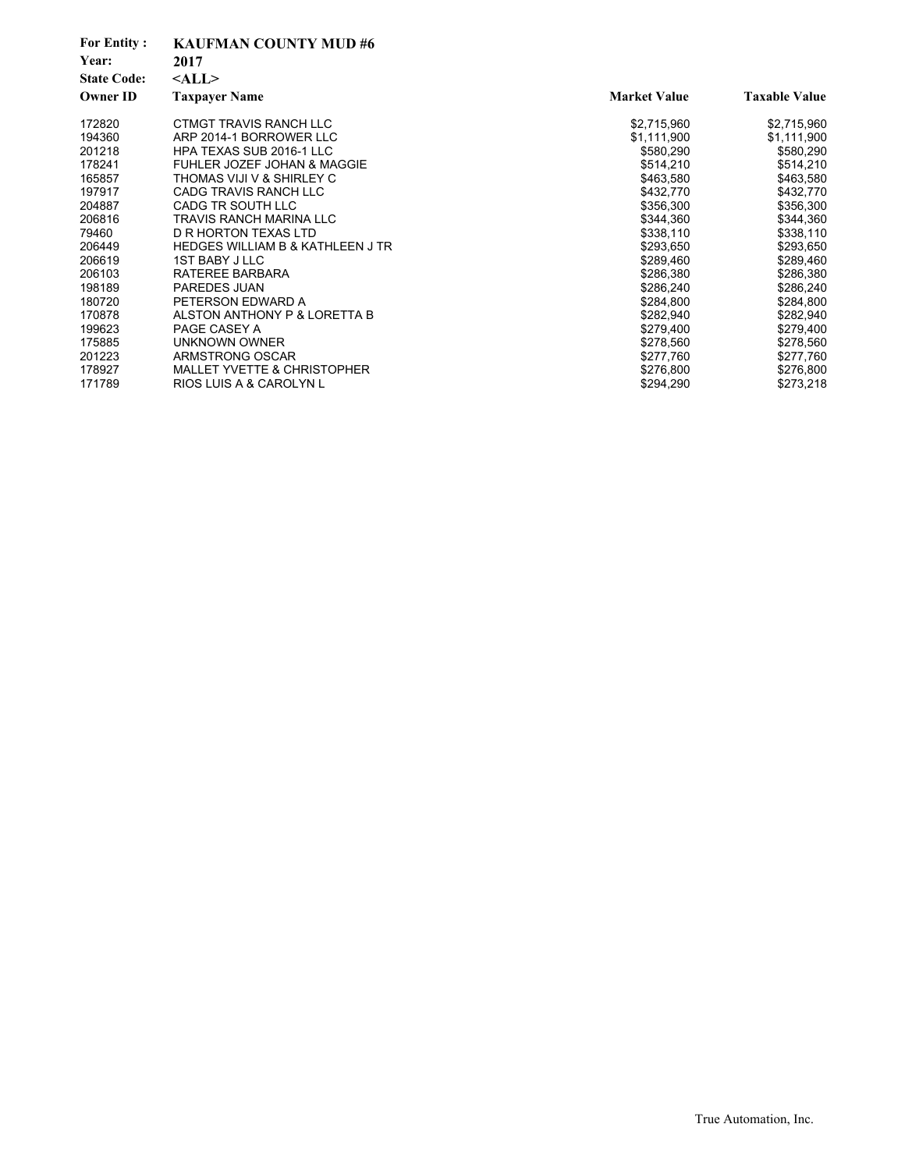| <b>For Entity:</b><br>Year:<br><b>State Code:</b> | <b>KAUFMAN COUNTY MUD#6</b><br>2017<br>$<$ ALL $>$ |                     |                      |
|---------------------------------------------------|----------------------------------------------------|---------------------|----------------------|
| <b>Owner ID</b>                                   | <b>Taxpayer Name</b>                               | <b>Market Value</b> | <b>Taxable Value</b> |
| 172820                                            | CTMGT TRAVIS RANCH LLC                             | \$2,715,960         | \$2,715,960          |
| 194360                                            | ARP 2014-1 BORROWER LLC                            | \$1,111,900         | \$1,111,900          |
| 201218                                            | HPA TEXAS SUB 2016-1 LLC                           | \$580,290           | \$580,290            |
| 178241                                            | FUHLER JOZEF JOHAN & MAGGIE                        | \$514,210           | \$514,210            |
| 165857                                            | THOMAS VIJI V & SHIRLEY C                          | \$463,580           | \$463,580            |
| 197917                                            | CADG TRAVIS RANCH LLC                              | \$432,770           | \$432,770            |
| 204887                                            | CADG TR SOUTH LLC                                  | \$356,300           | \$356,300            |
| 206816                                            | <b>TRAVIS RANCH MARINA LLC</b>                     | \$344,360           | \$344,360            |
| 79460                                             | D R HORTON TEXAS LTD                               | \$338,110           | \$338,110            |
| 206449                                            | <b>HEDGES WILLIAM B &amp; KATHLEEN J TR</b>        | \$293,650           | \$293,650            |
| 206619                                            | <b>1ST BABY J LLC</b>                              | \$289,460           | \$289,460            |
| 206103                                            | RATEREE BARBARA                                    | \$286,380           | \$286,380            |
| 198189                                            | PAREDES JUAN                                       | \$286,240           | \$286,240            |
| 180720                                            | PETERSON EDWARD A                                  | \$284.800           | \$284,800            |
| 170878                                            | ALSTON ANTHONY P & LORETTA B                       | \$282,940           | \$282,940            |
| 199623                                            | PAGE CASEY A                                       | \$279,400           | \$279,400            |
| 175885                                            | <b>UNKNOWN OWNER</b>                               | \$278,560           | \$278,560            |
| 201223                                            | ARMSTRONG OSCAR                                    | \$277.760           | \$277,760            |
| 178927                                            | <b>MALLET YVETTE &amp; CHRISTOPHER</b>             | \$276,800           | \$276,800            |
| 171789                                            | RIOS LUIS A & CAROLYN L                            | \$294,290           | \$273,218            |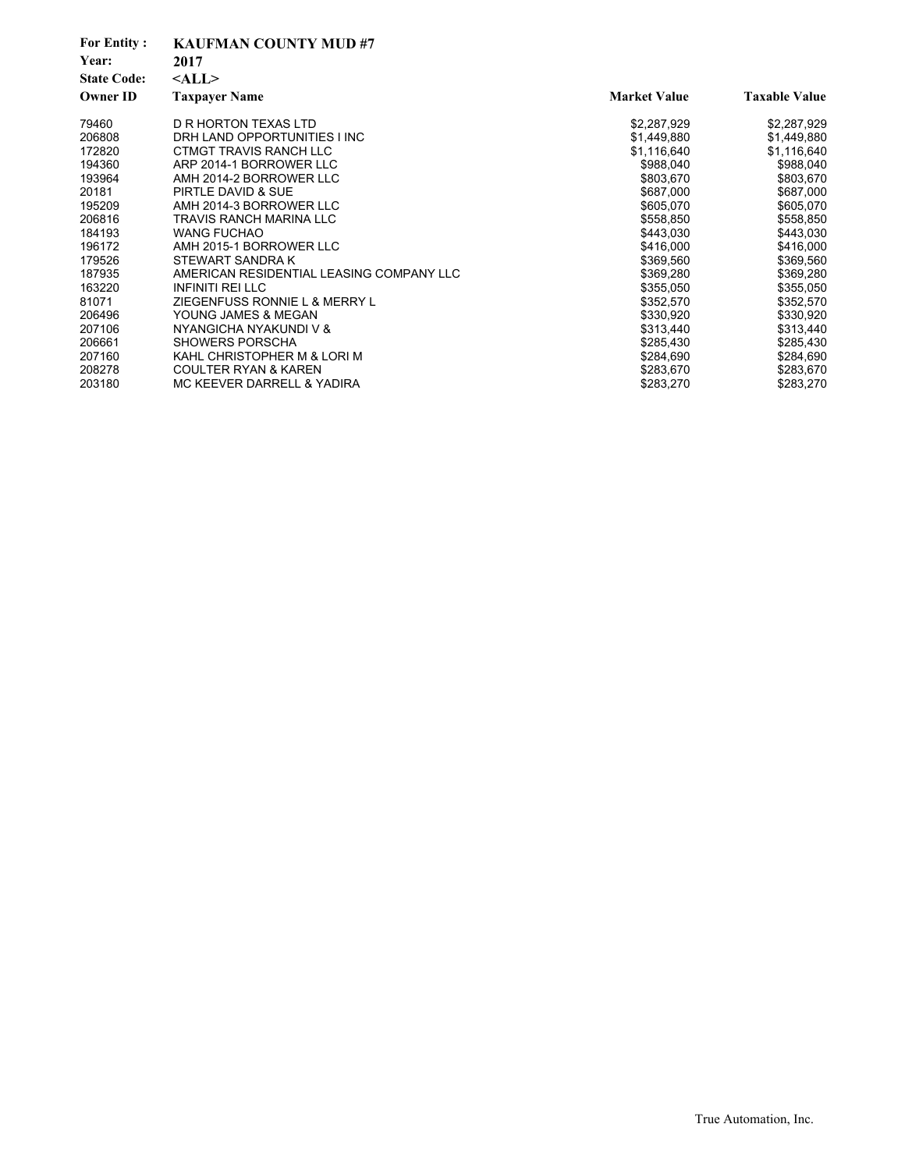| <b>For Entity:</b><br>Year: | <b>KAUFMAN COUNTY MUD#7</b><br>2017      |                     |                      |
|-----------------------------|------------------------------------------|---------------------|----------------------|
| <b>State Code:</b>          | $<$ ALL $>$                              |                     |                      |
| <b>Owner ID</b>             | <b>Taxpayer Name</b>                     | <b>Market Value</b> | <b>Taxable Value</b> |
| 79460                       | D R HORTON TEXAS LTD                     | \$2,287,929         | \$2,287,929          |
| 206808                      | DRH LAND OPPORTUNITIES I INC             | \$1,449,880         | \$1,449,880          |
| 172820                      | CTMGT TRAVIS RANCH LLC                   | \$1,116,640         | \$1,116,640          |
| 194360                      | ARP 2014-1 BORROWER LLC                  | \$988,040           | \$988,040            |
| 193964                      | AMH 2014-2 BORROWER LLC                  | \$803,670           | \$803,670            |
| 20181                       | PIRTLE DAVID & SUE                       | \$687,000           | \$687,000            |
| 195209                      | AMH 2014-3 BORROWER LLC                  | \$605,070           | \$605,070            |
| 206816                      | TRAVIS RANCH MARINA LLC                  | \$558,850           | \$558,850            |
| 184193                      | <b>WANG FUCHAO</b>                       | \$443,030           | \$443,030            |
| 196172                      | AMH 2015-1 BORROWER LLC                  | \$416,000           | \$416,000            |
| 179526                      | STEWART SANDRA K                         | \$369,560           | \$369,560            |
| 187935                      | AMERICAN RESIDENTIAL LEASING COMPANY LLC | \$369,280           | \$369,280            |
| 163220                      | <b>INFINITI REI LLC</b>                  | \$355,050           | \$355,050            |
| 81071                       | ZIEGENFUSS RONNIE L & MERRY L            | \$352,570           | \$352,570            |
| 206496                      | YOUNG JAMES & MEGAN                      | \$330,920           | \$330,920            |
| 207106                      | NYANGICHA NYAKUNDI V &                   | \$313,440           | \$313,440            |
| 206661                      | SHOWERS PORSCHA                          | \$285,430           | \$285,430            |
| 207160                      | KAHL CHRISTOPHER M & LORI M              | \$284,690           | \$284,690            |
| 208278                      | <b>COULTER RYAN &amp; KAREN</b>          | \$283,670           | \$283,670            |
| 203180                      | MC KEEVER DARRELL & YADIRA               | \$283,270           | \$283,270            |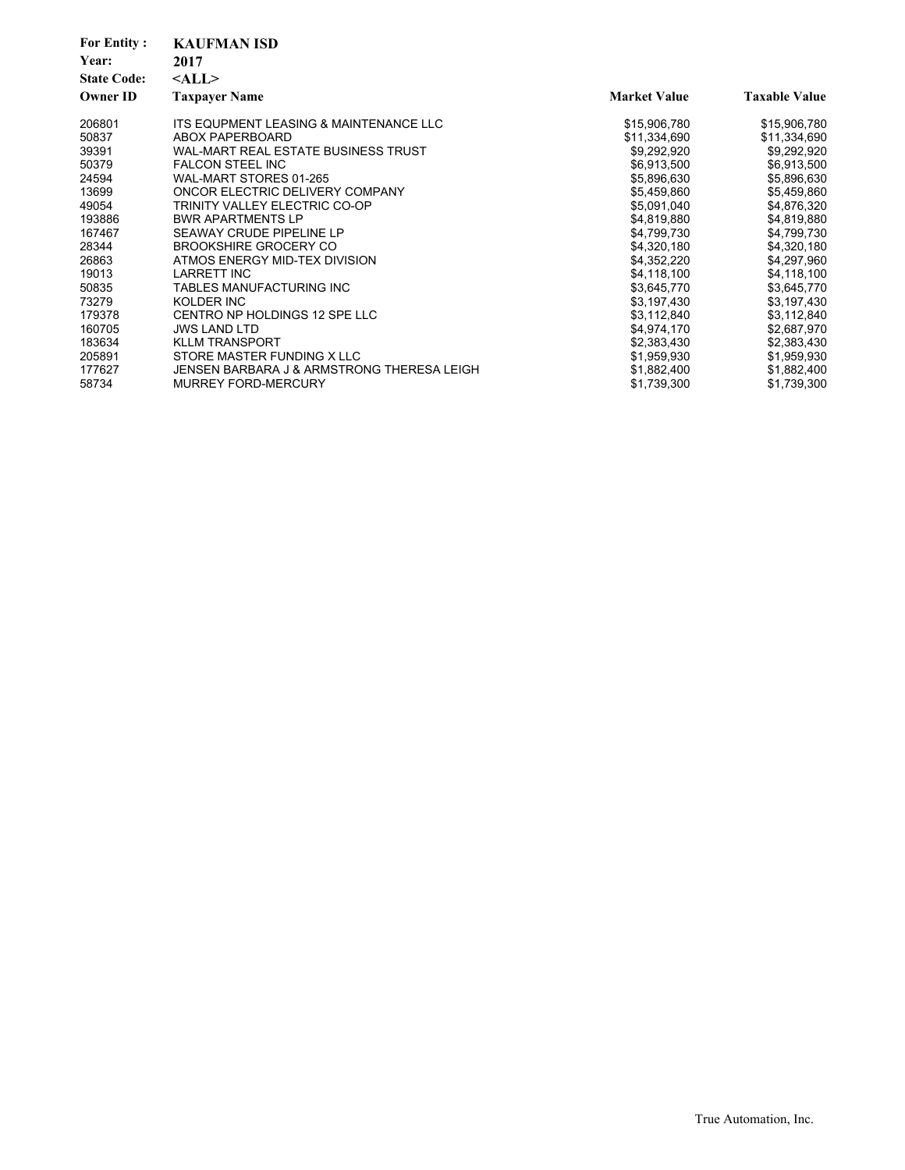| <b>For Entity:</b><br>Year:<br><b>State Code:</b><br><b>Owner ID</b> | <b>KAUFMAN ISD</b><br>2017<br>$<$ ALL $>$<br><b>Taxpayer Name</b> | <b>Market Value</b> | <b>Taxable Value</b> |
|----------------------------------------------------------------------|-------------------------------------------------------------------|---------------------|----------------------|
| 206801                                                               | ITS EQUPMENT LEASING & MAINTENANCE LLC                            | \$15,906,780        | \$15,906,780         |
| 50837                                                                | <b>ABOX PAPERBOARD</b>                                            | \$11,334,690        | \$11,334,690         |
| 39391                                                                | WAL-MART REAL ESTATE BUSINESS TRUST                               | \$9,292,920         | \$9,292,920          |
| 50379                                                                | <b>FALCON STEEL INC</b>                                           | \$6,913,500         | \$6,913,500          |
| 24594                                                                | WAL-MART STORES 01-265                                            | \$5,896,630         | \$5,896,630          |
| 13699                                                                | ONCOR ELECTRIC DELIVERY COMPANY                                   | \$5,459,860         | \$5,459,860          |
| 49054                                                                | TRINITY VALLEY ELECTRIC CO-OP                                     | \$5,091,040         | \$4,876,320          |
| 193886                                                               | <b>BWR APARTMENTS LP</b>                                          | \$4,819,880         | \$4,819,880          |
| 167467                                                               | SEAWAY CRUDE PIPELINE LP                                          | \$4,799,730         | \$4,799,730          |
| 28344                                                                | <b>BROOKSHIRE GROCERY CO</b>                                      | \$4,320,180         | \$4,320,180          |
| 26863                                                                | ATMOS ENERGY MID-TEX DIVISION                                     | \$4,352,220         | \$4,297,960          |
| 19013                                                                | <b>LARRETT INC</b>                                                | \$4,118,100         | \$4,118,100          |
| 50835                                                                | TABLES MANUFACTURING INC                                          | \$3,645,770         | \$3,645,770          |
| 73279                                                                | KOLDER INC                                                        | \$3,197,430         | \$3,197,430          |
| 179378                                                               | CENTRO NP HOLDINGS 12 SPE LLC                                     | \$3,112,840         | \$3,112,840          |
| 160705                                                               | <b>JWS LAND LTD</b>                                               | \$4,974,170         | \$2,687,970          |
| 183634                                                               | <b>KLLM TRANSPORT</b>                                             | \$2,383,430         | \$2,383,430          |
| 205891                                                               | STORE MASTER FUNDING X LLC                                        | \$1,959,930         | \$1,959,930          |
| 177627                                                               | JENSEN BARBARA J & ARMSTRONG THERESA LEIGH                        | \$1,882,400         | \$1,882,400          |
| 58734                                                                | <b>MURREY FORD-MERCURY</b>                                        | \$1,739,300         | \$1,739,300          |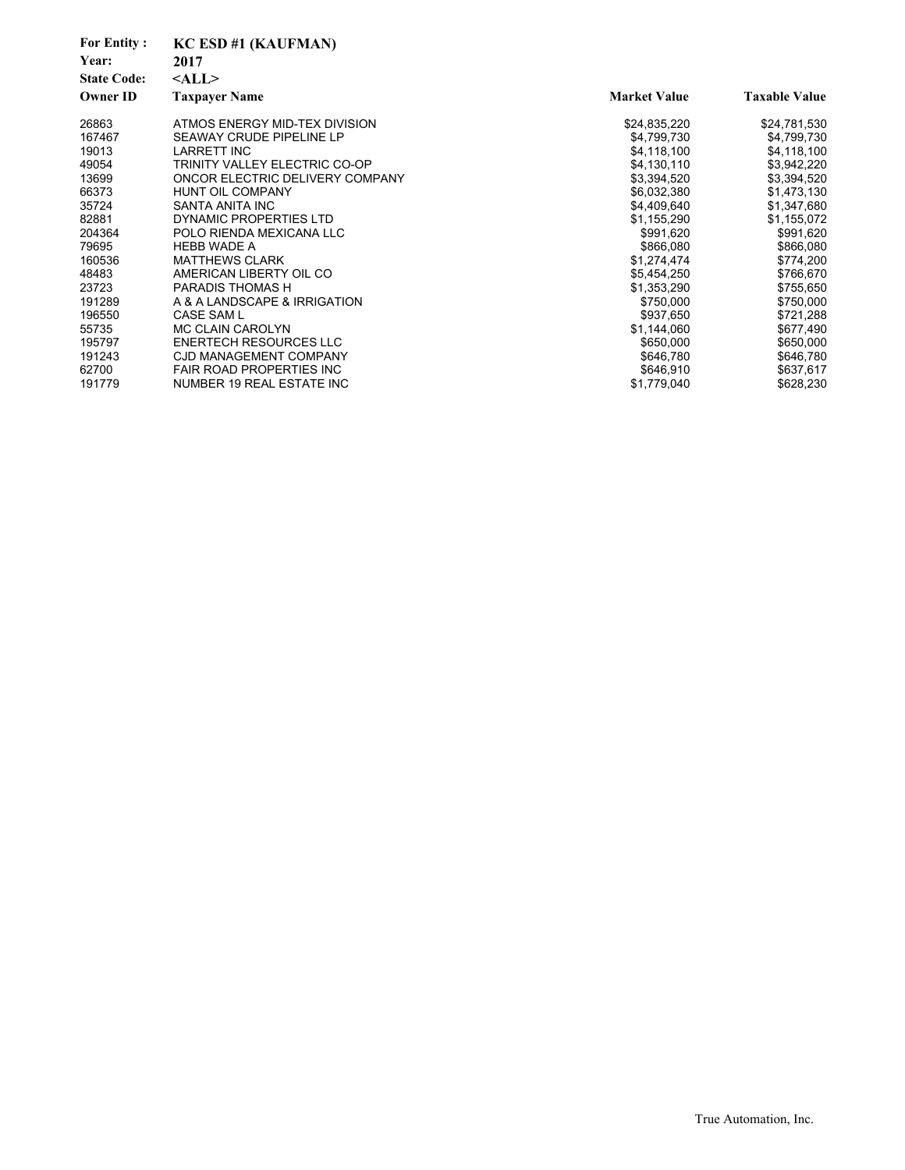| <b>For Entity:</b><br>Year:<br><b>State Code:</b> | KC ESD #1 (KAUFMAN)<br>2017<br>$<$ ALL $>$ |                     |                      |
|---------------------------------------------------|--------------------------------------------|---------------------|----------------------|
| <b>Owner ID</b>                                   | <b>Taxpayer Name</b>                       | <b>Market Value</b> | <b>Taxable Value</b> |
| 26863                                             | ATMOS ENERGY MID-TEX DIVISION              | \$24,835,220        | \$24,781,530         |
| 167467                                            | SEAWAY CRUDE PIPELINE LP                   | \$4,799,730         | \$4,799,730          |
| 19013                                             | <b>LARRETT INC</b>                         | \$4,118,100         | \$4,118,100          |
| 49054                                             | TRINITY VALLEY ELECTRIC CO-OP              | \$4,130,110         | \$3,942,220          |
| 13699                                             | ONCOR ELECTRIC DELIVERY COMPANY            | \$3,394,520         | \$3,394,520          |
| 66373                                             | <b>HUNT OIL COMPANY</b>                    | \$6,032,380         | \$1,473,130          |
| 35724                                             | SANTA ANITA INC                            | \$4,409,640         | \$1,347,680          |
| 82881                                             | DYNAMIC PROPERTIES LTD                     | \$1,155,290         | \$1,155,072          |
| 204364                                            | POLO RIENDA MEXICANA LLC                   | \$991,620           | \$991,620            |
| 79695                                             | <b>HEBB WADE A</b>                         | \$866,080           | \$866,080            |
| 160536                                            | <b>MATTHEWS CLARK</b>                      | \$1,274,474         | \$774,200            |
| 48483                                             | AMERICAN LIBERTY OIL CO                    | \$5,454,250         | \$766,670            |
| 23723                                             | <b>PARADIS THOMAS H</b>                    | \$1,353,290         | \$755,650            |
| 191289                                            | A & A LANDSCAPE & IRRIGATION               | \$750,000           | \$750,000            |
| 196550                                            | <b>CASE SAM L</b>                          | \$937,650           | \$721,288            |
| 55735                                             | MC CLAIN CAROLYN                           | \$1,144,060         | \$677,490            |
| 195797                                            | <b>ENERTECH RESOURCES LLC</b>              | \$650,000           | \$650,000            |
| 191243                                            | <b>CJD MANAGEMENT COMPANY</b>              | \$646,780           | \$646,780            |
| 62700                                             | <b>FAIR ROAD PROPERTIES INC</b>            | \$646,910           | \$637,617            |
| 191779                                            | NUMBER 19 REAL ESTATE INC                  | \$1,779,040         | \$628,230            |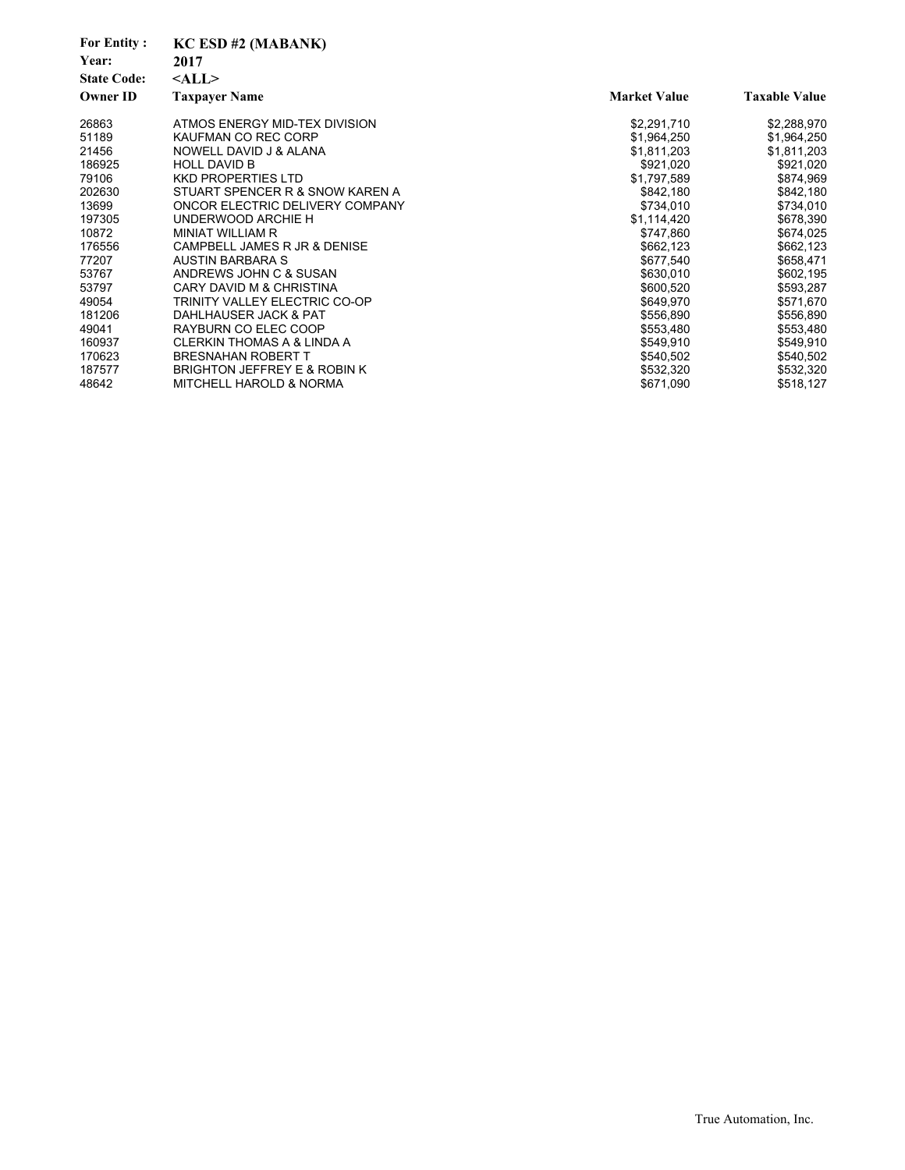| <b>For Entity:</b><br>Year:<br><b>State Code:</b> | KC ESD #2 (MABANK)<br>2017<br>$<$ ALL $>$ |                     |                      |
|---------------------------------------------------|-------------------------------------------|---------------------|----------------------|
| <b>Owner ID</b>                                   | <b>Taxpayer Name</b>                      | <b>Market Value</b> | <b>Taxable Value</b> |
| 26863                                             | ATMOS ENERGY MID-TEX DIVISION             | \$2,291,710         | \$2,288,970          |
| 51189                                             | KAUFMAN CO REC CORP                       | \$1,964,250         | \$1,964,250          |
| 21456                                             | NOWELL DAVID J & ALANA                    | \$1,811,203         | \$1,811,203          |
| 186925                                            | <b>HOLL DAVID B</b>                       | \$921,020           | \$921,020            |
| 79106                                             | <b>KKD PROPERTIES LTD</b>                 | \$1,797,589         | \$874,969            |
| 202630                                            | STUART SPENCER R & SNOW KAREN A           | \$842,180           | \$842,180            |
| 13699                                             | ONCOR ELECTRIC DELIVERY COMPANY           | \$734,010           | \$734,010            |
| 197305                                            | UNDERWOOD ARCHIE H                        | \$1,114,420         | \$678,390            |
| 10872                                             | MINIAT WILLIAM R                          | \$747,860           | \$674,025            |
| 176556                                            | CAMPBELL JAMES R JR & DENISE              | \$662,123           | \$662,123            |
| 77207                                             | AUSTIN BARBARA S                          | \$677,540           | \$658,471            |
| 53767                                             | ANDREWS JOHN C & SUSAN                    | \$630,010           | \$602,195            |
| 53797                                             | CARY DAVID M & CHRISTINA                  | \$600,520           | \$593,287            |
| 49054                                             | TRINITY VALLEY ELECTRIC CO-OP             | \$649,970           | \$571,670            |
| 181206                                            | DAHLHAUSER JACK & PAT                     | \$556,890           | \$556,890            |
| 49041                                             | RAYBURN CO ELEC COOP                      | \$553,480           | \$553,480            |
| 160937                                            | <b>CLERKIN THOMAS A &amp; LINDA A</b>     | \$549,910           | \$549,910            |
| 170623                                            | <b>BRESNAHAN ROBERT T</b>                 | \$540,502           | \$540,502            |
| 187577                                            | BRIGHTON JEFFREY E & ROBIN K              | \$532,320           | \$532,320            |
| 48642                                             | <b>MITCHELL HAROLD &amp; NORMA</b>        | \$671,090           | \$518,127            |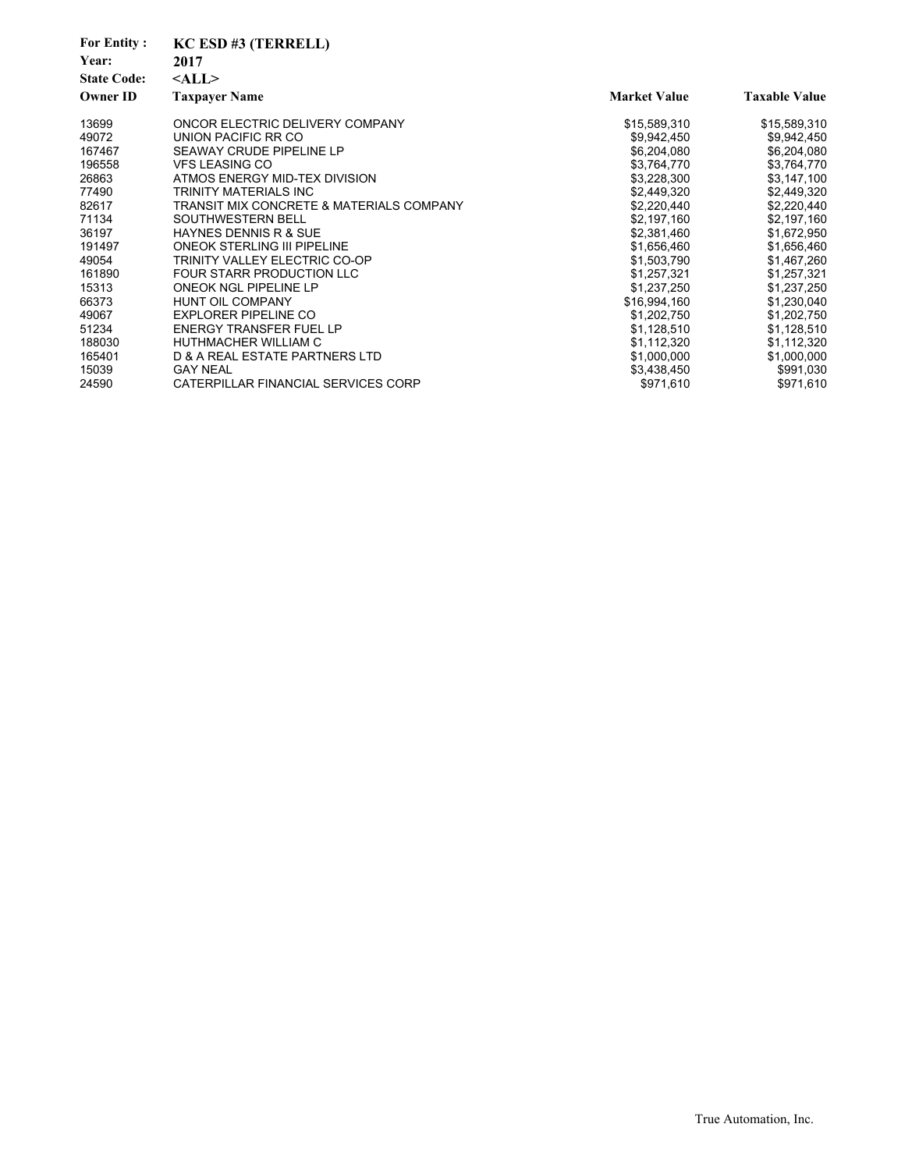| <b>For Entity:</b><br>Year:<br><b>State Code:</b><br><b>Owner ID</b> | KC ESD #3 (TERRELL)<br>2017<br>$<$ ALL $>$<br><b>Taxpayer Name</b> | <b>Market Value</b> | <b>Taxable Value</b> |
|----------------------------------------------------------------------|--------------------------------------------------------------------|---------------------|----------------------|
| 13699                                                                | ONCOR ELECTRIC DELIVERY COMPANY                                    | \$15,589,310        | \$15,589,310         |
| 49072                                                                | UNION PACIFIC RR CO                                                | \$9,942,450         | \$9,942,450          |
| 167467                                                               | SEAWAY CRUDE PIPELINE LP                                           | \$6,204,080         | \$6,204,080          |
| 196558                                                               | <b>VFS LEASING CO</b>                                              | \$3,764,770         | \$3,764,770          |
| 26863                                                                | ATMOS ENERGY MID-TEX DIVISION                                      | \$3,228,300         | \$3,147,100          |
| 77490                                                                | TRINITY MATERIALS INC                                              | \$2,449,320         | \$2,449,320          |
| 82617                                                                | <b>TRANSIT MIX CONCRETE &amp; MATERIALS COMPANY</b>                | \$2,220,440         | \$2,220,440          |
| 71134                                                                | SOUTHWESTERN BELL                                                  | \$2,197,160         | \$2,197,160          |
| 36197                                                                | <b>HAYNES DENNIS R &amp; SUE</b>                                   | \$2,381,460         | \$1,672,950          |
| 191497                                                               | <b>ONEOK STERLING III PIPELINE</b>                                 | \$1,656,460         | \$1,656,460          |
| 49054                                                                | TRINITY VALLEY ELECTRIC CO-OP                                      | \$1,503,790         | \$1,467,260          |
| 161890                                                               | FOUR STARR PRODUCTION LLC                                          | \$1,257,321         | \$1,257,321          |
| 15313                                                                | ONEOK NGL PIPELINE LP                                              | \$1,237,250         | \$1,237,250          |
| 66373                                                                | <b>HUNT OIL COMPANY</b>                                            | \$16,994,160        | \$1,230,040          |
| 49067                                                                | <b>EXPLORER PIPELINE CO</b>                                        | \$1,202,750         | \$1,202,750          |
| 51234                                                                | <b>ENERGY TRANSFER FUEL LP</b>                                     | \$1,128,510         | \$1,128,510          |
| 188030                                                               | HUTHMACHER WILLIAM C                                               | \$1,112,320         | \$1,112,320          |
| 165401                                                               | D & A REAL ESTATE PARTNERS LTD                                     | \$1,000,000         | \$1,000,000          |
| 15039                                                                | <b>GAY NEAL</b>                                                    | \$3,438,450         | \$991,030            |
| 24590                                                                | CATERPILLAR FINANCIAL SERVICES CORP                                | \$971,610           | \$971,610            |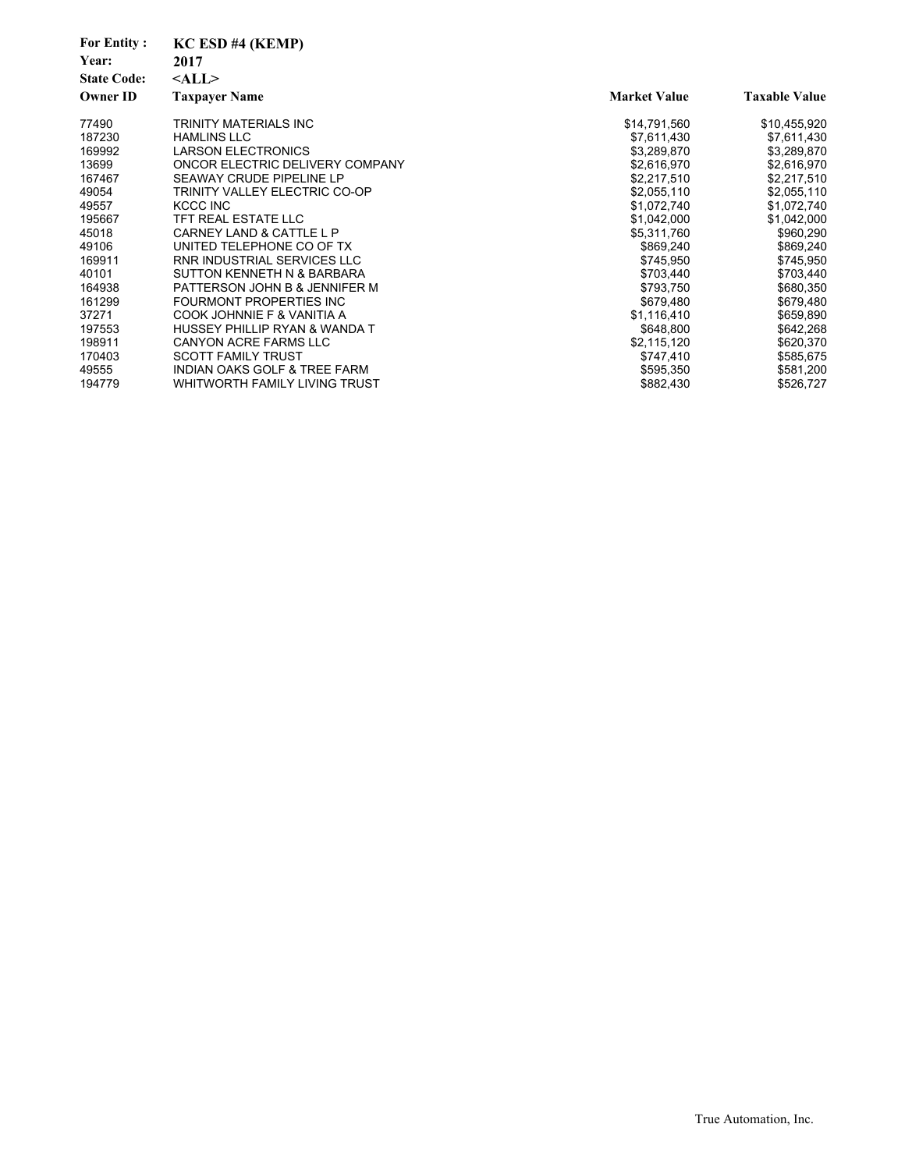| <b>For Entity:</b> | KC ESD #4 (KEMP)                        |                     |                      |
|--------------------|-----------------------------------------|---------------------|----------------------|
| Year:              | 2017                                    |                     |                      |
| <b>State Code:</b> | $<$ ALL $>$                             |                     |                      |
| Owner ID           | <b>Taxpayer Name</b>                    | <b>Market Value</b> | <b>Taxable Value</b> |
| 77490              | TRINITY MATERIALS INC                   | \$14,791,560        | \$10,455,920         |
| 187230             | <b>HAMLINS LLC</b>                      | \$7,611,430         | \$7,611,430          |
| 169992             | <b>LARSON ELECTRONICS</b>               | \$3,289,870         | \$3,289,870          |
| 13699              | ONCOR ELECTRIC DELIVERY COMPANY         | \$2,616,970         | \$2,616,970          |
| 167467             | SEAWAY CRUDE PIPELINE LP                | \$2,217,510         | \$2,217,510          |
| 49054              | TRINITY VALLEY ELECTRIC CO-OP           | \$2,055,110         | \$2,055,110          |
| 49557              | KCCC INC                                | \$1,072,740         | \$1,072,740          |
| 195667             | TFT REAL ESTATE LLC                     | \$1,042,000         | \$1,042,000          |
| 45018              | CARNEY LAND & CATTLE L P                | \$5,311,760         | \$960,290            |
| 49106              | UNITED TELEPHONE CO OF TX               | \$869,240           | \$869,240            |
| 169911             | RNR INDUSTRIAL SERVICES LLC             | \$745,950           | \$745,950            |
| 40101              | SUTTON KENNETH N & BARBARA              | \$703,440           | \$703,440            |
| 164938             | PATTERSON JOHN B & JENNIFER M           | \$793,750           | \$680,350            |
| 161299             | FOURMONT PROPERTIES INC                 | \$679,480           | \$679,480            |
| 37271              | COOK JOHNNIE F & VANITIA A              | \$1,116,410         | \$659,890            |
| 197553             | HUSSEY PHILLIP RYAN & WANDA T           | \$648,800           | \$642,268            |
| 198911             | <b>CANYON ACRE FARMS LLC</b>            | \$2,115,120         | \$620,370            |
| 170403             | <b>SCOTT FAMILY TRUST</b>               | \$747,410           | \$585,675            |
| 49555              | <b>INDIAN OAKS GOLF &amp; TREE FARM</b> | \$595,350           | \$581,200            |
| 194779             | WHITWORTH FAMILY LIVING TRUST           | \$882,430           | \$526,727            |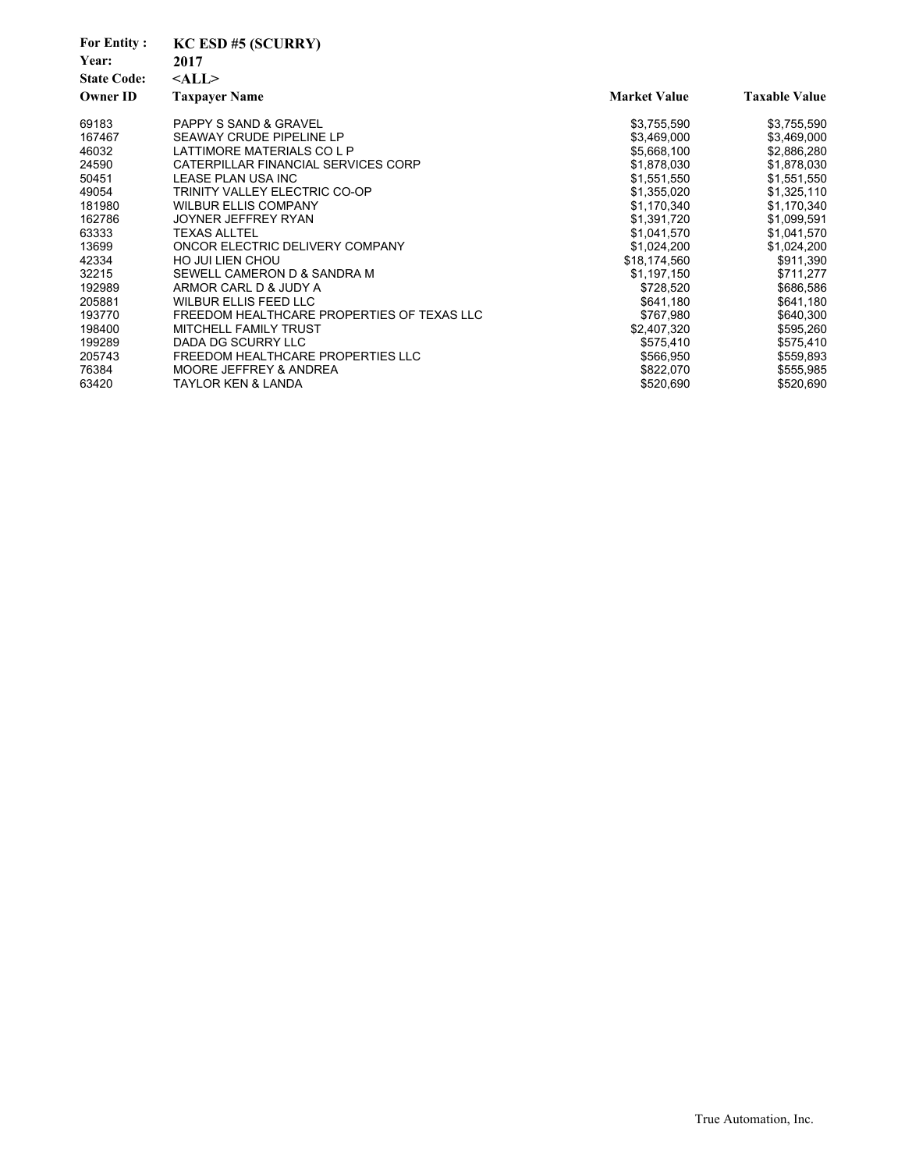| <b>For Entity:</b> | $KC$ ESD #5 (SCURRY)                       |                     |                      |
|--------------------|--------------------------------------------|---------------------|----------------------|
| Year:              | 2017                                       |                     |                      |
| <b>State Code:</b> | $<$ ALL $>$                                |                     |                      |
| <b>Owner ID</b>    | <b>Taxpayer Name</b>                       | <b>Market Value</b> | <b>Taxable Value</b> |
| 69183              | <b>PAPPY S SAND &amp; GRAVEL</b>           | \$3,755,590         | \$3,755,590          |
| 167467             | <b>SEAWAY CRUDE PIPELINE LP</b>            | \$3,469,000         | \$3,469,000          |
| 46032              | LATTIMORE MATERIALS CO L P                 | \$5,668,100         | \$2,886,280          |
| 24590              | CATERPILLAR FINANCIAL SERVICES CORP        | \$1,878,030         | \$1,878,030          |
| 50451              | LEASE PLAN USA INC                         | \$1,551,550         | \$1,551,550          |
| 49054              | TRINITY VALLEY ELECTRIC CO-OP              | \$1,355,020         | \$1,325,110          |
| 181980             | <b>WILBUR ELLIS COMPANY</b>                | \$1,170,340         | \$1,170,340          |
| 162786             | JOYNER JEFFREY RYAN                        | \$1,391,720         | \$1,099,591          |
| 63333              | <b>TEXAS ALLTEL</b>                        | \$1,041,570         | \$1,041,570          |
| 13699              | ONCOR ELECTRIC DELIVERY COMPANY            | \$1,024,200         | \$1,024,200          |
| 42334              | <b>HO JUI LIEN CHOU</b>                    | \$18,174,560        | \$911,390            |
| 32215              | SEWELL CAMERON D & SANDRA M                | \$1,197,150         | \$711,277            |
| 192989             | ARMOR CARL D & JUDY A                      | \$728,520           | \$686,586            |
| 205881             | <b>WILBUR ELLIS FEED LLC</b>               | \$641,180           | \$641,180            |
| 193770             | FREEDOM HEALTHCARE PROPERTIES OF TEXAS LLC | \$767,980           | \$640,300            |
| 198400             | <b>MITCHELL FAMILY TRUST</b>               | \$2,407,320         | \$595,260            |
| 199289             | DADA DG SCURRY LLC                         | \$575,410           | \$575,410            |
| 205743             | FREEDOM HEALTHCARE PROPERTIES LLC          | \$566,950           | \$559,893            |
| 76384              | MOORE JEFFREY & ANDREA                     | \$822,070           | \$555,985            |
| 63420              | <b>TAYLOR KEN &amp; LANDA</b>              | \$520,690           | \$520,690            |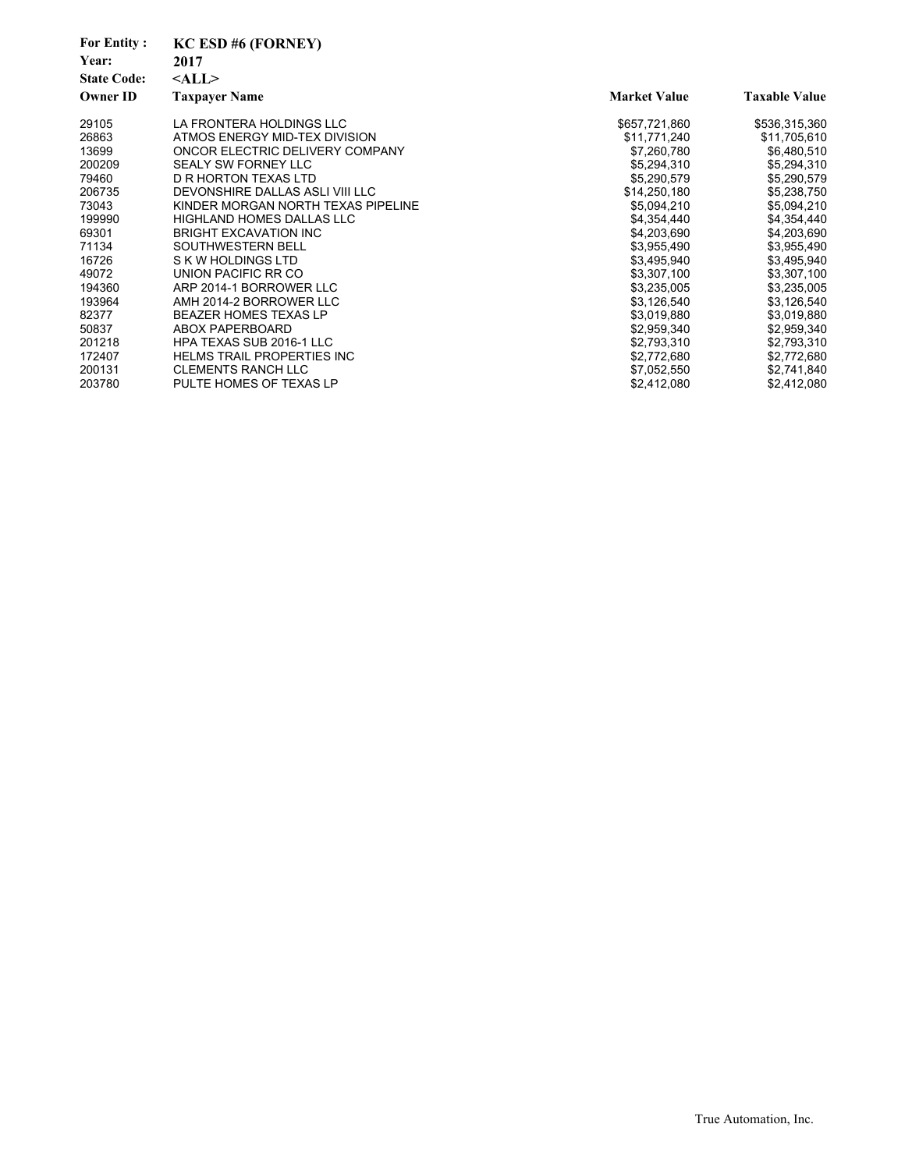| <b>For Entity:</b><br>Year:<br><b>State Code:</b><br><b>Owner ID</b> | $KC$ ESD #6 (FORNEY)<br>2017<br>$<$ ALL $>$<br><b>Taxpayer Name</b> | <b>Market Value</b> | <b>Taxable Value</b> |
|----------------------------------------------------------------------|---------------------------------------------------------------------|---------------------|----------------------|
|                                                                      |                                                                     |                     |                      |
| 29105                                                                | LA FRONTERA HOLDINGS LLC                                            | \$657,721,860       | \$536,315,360        |
| 26863                                                                | ATMOS ENERGY MID-TEX DIVISION                                       | \$11,771,240        | \$11,705,610         |
| 13699                                                                | ONCOR ELECTRIC DELIVERY COMPANY                                     | \$7,260,780         | \$6,480,510          |
| 200209                                                               | <b>SEALY SW FORNEY LLC</b>                                          | \$5,294,310         | \$5,294,310          |
| 79460                                                                | D R HORTON TEXAS LTD                                                | \$5,290,579         | \$5,290,579          |
| 206735                                                               | DEVONSHIRE DALLAS ASLI VIII LLC                                     | \$14,250,180        | \$5,238,750          |
| 73043                                                                | KINDER MORGAN NORTH TEXAS PIPELINE                                  | \$5,094,210         | \$5,094,210          |
| 199990                                                               | <b>HIGHLAND HOMES DALLAS LLC</b>                                    | \$4,354,440         | \$4,354,440          |
| 69301                                                                | <b>BRIGHT EXCAVATION INC</b>                                        | \$4,203,690         | \$4,203,690          |
| 71134                                                                | SOUTHWESTERN BELL                                                   | \$3,955,490         | \$3,955,490          |
| 16726                                                                | S K W HOLDINGS LTD                                                  | \$3,495,940         | \$3,495,940          |
| 49072                                                                | UNION PACIFIC RR CO                                                 | \$3,307,100         | \$3,307,100          |
| 194360                                                               | ARP 2014-1 BORROWER LLC                                             | \$3,235,005         | \$3,235,005          |
| 193964                                                               | AMH 2014-2 BORROWER LLC                                             | \$3,126,540         | \$3,126,540          |
| 82377                                                                | <b>BEAZER HOMES TEXAS LP</b>                                        | \$3,019,880         | \$3,019,880          |
| 50837                                                                | ABOX PAPERBOARD                                                     | \$2,959,340         | \$2,959,340          |
| 201218                                                               | <b>HPA TEXAS SUB 2016-1 LLC</b>                                     | \$2,793,310         | \$2,793,310          |
| 172407                                                               | <b>HELMS TRAIL PROPERTIES INC</b>                                   | \$2,772,680         | \$2,772,680          |
| 200131                                                               | <b>CLEMENTS RANCH LLC</b>                                           | \$7,052,550         | \$2,741,840          |
| 203780                                                               | PULTE HOMES OF TEXAS LP                                             | \$2,412,080         | \$2,412,080          |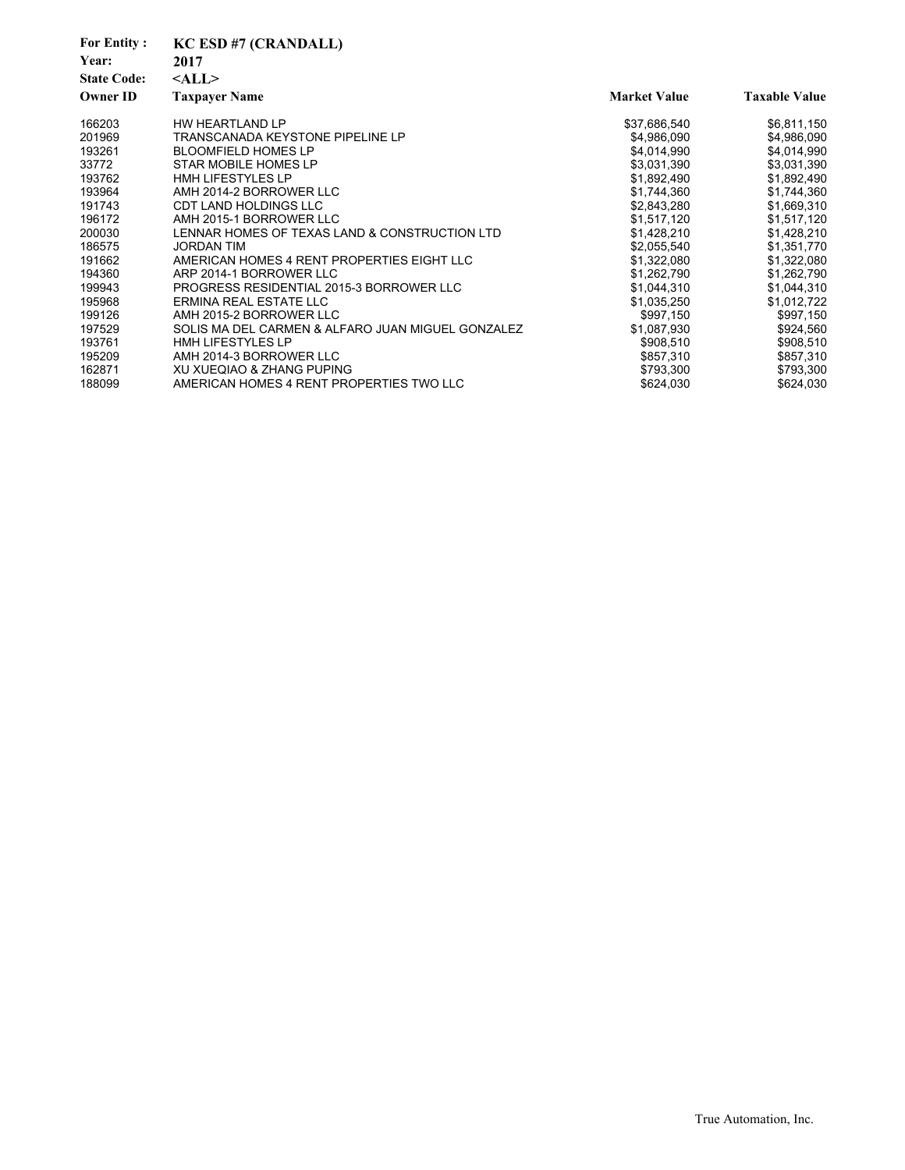| <b>For Entity:</b><br>Year:<br><b>State Code:</b><br><b>Owner ID</b> | <b>KC ESD #7 (CRANDALL)</b><br>2017<br>$<$ ALL $>$<br><b>Taxpayer Name</b> | <b>Market Value</b> | <b>Taxable Value</b> |
|----------------------------------------------------------------------|----------------------------------------------------------------------------|---------------------|----------------------|
| 166203                                                               | HW HEARTLAND LP                                                            | \$37,686,540        | \$6,811,150          |
| 201969                                                               | <b>TRANSCANADA KEYSTONE PIPELINE LP</b>                                    | \$4,986,090         | \$4,986,090          |
| 193261                                                               | <b>BLOOMFIELD HOMES LP</b>                                                 | \$4,014,990         | \$4,014,990          |
| 33772                                                                | STAR MOBILE HOMES LP                                                       | \$3,031,390         | \$3,031,390          |
| 193762                                                               | <b>HMH LIFESTYLES LP</b>                                                   | \$1,892,490         | \$1,892,490          |
| 193964                                                               | AMH 2014-2 BORROWER LLC                                                    | \$1,744,360         | \$1,744,360          |
| 191743                                                               | <b>CDT LAND HOLDINGS LLC</b>                                               | \$2,843,280         | \$1,669,310          |
| 196172                                                               | AMH 2015-1 BORROWER LLC                                                    | \$1,517,120         | \$1,517,120          |
| 200030                                                               | LENNAR HOMES OF TEXAS LAND & CONSTRUCTION LTD                              | \$1,428,210         | \$1,428,210          |
| 186575                                                               | <b>JORDAN TIM</b>                                                          | \$2,055,540         | \$1,351,770          |
| 191662                                                               | AMERICAN HOMES 4 RENT PROPERTIES EIGHT LLC                                 | \$1,322,080         | \$1,322,080          |
| 194360                                                               | ARP 2014-1 BORROWER LLC                                                    | \$1,262,790         | \$1,262,790          |
| 199943                                                               | PROGRESS RESIDENTIAL 2015-3 BORROWER LLC                                   | \$1,044,310         | \$1,044,310          |
| 195968                                                               | ERMINA REAL ESTATE LLC                                                     | \$1,035,250         | \$1,012,722          |
| 199126                                                               | AMH 2015-2 BORROWER LLC                                                    | \$997,150           | \$997,150            |
| 197529                                                               | SOLIS MA DEL CARMEN & ALFARO JUAN MIGUEL GONZALEZ                          | \$1,087,930         | \$924,560            |
| 193761                                                               | HMH LIFESTYLES LP                                                          | \$908,510           | \$908,510            |
| 195209                                                               | AMH 2014-3 BORROWER LLC                                                    | \$857,310           | \$857,310            |
| 162871                                                               | XU XUEQIAO & ZHANG PUPING                                                  | \$793,300           | \$793,300            |
| 188099                                                               | AMERICAN HOMES 4 RENT PROPERTIES TWO LLC                                   | \$624,030           | \$624,030            |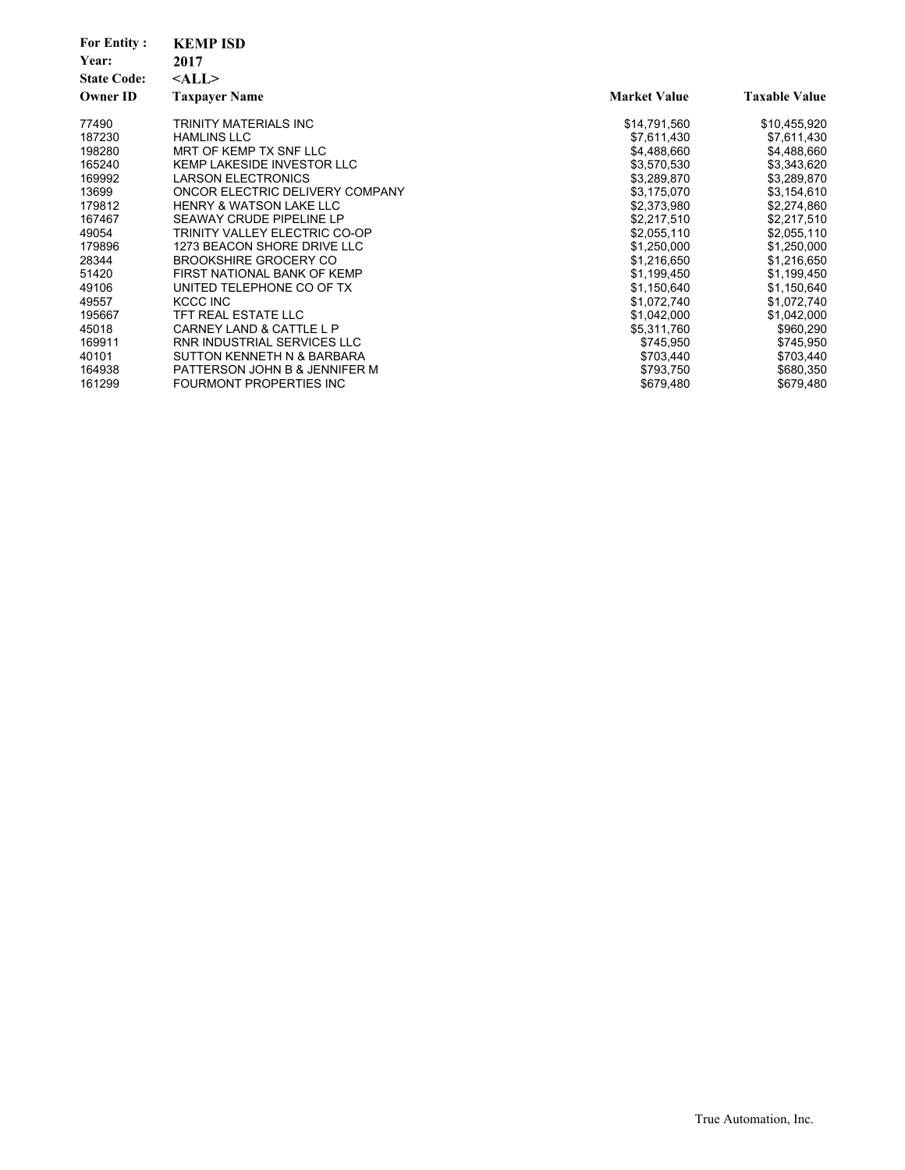| <b>For Entity:</b><br>Year:<br><b>State Code:</b><br><b>Owner ID</b> | <b>KEMP ISD</b><br>2017<br>$<$ ALL $>$<br><b>Taxpayer Name</b> | <b>Market Value</b> | <b>Taxable Value</b> |
|----------------------------------------------------------------------|----------------------------------------------------------------|---------------------|----------------------|
| 77490                                                                | TRINITY MATERIALS INC                                          | \$14,791,560        | \$10,455,920         |
| 187230                                                               | <b>HAMLINS LLC</b>                                             | \$7,611,430         | \$7,611,430          |
| 198280                                                               | MRT OF KEMP TX SNF LLC                                         | \$4,488,660         | \$4,488,660          |
| 165240                                                               | KEMP LAKESIDE INVESTOR LLC                                     | \$3,570,530         | \$3,343,620          |
| 169992                                                               | <b>LARSON ELECTRONICS</b>                                      | \$3,289,870         | \$3,289,870          |
| 13699                                                                | ONCOR ELECTRIC DELIVERY COMPANY                                | \$3,175,070         | \$3,154,610          |
| 179812                                                               | <b>HENRY &amp; WATSON LAKE LLC</b>                             | \$2,373,980         | \$2,274,860          |
| 167467                                                               | SEAWAY CRUDE PIPELINE LP                                       | \$2,217,510         | \$2,217,510          |
| 49054                                                                | <b>TRINITY VALLEY ELECTRIC CO-OP</b>                           | \$2,055,110         | \$2,055,110          |
| 179896                                                               | 1273 BEACON SHORE DRIVE LLC                                    | \$1,250,000         | \$1,250,000          |
| 28344                                                                | <b>BROOKSHIRE GROCERY CO</b>                                   | \$1,216,650         | \$1,216,650          |
| 51420                                                                | FIRST NATIONAL BANK OF KEMP                                    | \$1,199,450         | \$1,199,450          |
| 49106                                                                | UNITED TELEPHONE CO OF TX                                      | \$1,150,640         | \$1,150,640          |
| 49557                                                                | KCCC INC                                                       | \$1,072,740         | \$1,072,740          |
| 195667                                                               | TFT REAL ESTATE LLC                                            | \$1,042,000         | \$1,042,000          |
| 45018                                                                | CARNEY LAND & CATTLE L P                                       | \$5,311,760         | \$960,290            |
| 169911                                                               | <b>RNR INDUSTRIAL SERVICES LLC</b>                             | \$745,950           | \$745,950            |
| 40101                                                                | SUTTON KENNETH N & BARBARA                                     | \$703,440           | \$703,440            |
| 164938                                                               | PATTERSON JOHN B & JENNIFER M                                  | \$793,750           | \$680,350            |
| 161299                                                               | FOURMONT PROPERTIES INC                                        | \$679,480           | \$679,480            |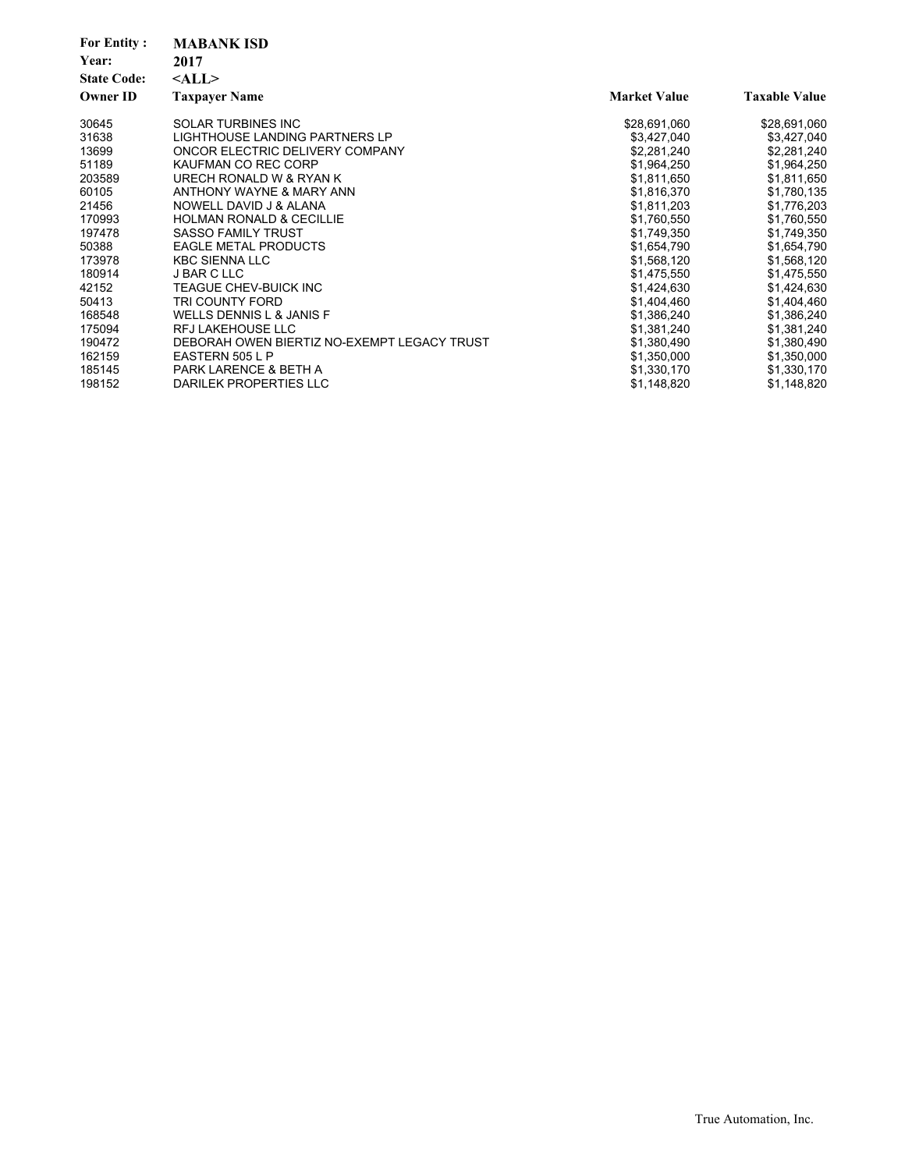| <b>For Entity:</b><br>Year: | <b>MABANK ISD</b><br>2017                   |                     |                      |
|-----------------------------|---------------------------------------------|---------------------|----------------------|
| <b>State Code:</b>          | $<$ ALL $>$                                 |                     |                      |
| <b>Owner ID</b>             | <b>Taxpayer Name</b>                        | <b>Market Value</b> | <b>Taxable Value</b> |
| 30645                       | <b>SOLAR TURBINES INC</b>                   | \$28,691,060        | \$28,691,060         |
| 31638                       | LIGHTHOUSE LANDING PARTNERS LP              | \$3,427,040         | \$3,427,040          |
| 13699                       | ONCOR ELECTRIC DELIVERY COMPANY             | \$2,281,240         | \$2,281,240          |
| 51189                       | KAUFMAN CO REC CORP                         | \$1,964,250         | \$1,964,250          |
| 203589                      | URECH RONALD W & RYAN K                     | \$1,811,650         | \$1,811,650          |
| 60105                       | ANTHONY WAYNE & MARY ANN                    | \$1,816,370         | \$1,780,135          |
| 21456                       | NOWELL DAVID J & ALANA                      | \$1,811,203         | \$1,776,203          |
| 170993                      | <b>HOLMAN RONALD &amp; CECILLIE</b>         | \$1,760,550         | \$1,760,550          |
| 197478                      | <b>SASSO FAMILY TRUST</b>                   | \$1,749,350         | \$1,749,350          |
| 50388                       | <b>EAGLE METAL PRODUCTS</b>                 | \$1,654,790         | \$1,654,790          |
| 173978                      | <b>KBC SIENNA LLC</b>                       | \$1,568,120         | \$1,568,120          |
| 180914                      | J BAR C LLC                                 | \$1,475,550         | \$1,475,550          |
| 42152                       | TEAGUE CHEV-BUICK INC                       | \$1,424,630         | \$1,424,630          |
| 50413                       | TRI COUNTY FORD                             | \$1,404,460         | \$1,404,460          |
| 168548                      | WELLS DENNIS L & JANIS F                    | \$1,386,240         | \$1,386,240          |
| 175094                      | <b>RFJ LAKEHOUSE LLC</b>                    | \$1,381,240         | \$1,381,240          |
| 190472                      | DEBORAH OWEN BIERTIZ NO-EXEMPT LEGACY TRUST | \$1,380,490         | \$1,380,490          |
| 162159                      | EASTERN 505 L P                             | \$1,350,000         | \$1,350,000          |
| 185145                      | PARK LARENCE & BETH A                       | \$1,330,170         | \$1,330,170          |
| 198152                      | DARILEK PROPERTIES LLC                      | \$1,148,820         | \$1,148,820          |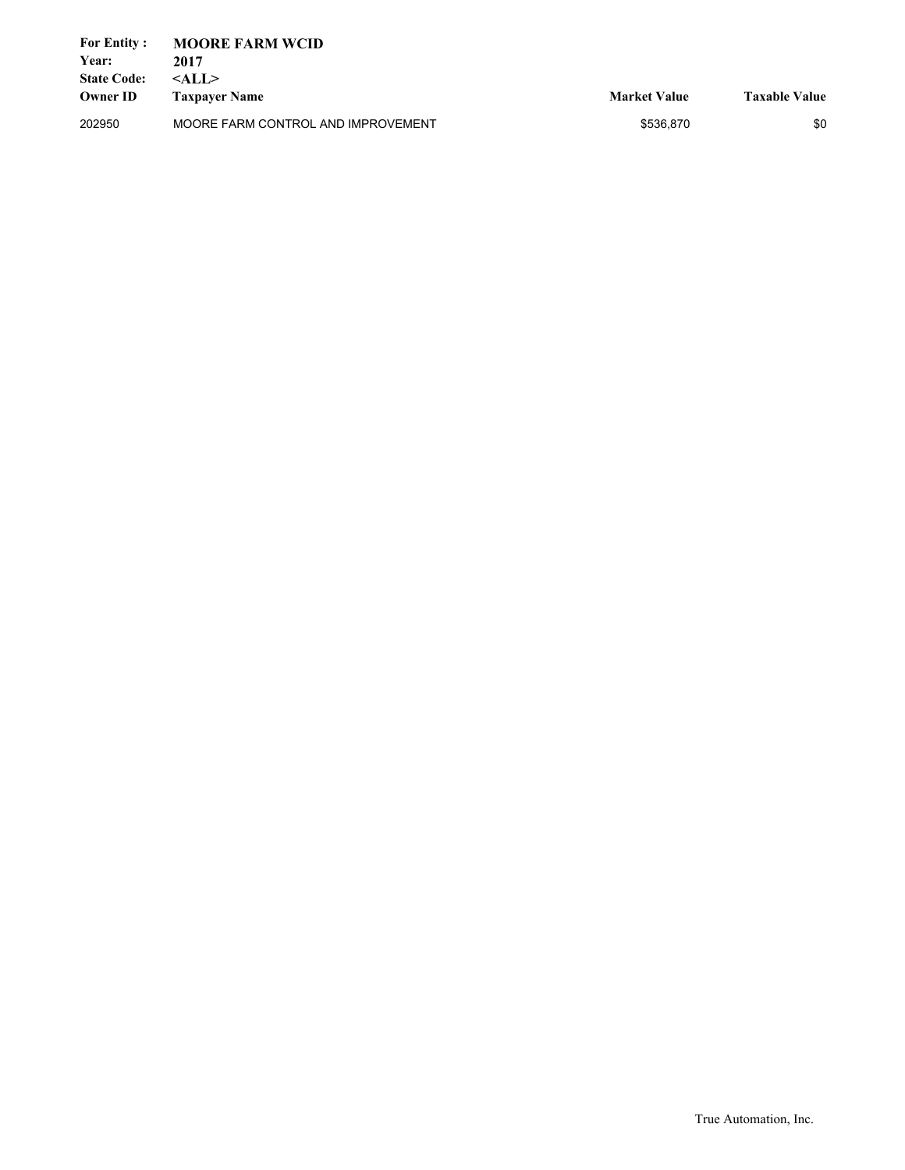| <b>For Entity:</b> | <b>MOORE FARM WCID</b>             |                     |                      |
|--------------------|------------------------------------|---------------------|----------------------|
| Year:              | 2017                               |                     |                      |
| <b>State Code:</b> | $<$ ALL $>$                        |                     |                      |
| <b>Owner ID</b>    | <b>Taxpayer Name</b>               | <b>Market Value</b> | <b>Taxable Value</b> |
| 202950             | MOORE FARM CONTROL AND IMPROVEMENT | \$536.870           | \$0                  |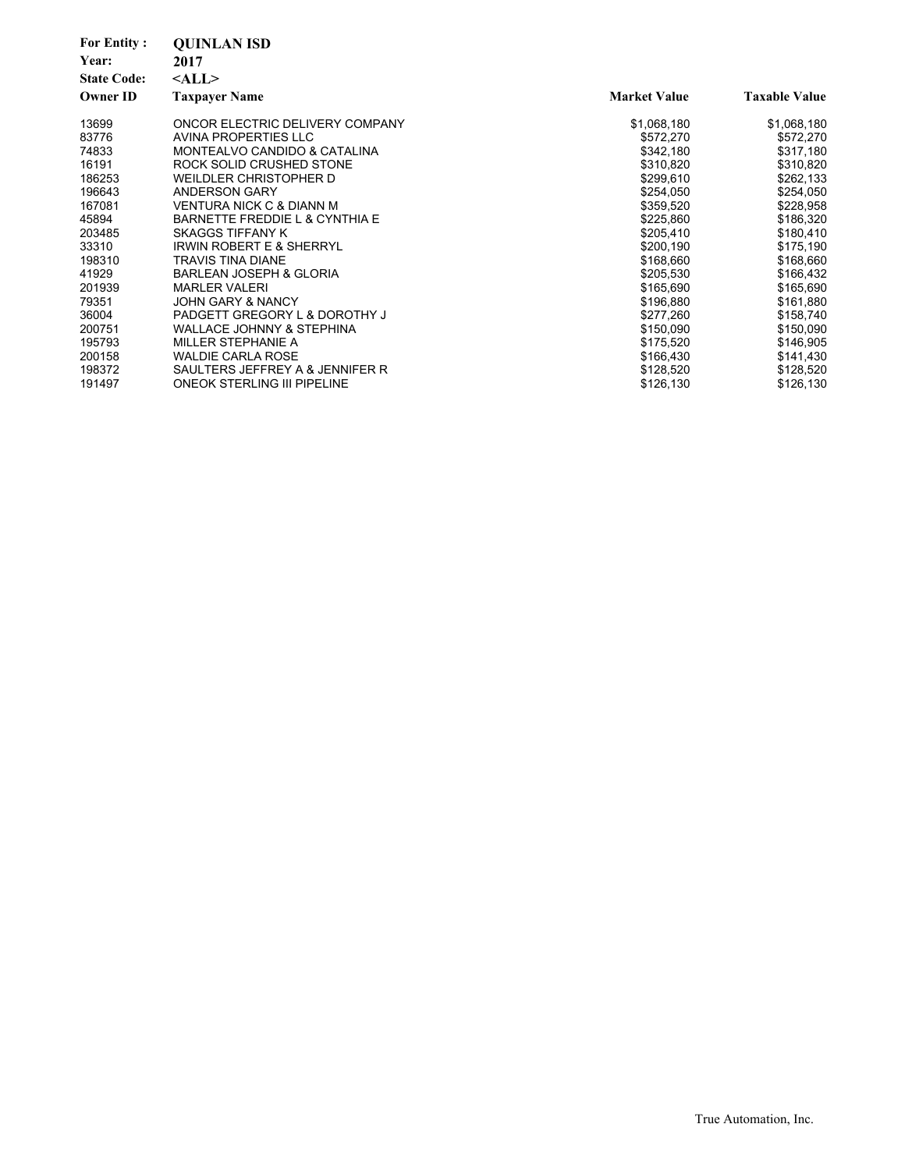| <b>For Entity:</b><br>Year:<br><b>State Code:</b><br><b>Owner ID</b> | <b>OUINLAN ISD</b><br>2017<br>$<$ ALL $>$<br><b>Taxpayer Name</b> | <b>Market Value</b>    | <b>Taxable Value</b>   |
|----------------------------------------------------------------------|-------------------------------------------------------------------|------------------------|------------------------|
|                                                                      |                                                                   |                        |                        |
| 13699                                                                | ONCOR ELECTRIC DELIVERY COMPANY                                   | \$1,068,180            | \$1,068,180            |
| 83776                                                                | AVINA PROPERTIES LLC                                              | \$572,270              | \$572,270              |
| 74833                                                                | MONTEALVO CANDIDO & CATALINA                                      | \$342,180              | \$317,180              |
| 16191<br>186253                                                      | ROCK SOLID CRUSHED STONE<br>WEILDLER CHRISTOPHER D                | \$310,820<br>\$299,610 | \$310,820              |
| 196643                                                               | <b>ANDERSON GARY</b>                                              | \$254,050              | \$262,133<br>\$254,050 |
| 167081                                                               | VENTURA NICK C & DIANN M                                          | \$359,520              | \$228,958              |
| 45894                                                                | BARNETTE FREDDIE L & CYNTHIA E                                    | \$225,860              | \$186,320              |
| 203485                                                               | SKAGGS TIFFANY K                                                  | \$205,410              | \$180,410              |
| 33310                                                                | <b>IRWIN ROBERT E &amp; SHERRYL</b>                               | \$200,190              | \$175,190              |
| 198310                                                               | <b>TRAVIS TINA DIANE</b>                                          | \$168,660              | \$168,660              |
| 41929                                                                | <b>BARLEAN JOSEPH &amp; GLORIA</b>                                | \$205,530              | \$166,432              |
| 201939                                                               | <b>MARLER VALERI</b>                                              | \$165,690              | \$165,690              |
| 79351                                                                | <b>JOHN GARY &amp; NANCY</b>                                      | \$196,880              | \$161,880              |
| 36004                                                                | PADGETT GREGORY L & DOROTHY J                                     | \$277,260              | \$158,740              |
| 200751                                                               | <b>WALLACE JOHNNY &amp; STEPHINA</b>                              | \$150,090              | \$150,090              |
| 195793                                                               | MILLER STEPHANIE A                                                | \$175,520              | \$146,905              |
| 200158                                                               | <b>WALDIE CARLA ROSE</b>                                          | \$166,430              | \$141,430              |
| 198372                                                               | SAULTERS JEFFREY A & JENNIFER R                                   | \$128,520              | \$128,520              |
| 191497                                                               | <b>ONEOK STERLING III PIPELINE</b>                                | \$126,130              | \$126,130              |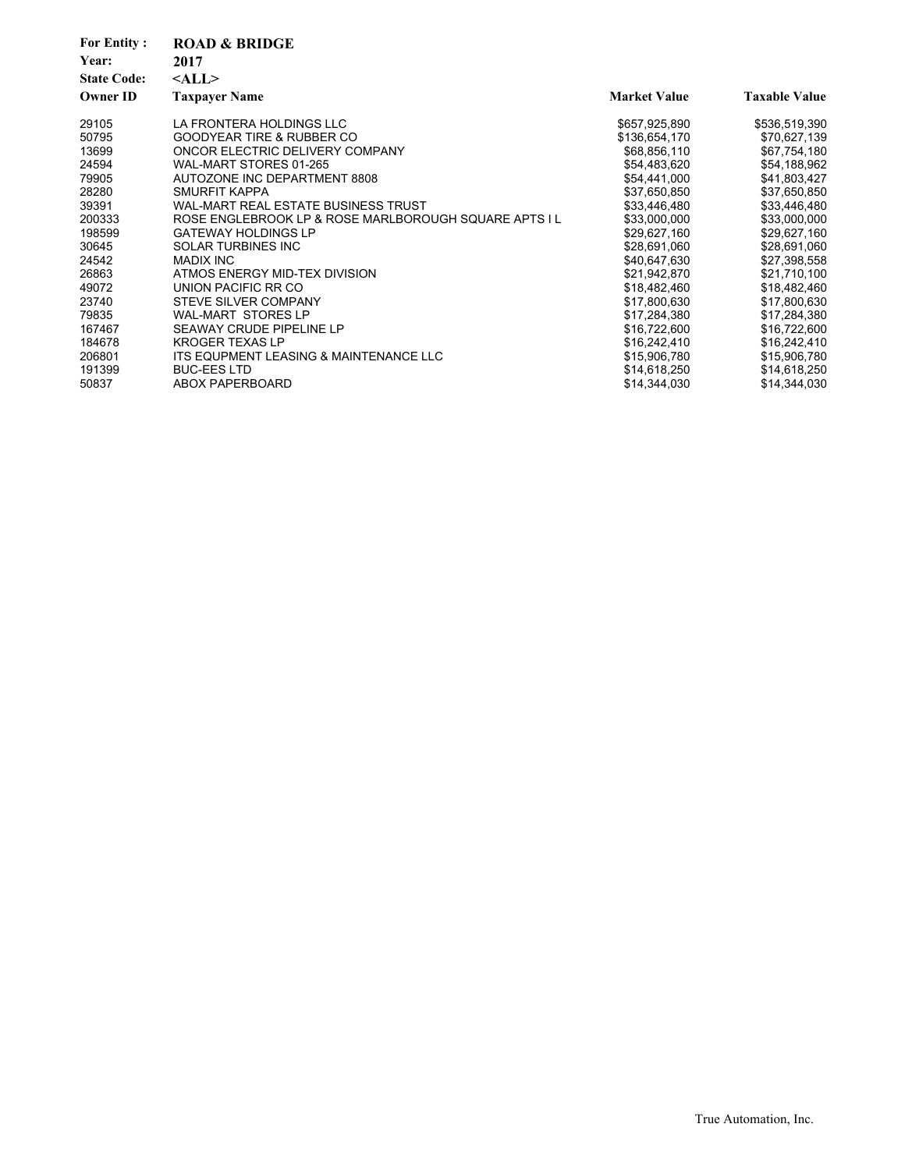| <b>For Entity:</b><br>Year: | <b>ROAD &amp; BRIDGE</b><br>2017                      |                     |                      |
|-----------------------------|-------------------------------------------------------|---------------------|----------------------|
| <b>State Code:</b>          | $<$ ALL $>$                                           |                     |                      |
| <b>Owner ID</b>             | <b>Taxpayer Name</b>                                  | <b>Market Value</b> | <b>Taxable Value</b> |
| 29105                       | LA FRONTERA HOLDINGS LLC                              | \$657,925,890       | \$536,519,390        |
| 50795                       | <b>GOODYEAR TIRE &amp; RUBBER CO</b>                  | \$136,654,170       | \$70,627,139         |
| 13699                       | ONCOR ELECTRIC DELIVERY COMPANY                       | \$68,856,110        | \$67,754,180         |
| 24594                       | WAL-MART STORES 01-265                                | \$54,483,620        | \$54,188,962         |
| 79905                       | AUTOZONE INC DEPARTMENT 8808                          | \$54,441,000        | \$41,803,427         |
| 28280                       | SMURFIT KAPPA                                         | \$37,650,850        | \$37,650,850         |
| 39391                       | WAL-MART REAL ESTATE BUSINESS TRUST                   | \$33,446,480        | \$33,446,480         |
| 200333                      | ROSE ENGLEBROOK LP & ROSE MARLBOROUGH SQUARE APTS I L | \$33,000,000        | \$33,000,000         |
| 198599                      | <b>GATEWAY HOLDINGS LP</b>                            | \$29,627,160        | \$29,627,160         |
| 30645                       | <b>SOLAR TURBINES INC</b>                             | \$28,691,060        | \$28,691,060         |
| 24542                       | <b>MADIX INC</b>                                      | \$40,647,630        | \$27,398,558         |
| 26863                       | ATMOS ENERGY MID-TEX DIVISION                         | \$21,942,870        | \$21,710,100         |
| 49072                       | UNION PACIFIC RR CO                                   | \$18,482,460        | \$18,482,460         |
| 23740                       | STEVE SILVER COMPANY                                  | \$17,800,630        | \$17,800,630         |
| 79835                       | <b>WAL-MART STORES LP</b>                             | \$17,284,380        | \$17,284,380         |
| 167467                      | SEAWAY CRUDE PIPELINE LP                              | \$16,722,600        | \$16,722,600         |
| 184678                      | <b>KROGER TEXAS LP</b>                                | \$16,242,410        | \$16,242,410         |
| 206801                      | ITS EQUPMENT LEASING & MAINTENANCE LLC                | \$15,906,780        | \$15,906,780         |
| 191399                      | <b>BUC-EES LTD</b>                                    | \$14,618,250        | \$14,618,250         |
| 50837                       | ABOX PAPERBOARD                                       | \$14,344,030        | \$14,344,030         |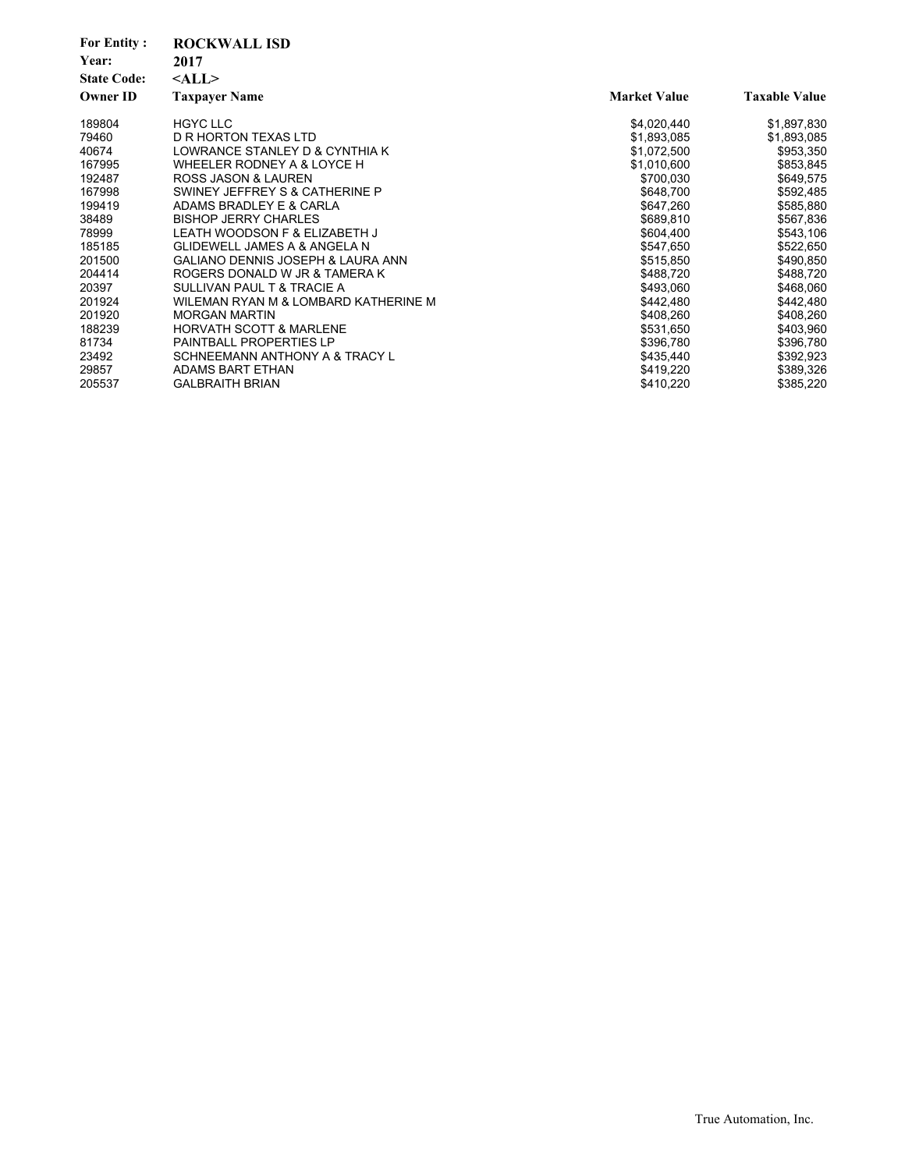| <b>For Entity:</b><br>Year:<br><b>State Code:</b> | <b>ROCKWALL ISD</b><br>2017<br>$<$ ALL $>$   |                     |                      |
|---------------------------------------------------|----------------------------------------------|---------------------|----------------------|
| <b>Owner ID</b>                                   | <b>Taxpayer Name</b>                         | <b>Market Value</b> | <b>Taxable Value</b> |
| 189804                                            | <b>HGYC LLC</b>                              | \$4,020,440         | \$1,897,830          |
| 79460                                             | D R HORTON TEXAS LTD                         | \$1,893,085         | \$1,893,085          |
| 40674                                             | LOWRANCE STANLEY D & CYNTHIA K               | \$1,072,500         | \$953,350            |
| 167995                                            | WHEELER RODNEY A & LOYCE H                   | \$1,010,600         | \$853,845            |
| 192487                                            | ROSS JASON & LAUREN                          | \$700,030           | \$649,575            |
| 167998                                            | SWINEY JEFFREY S & CATHERINE P               | \$648,700           | \$592,485            |
| 199419                                            | ADAMS BRADLEY E & CARLA                      | \$647,260           | \$585,880            |
| 38489                                             | <b>BISHOP JERRY CHARLES</b>                  | \$689,810           | \$567,836            |
| 78999                                             | LEATH WOODSON F & ELIZABETH J                | \$604,400           | \$543,106            |
| 185185                                            | <b>GLIDEWELL JAMES A &amp; ANGELA N</b>      | \$547,650           | \$522,650            |
| 201500                                            | <b>GALIANO DENNIS JOSEPH &amp; LAURA ANN</b> | \$515,850           | \$490,850            |
| 204414                                            | ROGERS DONALD W JR & TAMERA K                | \$488,720           | \$488,720            |
| 20397                                             | SULLIVAN PAUL T & TRACIE A                   | \$493,060           | \$468,060            |
| 201924                                            | WILEMAN RYAN M & LOMBARD KATHERINE M         | \$442,480           | \$442,480            |
| 201920                                            | <b>MORGAN MARTIN</b>                         | \$408,260           | \$408,260            |
| 188239                                            | <b>HORVATH SCOTT &amp; MARLENE</b>           | \$531,650           | \$403,960            |
| 81734                                             | <b>PAINTBALL PROPERTIES LP</b>               | \$396,780           | \$396,780            |
| 23492                                             | SCHNEEMANN ANTHONY A & TRACY L               | \$435,440           | \$392,923            |
| 29857                                             | ADAMS BART ETHAN                             | \$419,220           | \$389,326            |
| 205537                                            | <b>GALBRAITH BRIAN</b>                       | \$410,220           | \$385,220            |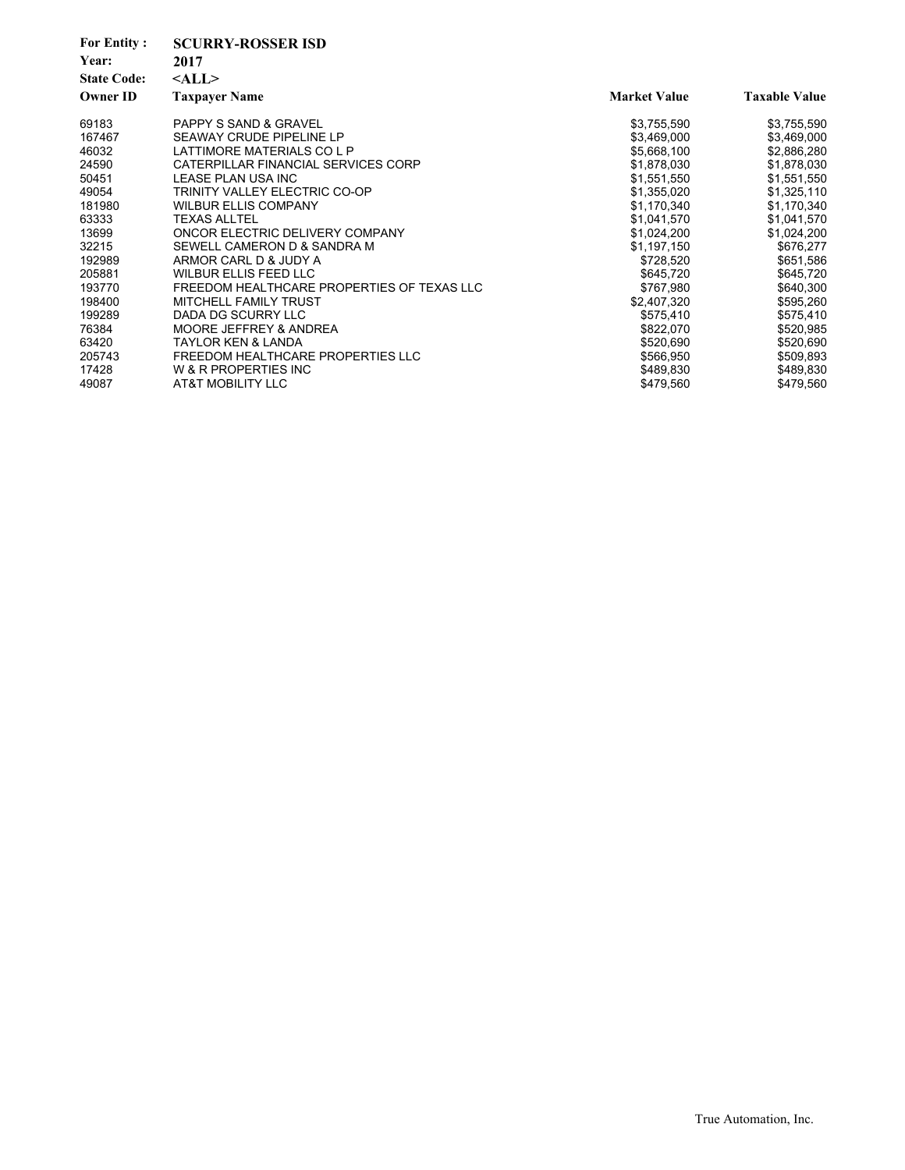| <b>For Entity:</b><br>Year:<br><b>State Code:</b><br><b>Owner ID</b> | <b>SCURRY-ROSSER ISD</b><br>2017<br>$<$ ALL $>$<br><b>Taxpayer Name</b> | <b>Market Value</b> | <b>Taxable Value</b> |
|----------------------------------------------------------------------|-------------------------------------------------------------------------|---------------------|----------------------|
| 69183                                                                | <b>PAPPY S SAND &amp; GRAVEL</b>                                        | \$3,755,590         | \$3,755,590          |
| 167467                                                               | SEAWAY CRUDE PIPELINE LP                                                | \$3,469,000         | \$3,469,000          |
| 46032                                                                | LATTIMORE MATERIALS CO L P                                              | \$5,668,100         | \$2,886,280          |
| 24590                                                                | CATERPILLAR FINANCIAL SERVICES CORP                                     | \$1,878,030         | \$1,878,030          |
| 50451                                                                | LEASE PLAN USA INC                                                      | \$1,551,550         | \$1,551,550          |
| 49054                                                                | TRINITY VALLEY ELECTRIC CO-OP                                           | \$1,355,020         | \$1,325,110          |
| 181980                                                               | <b>WILBUR ELLIS COMPANY</b>                                             | \$1,170,340         | \$1,170,340          |
| 63333                                                                | <b>TEXAS ALLTEL</b>                                                     | \$1,041,570         | \$1,041,570          |
| 13699                                                                | ONCOR ELECTRIC DELIVERY COMPANY                                         | \$1,024,200         | \$1,024,200          |
| 32215                                                                | SEWELL CAMERON D & SANDRA M                                             | \$1,197,150         | \$676,277            |
| 192989                                                               | ARMOR CARL D & JUDY A                                                   | \$728,520           | \$651,586            |
| 205881                                                               | <b>WILBUR ELLIS FEED LLC</b>                                            | \$645,720           | \$645,720            |
| 193770                                                               | FREEDOM HEALTHCARE PROPERTIES OF TEXAS LLC                              | \$767,980           | \$640,300            |
| 198400                                                               | MITCHELL FAMILY TRUST                                                   | \$2,407,320         | \$595,260            |
| 199289                                                               | DADA DG SCURRY LLC                                                      | \$575,410           | \$575,410            |
| 76384                                                                | MOORE JEFFREY & ANDREA                                                  | \$822,070           | \$520,985            |
| 63420                                                                | <b>TAYLOR KEN &amp; LANDA</b>                                           | \$520,690           | \$520,690            |
| 205743                                                               | FREEDOM HEALTHCARE PROPERTIES LLC                                       | \$566,950           | \$509,893            |
| 17428                                                                | W & R PROPERTIES INC                                                    | \$489,830           | \$489,830            |
| 49087                                                                | <b>AT&amp;T MOBILITY LLC</b>                                            | \$479,560           | \$479,560            |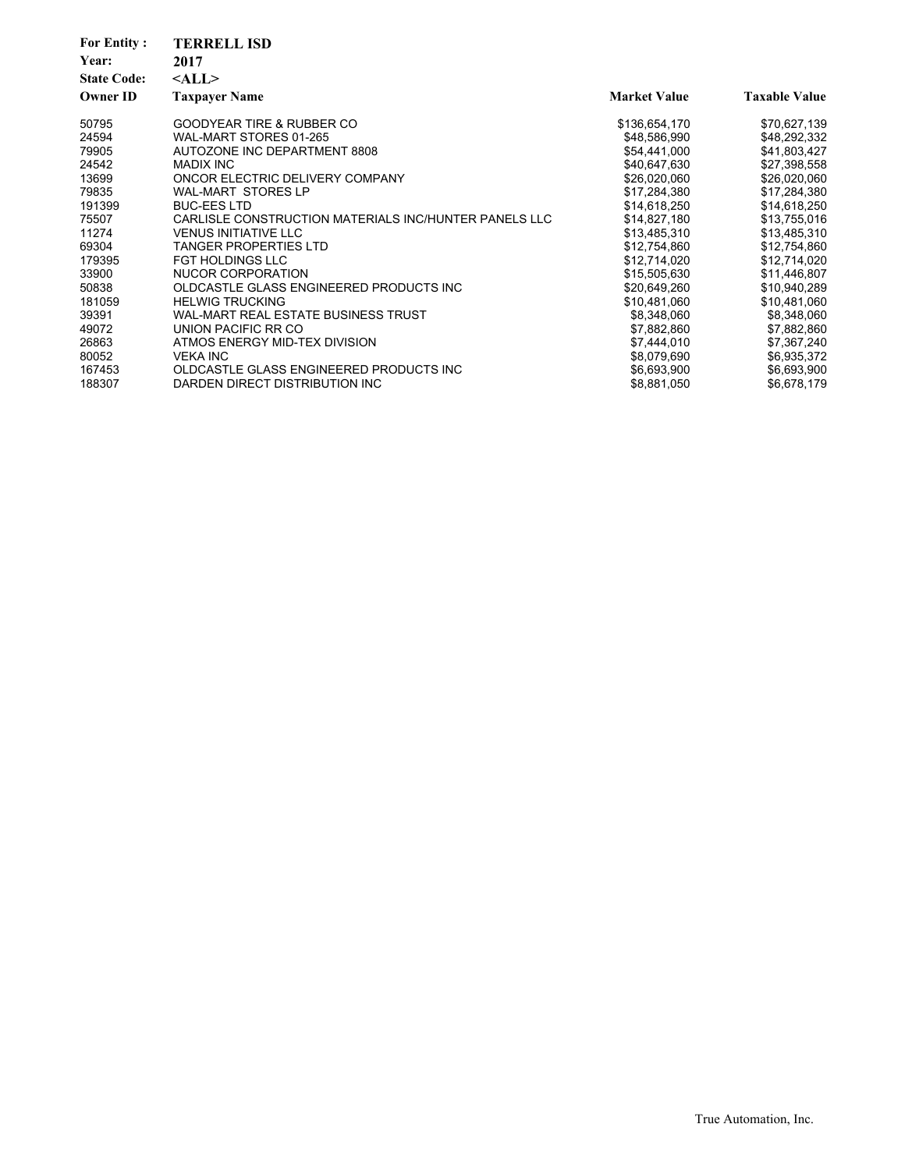| <b>For Entity:</b><br>Year:<br><b>State Code:</b><br><b>Owner ID</b> | <b>TERRELL ISD</b><br>2017<br>$<$ ALL $>$<br><b>Taxpayer Name</b> | <b>Market Value</b> | <b>Taxable Value</b> |
|----------------------------------------------------------------------|-------------------------------------------------------------------|---------------------|----------------------|
| 50795                                                                | <b>GOODYEAR TIRE &amp; RUBBER CO</b>                              | \$136,654,170       | \$70,627,139         |
| 24594                                                                | WAL-MART STORES 01-265                                            | \$48,586,990        | \$48,292,332         |
| 79905                                                                | AUTOZONE INC DEPARTMENT 8808                                      | \$54,441,000        | \$41,803,427         |
| 24542                                                                | <b>MADIX INC</b>                                                  | \$40,647,630        | \$27,398,558         |
| 13699                                                                | ONCOR ELECTRIC DELIVERY COMPANY                                   | \$26,020,060        | \$26,020,060         |
| 79835                                                                | <b>WAL-MART STORES LP</b>                                         | \$17,284,380        | \$17,284,380         |
| 191399                                                               | <b>BUC-EES LTD</b>                                                | \$14,618,250        | \$14,618,250         |
| 75507                                                                | CARLISLE CONSTRUCTION MATERIALS INC/HUNTER PANELS LLC             | \$14,827,180        | \$13,755,016         |
| 11274                                                                | <b>VENUS INITIATIVE LLC</b>                                       | \$13,485,310        | \$13,485,310         |
| 69304                                                                | <b>TANGER PROPERTIES LTD</b>                                      | \$12,754,860        | \$12,754,860         |
| 179395                                                               | <b>FGT HOLDINGS LLC</b>                                           | \$12,714,020        | \$12,714,020         |
| 33900                                                                | NUCOR CORPORATION                                                 | \$15,505,630        | \$11,446,807         |
| 50838                                                                | OLDCASTLE GLASS ENGINEERED PRODUCTS INC                           | \$20,649,260        | \$10,940,289         |
| 181059                                                               | <b>HELWIG TRUCKING</b>                                            | \$10,481,060        | \$10,481,060         |
| 39391                                                                | WAL-MART REAL ESTATE BUSINESS TRUST                               | \$8,348,060         | \$8,348,060          |
| 49072                                                                | UNION PACIFIC RR CO                                               | \$7,882,860         | \$7,882,860          |
| 26863                                                                | ATMOS ENERGY MID-TEX DIVISION                                     | \$7,444,010         | \$7,367,240          |
| 80052                                                                | <b>VEKA INC</b>                                                   | \$8,079,690         | \$6,935,372          |
| 167453                                                               | OLDCASTLE GLASS ENGINEERED PRODUCTS INC                           | \$6,693,900         | \$6,693,900          |
| 188307                                                               | DARDEN DIRECT DISTRIBUTION INC.                                   | \$8,881,050         | \$6,678,179          |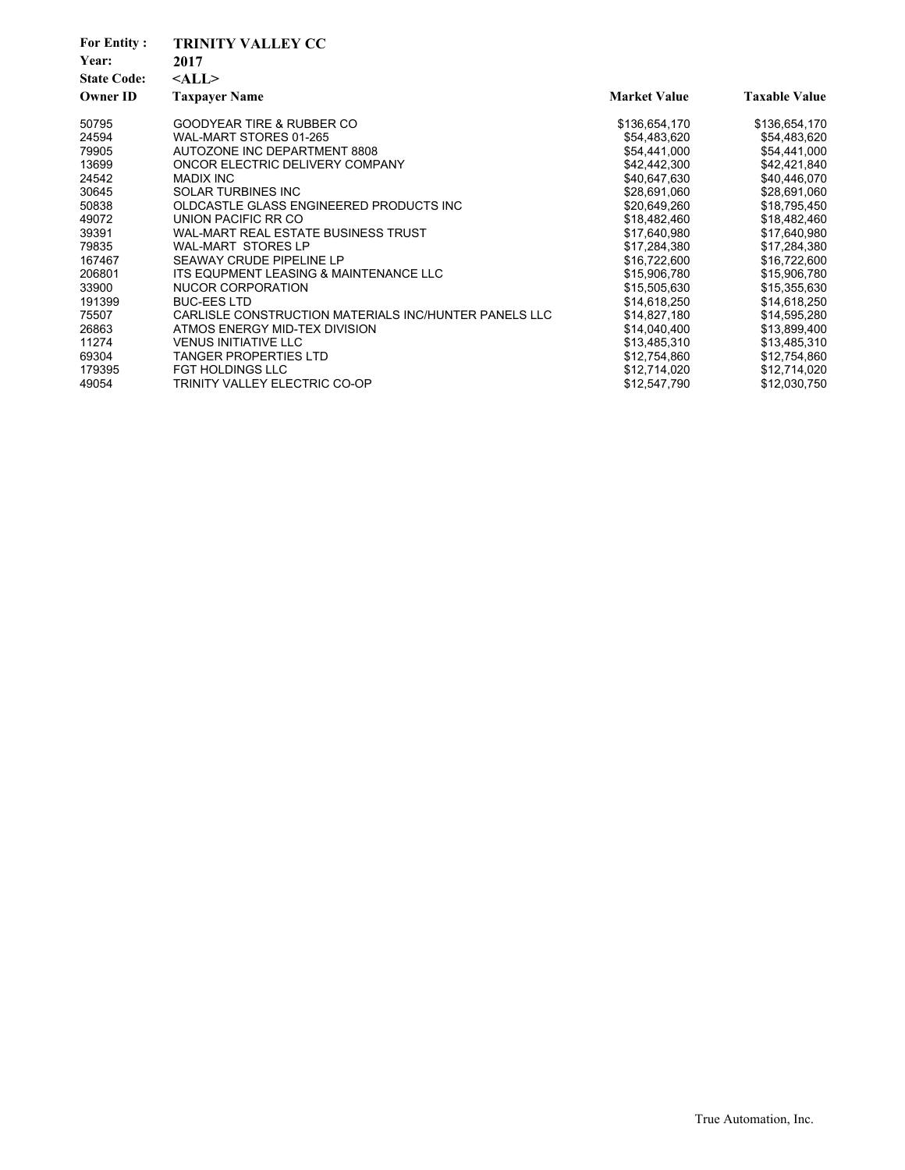| <b>For Entity:</b><br>Year:<br><b>State Code:</b><br><b>Owner ID</b> | <b>TRINITY VALLEY CC</b><br>2017<br>$<$ ALL $>$<br><b>Taxpayer Name</b> | <b>Market Value</b> | <b>Taxable Value</b> |
|----------------------------------------------------------------------|-------------------------------------------------------------------------|---------------------|----------------------|
| 50795                                                                | <b>GOODYEAR TIRE &amp; RUBBER CO</b>                                    | \$136,654,170       | \$136,654,170        |
| 24594                                                                | WAL-MART STORES 01-265                                                  | \$54,483,620        | \$54,483,620         |
| 79905                                                                | AUTOZONE INC DEPARTMENT 8808                                            | \$54,441,000        | \$54,441,000         |
| 13699                                                                | ONCOR ELECTRIC DELIVERY COMPANY                                         | \$42,442,300        | \$42,421,840         |
| 24542                                                                | <b>MADIX INC</b>                                                        | \$40,647,630        | \$40,446,070         |
| 30645                                                                | SOLAR TURBINES INC                                                      | \$28,691,060        | \$28,691,060         |
| 50838                                                                | OLDCASTLE GLASS ENGINEERED PRODUCTS INC                                 | \$20,649,260        | \$18,795,450         |
| 49072                                                                | UNION PACIFIC RR CO                                                     | \$18,482,460        | \$18,482,460         |
| 39391                                                                | WAL-MART REAL ESTATE BUSINESS TRUST                                     | \$17,640,980        | \$17,640,980         |
| 79835                                                                | <b>WAL-MART STORES LP</b>                                               | \$17,284,380        | \$17,284,380         |
| 167467                                                               | <b>SEAWAY CRUDE PIPELINE LP</b>                                         | \$16,722,600        | \$16,722,600         |
| 206801                                                               | ITS EQUPMENT LEASING & MAINTENANCE LLC                                  | \$15,906,780        | \$15,906,780         |
| 33900                                                                | <b>NUCOR CORPORATION</b>                                                | \$15,505,630        | \$15,355,630         |
| 191399                                                               | <b>BUC-EES LTD</b>                                                      | \$14,618,250        | \$14,618,250         |
| 75507                                                                | CARLISLE CONSTRUCTION MATERIALS INC/HUNTER PANELS LLC                   | \$14,827,180        | \$14,595,280         |
| 26863                                                                | ATMOS ENERGY MID-TEX DIVISION                                           | \$14,040,400        | \$13,899,400         |
| 11274                                                                | <b>VENUS INITIATIVE LLC</b>                                             | \$13,485,310        | \$13,485,310         |
| 69304                                                                | <b>TANGER PROPERTIES LTD</b>                                            | \$12,754,860        | \$12,754,860         |
| 179395                                                               | <b>FGT HOLDINGS LLC</b>                                                 | \$12,714,020        | \$12,714,020         |
| 49054                                                                | TRINITY VALLEY ELECTRIC CO-OP                                           | \$12,547,790        | \$12,030,750         |